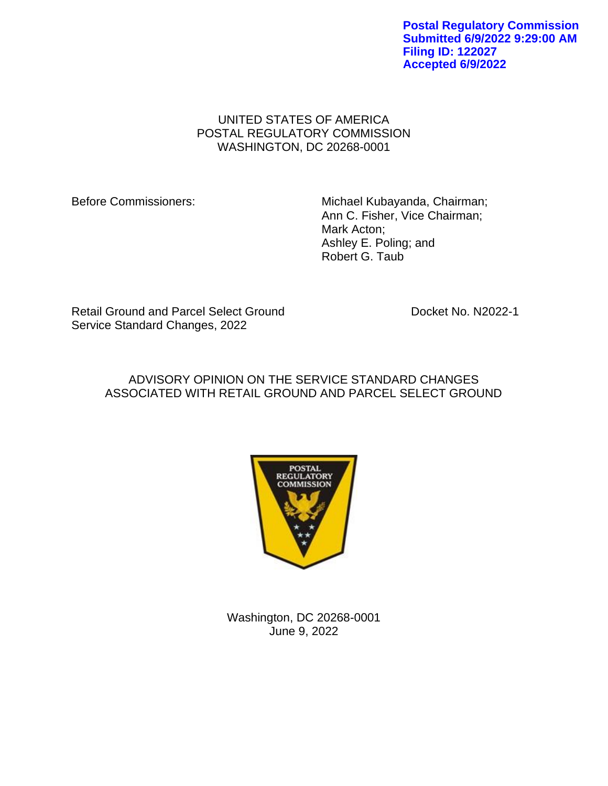**Postal Regulatory Commission Submitted 6/9/2022 9:29:00 AM Filing ID: 122027 Accepted 6/9/2022**

# UNITED STATES OF AMERICA POSTAL REGULATORY COMMISSION WASHINGTON, DC 20268-0001

Before Commissioners: Michael Kubayanda, Chairman; Ann C. Fisher, Vice Chairman; Mark Acton; Ashley E. Poling; and Robert G. Taub

Retail Ground and Parcel Select Ground Docket No. N2022-1 Service Standard Changes, 2022

# ADVISORY OPINION ON THE SERVICE STANDARD CHANGES ASSOCIATED WITH RETAIL GROUND AND PARCEL SELECT GROUND



Washington, DC 20268-0001 June 9, 2022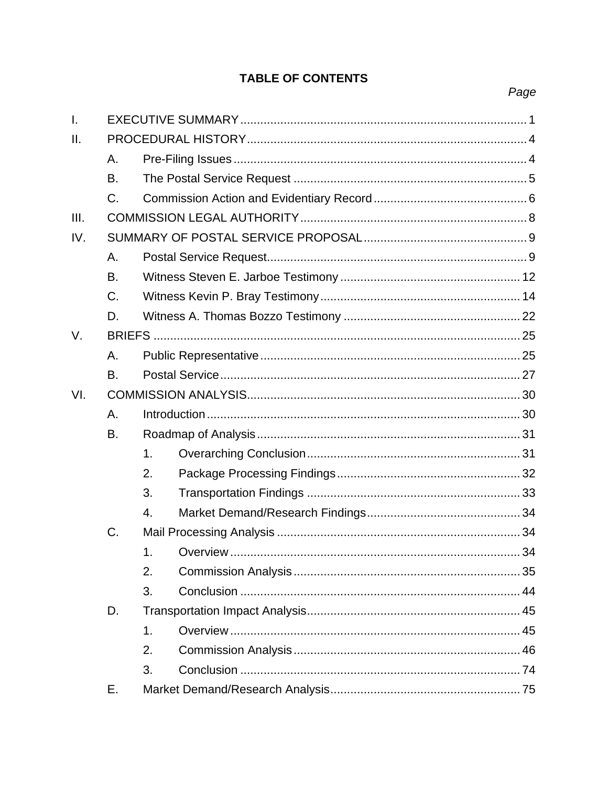# **TABLE OF CONTENTS**

| $\mathbf{I}$ . |    |    |  |  |  |  |
|----------------|----|----|--|--|--|--|
| II.            |    |    |  |  |  |  |
|                | Α. |    |  |  |  |  |
|                | B. |    |  |  |  |  |
|                | C. |    |  |  |  |  |
| III.           |    |    |  |  |  |  |
| IV.            |    |    |  |  |  |  |
|                | A. |    |  |  |  |  |
|                | B. |    |  |  |  |  |
|                | C. |    |  |  |  |  |
|                | D. |    |  |  |  |  |
| V.             |    |    |  |  |  |  |
|                | Α. |    |  |  |  |  |
|                | B. |    |  |  |  |  |
| VI.            |    |    |  |  |  |  |
|                | A. |    |  |  |  |  |
|                | В. |    |  |  |  |  |
|                |    | 1. |  |  |  |  |
|                |    | 2. |  |  |  |  |
|                |    | 3. |  |  |  |  |
|                |    | 4. |  |  |  |  |
|                | C. |    |  |  |  |  |
|                |    | 1. |  |  |  |  |
|                |    | 2. |  |  |  |  |
|                |    | 3. |  |  |  |  |
|                | D. |    |  |  |  |  |
|                |    | 1. |  |  |  |  |
|                |    | 2. |  |  |  |  |
|                |    | 3. |  |  |  |  |
|                | Е. |    |  |  |  |  |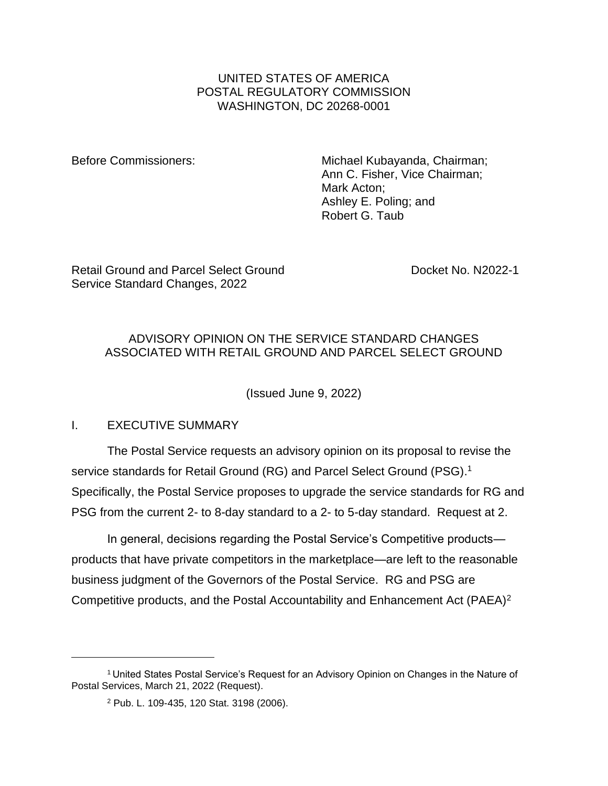# UNITED STATES OF AMERICA POSTAL REGULATORY COMMISSION WASHINGTON, DC 20268-0001

Before Commissioners: Michael Kubayanda, Chairman; Ann C. Fisher, Vice Chairman; Mark Acton; Ashley E. Poling; and Robert G. Taub

Retail Ground and Parcel Select Ground Note that Docket No. N2022-1 Service Standard Changes, 2022

# ADVISORY OPINION ON THE SERVICE STANDARD CHANGES ASSOCIATED WITH RETAIL GROUND AND PARCEL SELECT GROUND

(Issued June 9, 2022)

<span id="page-3-0"></span>I. EXECUTIVE SUMMARY

The Postal Service requests an advisory opinion on its proposal to revise the service standards for Retail Ground (RG) and Parcel Select Ground (PSG).<sup>1</sup> Specifically, the Postal Service proposes to upgrade the service standards for RG and PSG from the current 2- to 8-day standard to a 2- to 5-day standard. Request at 2.

In general, decisions regarding the Postal Service's Competitive products products that have private competitors in the marketplace—are left to the reasonable business judgment of the Governors of the Postal Service. RG and PSG are Competitive products, and the Postal Accountability and Enhancement Act (PAEA)<sup>2</sup>

<sup>1</sup> United States Postal Service's Request for an Advisory Opinion on Changes in the Nature of Postal Services, March 21, 2022 (Request).

<sup>2</sup> Pub. L. 109-435, 120 Stat. 3198 (2006).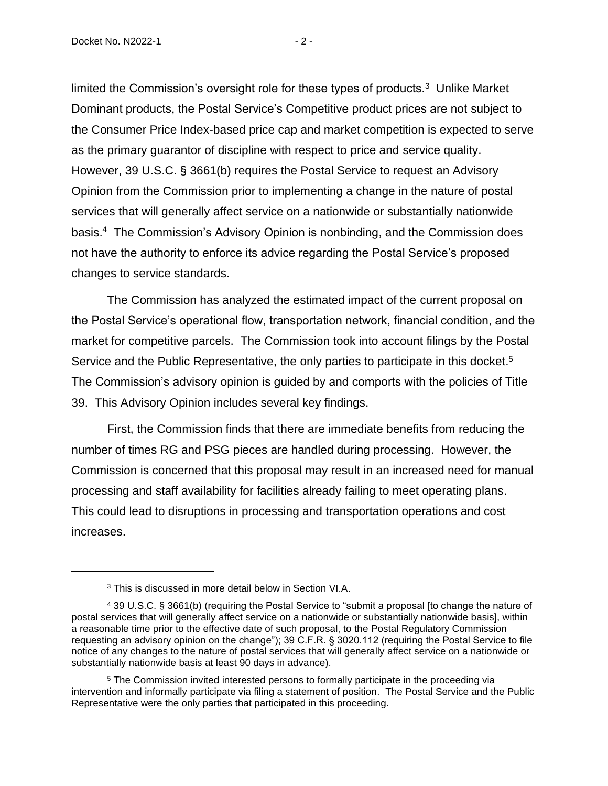Docket No. N2022-1 - 2 -

limited the Commission's oversight role for these types of products. $3$  Unlike Market Dominant products, the Postal Service's Competitive product prices are not subject to the Consumer Price Index-based price cap and market competition is expected to serve as the primary guarantor of discipline with respect to price and service quality. However, 39 U.S.C. § 3661(b) requires the Postal Service to request an Advisory Opinion from the Commission prior to implementing a change in the nature of postal services that will generally affect service on a nationwide or substantially nationwide basis. 4 The Commission's Advisory Opinion is nonbinding, and the Commission does not have the authority to enforce its advice regarding the Postal Service's proposed changes to service standards.

The Commission has analyzed the estimated impact of the current proposal on the Postal Service's operational flow, transportation network, financial condition, and the market for competitive parcels. The Commission took into account filings by the Postal Service and the Public Representative, the only parties to participate in this docket.<sup>5</sup> The Commission's advisory opinion is guided by and comports with the policies of Title 39. This Advisory Opinion includes several key findings.

First, the Commission finds that there are immediate benefits from reducing the number of times RG and PSG pieces are handled during processing. However, the Commission is concerned that this proposal may result in an increased need for manual processing and staff availability for facilities already failing to meet operating plans. This could lead to disruptions in processing and transportation operations and cost increases.

<sup>3</sup> This is discussed in more detail below in Section VI.A.

<sup>4</sup> 39 U.S.C. § 3661(b) (requiring the Postal Service to "submit a proposal [to change the nature of postal services that will generally affect service on a nationwide or substantially nationwide basis], within a reasonable time prior to the effective date of such proposal, to the Postal Regulatory Commission requesting an advisory opinion on the change"); 39 C.F.R. § 3020.112 (requiring the Postal Service to file notice of any changes to the nature of postal services that will generally affect service on a nationwide or substantially nationwide basis at least 90 days in advance).

<sup>5</sup> The Commission invited interested persons to formally participate in the proceeding via intervention and informally participate via filing a statement of position. The Postal Service and the Public Representative were the only parties that participated in this proceeding.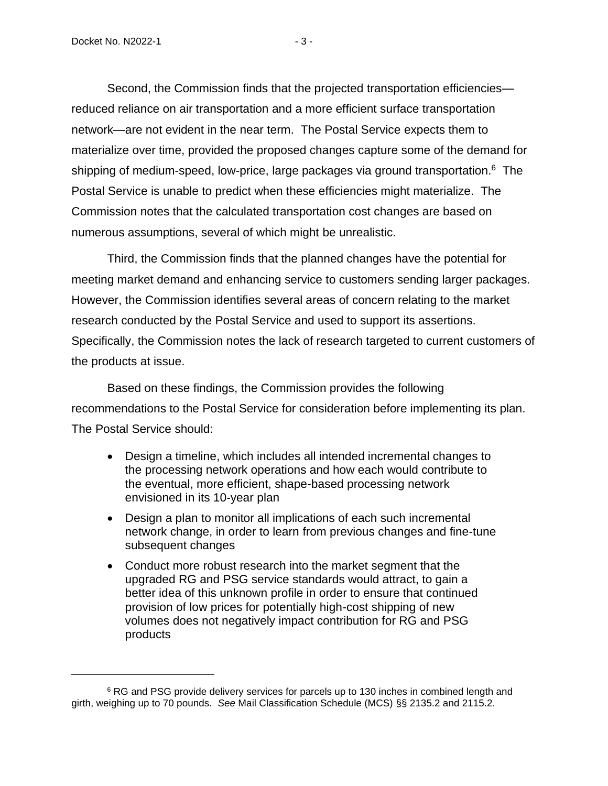Second, the Commission finds that the projected transportation efficiencies reduced reliance on air transportation and a more efficient surface transportation network—are not evident in the near term. The Postal Service expects them to materialize over time, provided the proposed changes capture some of the demand for shipping of medium-speed, low-price, large packages via ground transportation.<sup>6</sup> The Postal Service is unable to predict when these efficiencies might materialize. The Commission notes that the calculated transportation cost changes are based on numerous assumptions, several of which might be unrealistic.

Third, the Commission finds that the planned changes have the potential for meeting market demand and enhancing service to customers sending larger packages. However, the Commission identifies several areas of concern relating to the market research conducted by the Postal Service and used to support its assertions. Specifically, the Commission notes the lack of research targeted to current customers of the products at issue.

Based on these findings, the Commission provides the following recommendations to the Postal Service for consideration before implementing its plan. The Postal Service should:

- Design a timeline, which includes all intended incremental changes to the processing network operations and how each would contribute to the eventual, more efficient, shape-based processing network envisioned in its 10-year plan
- Design a plan to monitor all implications of each such incremental network change, in order to learn from previous changes and fine-tune subsequent changes
- Conduct more robust research into the market segment that the upgraded RG and PSG service standards would attract, to gain a better idea of this unknown profile in order to ensure that continued provision of low prices for potentially high-cost shipping of new volumes does not negatively impact contribution for RG and PSG products

<sup>&</sup>lt;sup>6</sup> RG and PSG provide delivery services for parcels up to 130 inches in combined length and girth, weighing up to 70 pounds. *See* Mail Classification Schedule (MCS) §§ 2135.2 and 2115.2.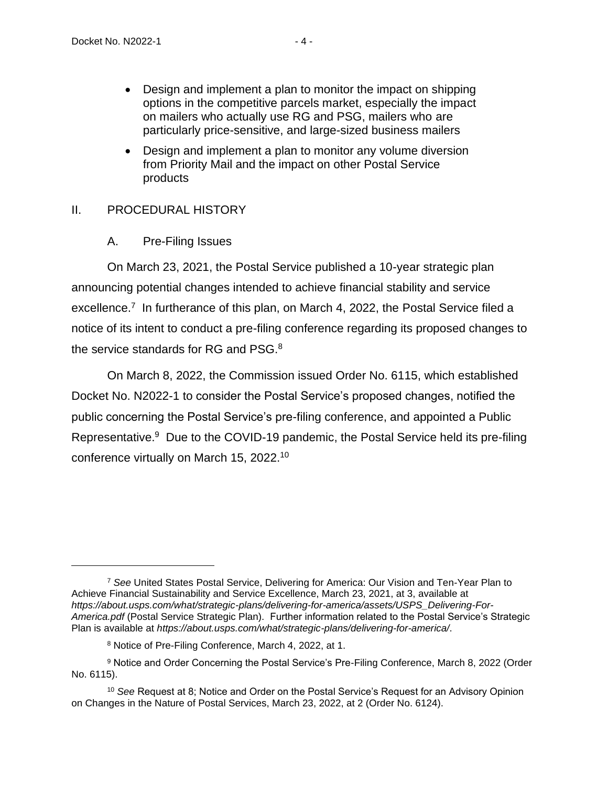- Design and implement a plan to monitor the impact on shipping options in the competitive parcels market, especially the impact on mailers who actually use RG and PSG, mailers who are particularly price-sensitive, and large-sized business mailers
- Design and implement a plan to monitor any volume diversion from Priority Mail and the impact on other Postal Service products

# <span id="page-6-1"></span><span id="page-6-0"></span>II. PROCEDURAL HISTORY

A. Pre-Filing Issues

On March 23, 2021, the Postal Service published a 10-year strategic plan announcing potential changes intended to achieve financial stability and service excellence.<sup>7</sup> In furtherance of this plan, on March 4, 2022, the Postal Service filed a notice of its intent to conduct a pre-filing conference regarding its proposed changes to the service standards for RG and PSG.<sup>8</sup>

On March 8, 2022, the Commission issued Order No. 6115, which established Docket No. N2022-1 to consider the Postal Service's proposed changes, notified the public concerning the Postal Service's pre-filing conference, and appointed a Public Representative.<sup>9</sup> Due to the COVID-19 pandemic, the Postal Service held its pre-filing conference virtually on March 15, 2022.<sup>10</sup>

<sup>7</sup> *See* United States Postal Service, Delivering for America: Our Vision and Ten-Year Plan to Achieve Financial Sustainability and Service Excellence, March 23, 2021, at 3, available at *https://about.usps.com/what/strategic-plans/delivering-for-america/assets/USPS\_Delivering-For-America.pdf* (Postal Service Strategic Plan). Further information related to the Postal Service's Strategic Plan is available at *https://about.usps.com/what/strategic-plans/delivering-for-america/*.

<sup>8</sup> Notice of Pre-Filing Conference, March 4, 2022, at 1.

<sup>9</sup> Notice and Order Concerning the Postal Service's Pre-Filing Conference, March 8, 2022 (Order No. 6115).

<sup>10</sup> *See* Request at 8; Notice and Order on the Postal Service's Request for an Advisory Opinion on Changes in the Nature of Postal Services, March 23, 2022, at 2 (Order No. 6124).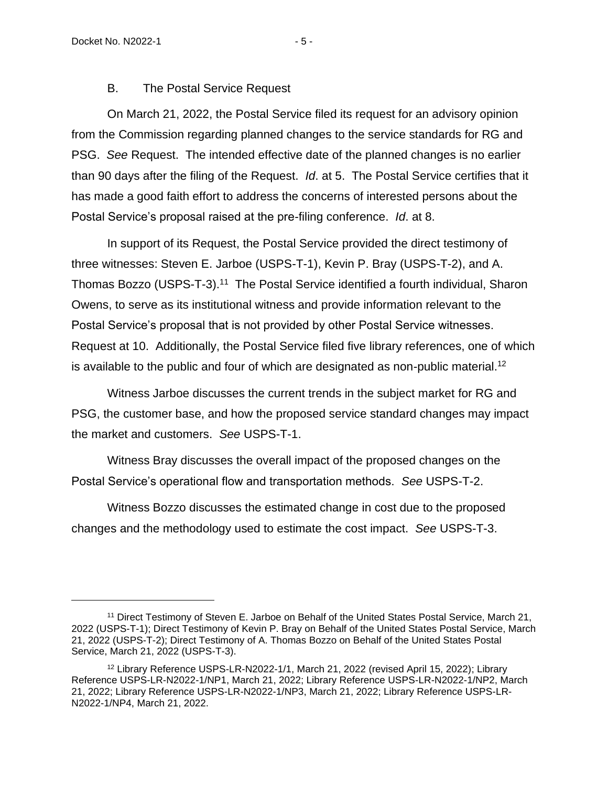# B. The Postal Service Request

<span id="page-7-0"></span>On March 21, 2022, the Postal Service filed its request for an advisory opinion from the Commission regarding planned changes to the service standards for RG and PSG. *See* Request. The intended effective date of the planned changes is no earlier than 90 days after the filing of the Request. *Id*. at 5. The Postal Service certifies that it has made a good faith effort to address the concerns of interested persons about the Postal Service's proposal raised at the pre-filing conference. *Id*. at 8.

In support of its Request, the Postal Service provided the direct testimony of three witnesses: Steven E. Jarboe (USPS-T-1), Kevin P. Bray (USPS-T-2), and A. Thomas Bozzo (USPS-T-3).<sup>11</sup> The Postal Service identified a fourth individual, Sharon Owens, to serve as its institutional witness and provide information relevant to the Postal Service's proposal that is not provided by other Postal Service witnesses. Request at 10. Additionally, the Postal Service filed five library references, one of which is available to the public and four of which are designated as non-public material.<sup>12</sup>

Witness Jarboe discusses the current trends in the subject market for RG and PSG, the customer base, and how the proposed service standard changes may impact the market and customers. *See* USPS-T-1.

Witness Bray discusses the overall impact of the proposed changes on the Postal Service's operational flow and transportation methods. *See* USPS-T-2.

Witness Bozzo discusses the estimated change in cost due to the proposed changes and the methodology used to estimate the cost impact. *See* USPS-T-3.

<sup>11</sup> Direct Testimony of Steven E. Jarboe on Behalf of the United States Postal Service, March 21, 2022 (USPS-T-1); Direct Testimony of Kevin P. Bray on Behalf of the United States Postal Service, March 21, 2022 (USPS-T-2); Direct Testimony of A. Thomas Bozzo on Behalf of the United States Postal Service, March 21, 2022 (USPS-T-3).

<sup>12</sup> Library Reference USPS-LR-N2022-1/1, March 21, 2022 (revised April 15, 2022); Library Reference USPS-LR-N2022-1/NP1, March 21, 2022; Library Reference USPS-LR-N2022-1/NP2, March 21, 2022; Library Reference USPS-LR-N2022-1/NP3, March 21, 2022; Library Reference USPS-LR-N2022-1/NP4, March 21, 2022.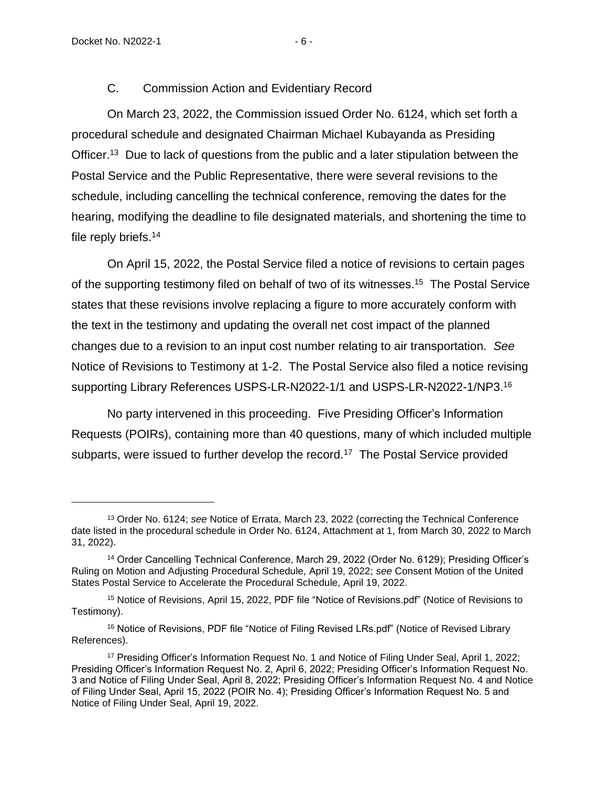# C. Commission Action and Evidentiary Record

<span id="page-8-0"></span>On March 23, 2022, the Commission issued Order No. 6124, which set forth a procedural schedule and designated Chairman Michael Kubayanda as Presiding Officer.<sup>13</sup> Due to lack of questions from the public and a later stipulation between the Postal Service and the Public Representative, there were several revisions to the schedule, including cancelling the technical conference, removing the dates for the hearing, modifying the deadline to file designated materials, and shortening the time to file reply briefs.<sup>14</sup>

On April 15, 2022, the Postal Service filed a notice of revisions to certain pages of the supporting testimony filed on behalf of two of its witnesses.<sup>15</sup> The Postal Service states that these revisions involve replacing a figure to more accurately conform with the text in the testimony and updating the overall net cost impact of the planned changes due to a revision to an input cost number relating to air transportation. *See*  Notice of Revisions to Testimony at 1-2. The Postal Service also filed a notice revising supporting Library References USPS-LR-N2022-1/1 and USPS-LR-N2022-1/NP3.<sup>16</sup>

No party intervened in this proceeding. Five Presiding Officer's Information Requests (POIRs), containing more than 40 questions, many of which included multiple subparts, were issued to further develop the record.<sup>17</sup> The Postal Service provided

<sup>13</sup> Order No. 6124; *see* Notice of Errata, March 23, 2022 (correcting the Technical Conference date listed in the procedural schedule in Order No. 6124, Attachment at 1, from March 30, 2022 to March 31, 2022).

<sup>14</sup> Order Cancelling Technical Conference, March 29, 2022 (Order No. 6129); Presiding Officer's Ruling on Motion and Adjusting Procedural Schedule, April 19, 2022; *see* Consent Motion of the United States Postal Service to Accelerate the Procedural Schedule, April 19, 2022.

<sup>15</sup> Notice of Revisions, April 15, 2022, PDF file "Notice of Revisions.pdf" (Notice of Revisions to Testimony).

<sup>&</sup>lt;sup>16</sup> Notice of Revisions, PDF file "Notice of Filing Revised LRs.pdf" (Notice of Revised Library References).

<sup>17</sup> Presiding Officer's Information Request No. 1 and Notice of Filing Under Seal, April 1, 2022; Presiding Officer's Information Request No. 2, April 6, 2022; Presiding Officer's Information Request No. 3 and Notice of Filing Under Seal, April 8, 2022; Presiding Officer's Information Request No. 4 and Notice of Filing Under Seal, April 15, 2022 (POIR No. 4); Presiding Officer's Information Request No. 5 and Notice of Filing Under Seal, April 19, 2022.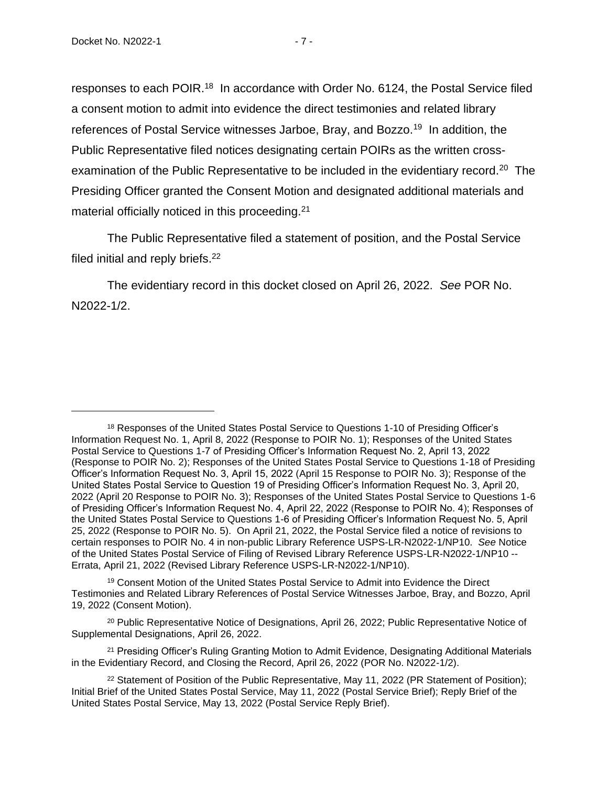responses to each POIR.<sup>18</sup> In accordance with Order No. 6124, the Postal Service filed a consent motion to admit into evidence the direct testimonies and related library references of Postal Service witnesses Jarboe, Bray, and Bozzo.<sup>19</sup> In addition, the Public Representative filed notices designating certain POIRs as the written crossexamination of the Public Representative to be included in the evidentiary record.<sup>20</sup> The Presiding Officer granted the Consent Motion and designated additional materials and material officially noticed in this proceeding.<sup>21</sup>

The Public Representative filed a statement of position, and the Postal Service filed initial and reply briefs.<sup>22</sup>

The evidentiary record in this docket closed on April 26, 2022. *See* POR No. N2022-1/2.

<sup>19</sup> Consent Motion of the United States Postal Service to Admit into Evidence the Direct Testimonies and Related Library References of Postal Service Witnesses Jarboe, Bray, and Bozzo, April 19, 2022 (Consent Motion).

<sup>20</sup> Public Representative Notice of Designations, April 26, 2022; Public Representative Notice of Supplemental Designations, April 26, 2022.

<sup>21</sup> Presiding Officer's Ruling Granting Motion to Admit Evidence, Designating Additional Materials in the Evidentiary Record, and Closing the Record, April 26, 2022 (POR No. N2022-1/2).

<sup>&</sup>lt;sup>18</sup> Responses of the United States Postal Service to Questions 1-10 of Presiding Officer's Information Request No. 1, April 8, 2022 (Response to POIR No. 1); Responses of the United States Postal Service to Questions 1-7 of Presiding Officer's Information Request No. 2, April 13, 2022 (Response to POIR No. 2); Responses of the United States Postal Service to Questions 1-18 of Presiding Officer's Information Request No. 3, April 15, 2022 (April 15 Response to POIR No. 3); Response of the United States Postal Service to Question 19 of Presiding Officer's Information Request No. 3, April 20, 2022 (April 20 Response to POIR No. 3); Responses of the United States Postal Service to Questions 1-6 of Presiding Officer's Information Request No. 4, April 22, 2022 (Response to POIR No. 4); Responses of the United States Postal Service to Questions 1-6 of Presiding Officer's Information Request No. 5, April 25, 2022 (Response to POIR No. 5). On April 21, 2022, the Postal Service filed a notice of revisions to certain responses to POIR No. 4 in non-public Library Reference USPS-LR-N2022-1/NP10. *See* Notice of the United States Postal Service of Filing of Revised Library Reference USPS-LR-N2022-1/NP10 -- Errata, April 21, 2022 (Revised Library Reference USPS-LR-N2022-1/NP10).

<sup>&</sup>lt;sup>22</sup> Statement of Position of the Public Representative, May 11, 2022 (PR Statement of Position); Initial Brief of the United States Postal Service, May 11, 2022 (Postal Service Brief); Reply Brief of the United States Postal Service, May 13, 2022 (Postal Service Reply Brief).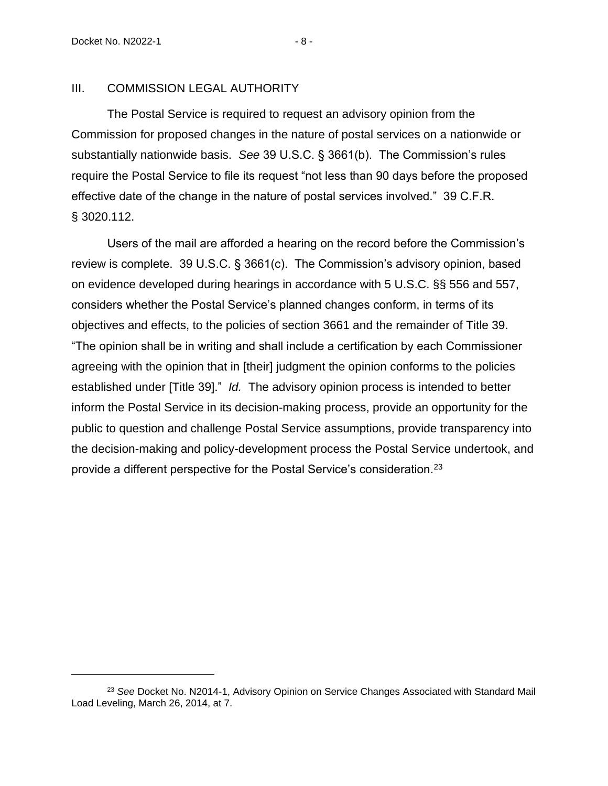#### <span id="page-10-0"></span>III. COMMISSION LEGAL AUTHORITY

The Postal Service is required to request an advisory opinion from the Commission for proposed changes in the nature of postal services on a nationwide or substantially nationwide basis. *See* 39 U.S.C. § 3661(b). The Commission's rules require the Postal Service to file its request "not less than 90 days before the proposed effective date of the change in the nature of postal services involved." 39 C.F.R. § 3020.112.

Users of the mail are afforded a hearing on the record before the Commission's review is complete. 39 U.S.C. § 3661(c). The Commission's advisory opinion, based on evidence developed during hearings in accordance with 5 U.S.C. §§ 556 and 557, considers whether the Postal Service's planned changes conform, in terms of its objectives and effects, to the policies of section 3661 and the remainder of Title 39. "The opinion shall be in writing and shall include a certification by each Commissioner agreeing with the opinion that in [their] judgment the opinion conforms to the policies established under [Title 39]." *Id.* The advisory opinion process is intended to better inform the Postal Service in its decision-making process, provide an opportunity for the public to question and challenge Postal Service assumptions, provide transparency into the decision-making and policy-development process the Postal Service undertook, and provide a different perspective for the Postal Service's consideration.<sup>23</sup>

<sup>23</sup> *See* Docket No. N2014-1, Advisory Opinion on Service Changes Associated with Standard Mail Load Leveling, March 26, 2014, at 7.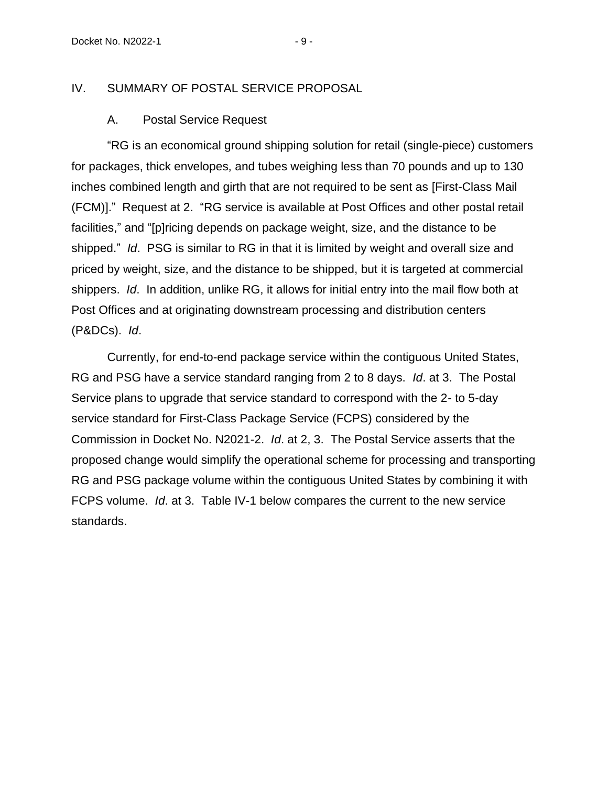# <span id="page-11-1"></span><span id="page-11-0"></span>IV. SUMMARY OF POSTAL SERVICE PROPOSAL

#### A. Postal Service Request

"RG is an economical ground shipping solution for retail (single-piece) customers for packages, thick envelopes, and tubes weighing less than 70 pounds and up to 130 inches combined length and girth that are not required to be sent as [First-Class Mail (FCM)]." Request at 2. "RG service is available at Post Offices and other postal retail facilities," and "[p]ricing depends on package weight, size, and the distance to be shipped." *Id*. PSG is similar to RG in that it is limited by weight and overall size and priced by weight, size, and the distance to be shipped, but it is targeted at commercial shippers. *Id*. In addition, unlike RG, it allows for initial entry into the mail flow both at Post Offices and at originating downstream processing and distribution centers (P&DCs). *Id*.

Currently, for end-to-end package service within the contiguous United States, RG and PSG have a service standard ranging from 2 to 8 days. *Id*. at 3. The Postal Service plans to upgrade that service standard to correspond with the 2- to 5-day service standard for First-Class Package Service (FCPS) considered by the Commission in Docket No. N2021-2. *Id*. at 2, 3. The Postal Service asserts that the proposed change would simplify the operational scheme for processing and transporting RG and PSG package volume within the contiguous United States by combining it with FCPS volume. *Id*. at 3. Table IV-1 below compares the current to the new service standards.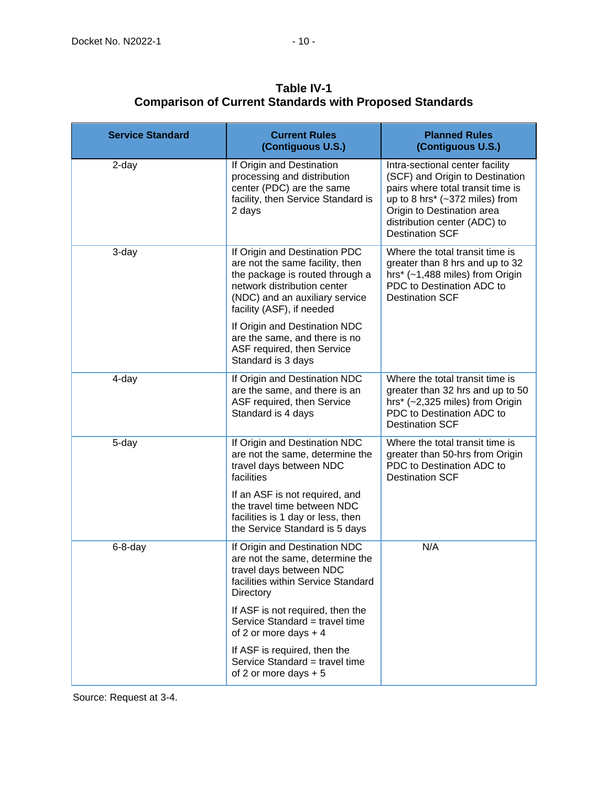| <b>Service Standard</b> | <b>Current Rules</b><br>(Contiguous U.S.)                                                                                                                                                         | <b>Planned Rules</b><br>(Contiguous U.S.)                                                                                                                                                                                                   |
|-------------------------|---------------------------------------------------------------------------------------------------------------------------------------------------------------------------------------------------|---------------------------------------------------------------------------------------------------------------------------------------------------------------------------------------------------------------------------------------------|
| 2-day                   | If Origin and Destination<br>processing and distribution<br>center (PDC) are the same<br>facility, then Service Standard is<br>2 days                                                             | Intra-sectional center facility<br>(SCF) and Origin to Destination<br>pairs where total transit time is<br>up to 8 hrs* $(-372 \text{ miles})$ from<br>Origin to Destination area<br>distribution center (ADC) to<br><b>Destination SCF</b> |
| 3-day                   | If Origin and Destination PDC<br>are not the same facility, then<br>the package is routed through a<br>network distribution center<br>(NDC) and an auxiliary service<br>facility (ASF), if needed | Where the total transit time is<br>greater than 8 hrs and up to 32<br>hrs* (~1,488 miles) from Origin<br>PDC to Destination ADC to<br><b>Destination SCF</b>                                                                                |
|                         | If Origin and Destination NDC<br>are the same, and there is no<br>ASF required, then Service<br>Standard is 3 days                                                                                |                                                                                                                                                                                                                                             |
| 4-day                   | If Origin and Destination NDC<br>are the same, and there is an<br>ASF required, then Service<br>Standard is 4 days                                                                                | Where the total transit time is<br>greater than 32 hrs and up to 50<br>hrs* (~2,325 miles) from Origin<br>PDC to Destination ADC to<br><b>Destination SCF</b>                                                                               |
| 5-day                   | If Origin and Destination NDC<br>are not the same, determine the<br>travel days between NDC<br>facilities                                                                                         | Where the total transit time is<br>greater than 50-hrs from Origin<br>PDC to Destination ADC to<br><b>Destination SCF</b>                                                                                                                   |
|                         | If an ASF is not required, and<br>the travel time between NDC<br>facilities is 1 day or less, then<br>the Service Standard is 5 days                                                              |                                                                                                                                                                                                                                             |
| $6-8-day$               | If Origin and Destination NDC<br>are not the same, determine the<br>travel days between NDC<br>facilities within Service Standard<br>Directory                                                    | N/A                                                                                                                                                                                                                                         |
|                         | If ASF is not required, then the<br>Service Standard = travel time<br>of 2 or more days $+4$                                                                                                      |                                                                                                                                                                                                                                             |
|                         | If ASF is required, then the<br>Service Standard = travel time<br>of 2 or more days $+5$                                                                                                          |                                                                                                                                                                                                                                             |

**Table IV-1 Comparison of Current Standards with Proposed Standards**

Source: Request at 3-4.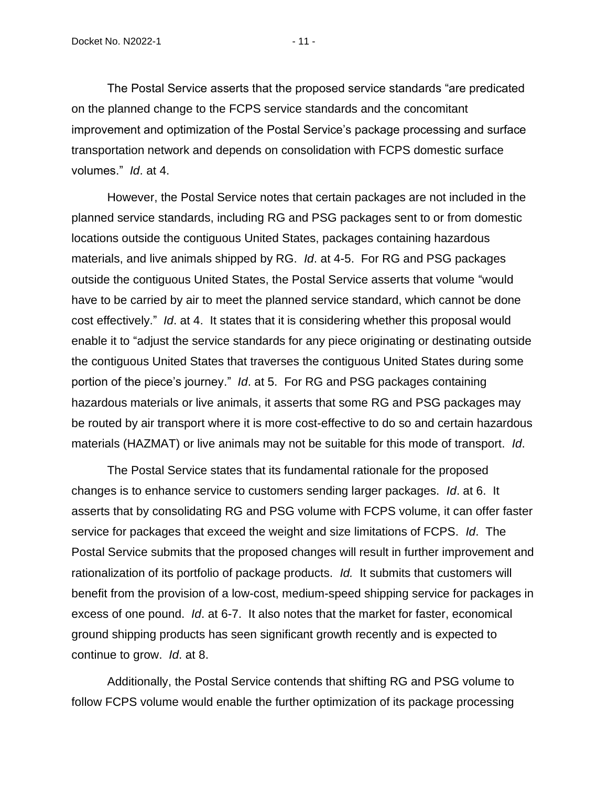The Postal Service asserts that the proposed service standards "are predicated on the planned change to the FCPS service standards and the concomitant improvement and optimization of the Postal Service's package processing and surface transportation network and depends on consolidation with FCPS domestic surface volumes." *Id*. at 4.

However, the Postal Service notes that certain packages are not included in the planned service standards, including RG and PSG packages sent to or from domestic locations outside the contiguous United States, packages containing hazardous materials, and live animals shipped by RG. *Id*. at 4-5. For RG and PSG packages outside the contiguous United States, the Postal Service asserts that volume "would have to be carried by air to meet the planned service standard, which cannot be done cost effectively." *Id*. at 4. It states that it is considering whether this proposal would enable it to "adjust the service standards for any piece originating or destinating outside the contiguous United States that traverses the contiguous United States during some portion of the piece's journey." *Id*. at 5. For RG and PSG packages containing hazardous materials or live animals, it asserts that some RG and PSG packages may be routed by air transport where it is more cost-effective to do so and certain hazardous materials (HAZMAT) or live animals may not be suitable for this mode of transport. *Id*.

The Postal Service states that its fundamental rationale for the proposed changes is to enhance service to customers sending larger packages. *Id*. at 6. It asserts that by consolidating RG and PSG volume with FCPS volume, it can offer faster service for packages that exceed the weight and size limitations of FCPS. *Id*. The Postal Service submits that the proposed changes will result in further improvement and rationalization of its portfolio of package products. *Id.* It submits that customers will benefit from the provision of a low-cost, medium-speed shipping service for packages in excess of one pound. *Id*. at 6-7. It also notes that the market for faster, economical ground shipping products has seen significant growth recently and is expected to continue to grow. *Id*. at 8.

Additionally, the Postal Service contends that shifting RG and PSG volume to follow FCPS volume would enable the further optimization of its package processing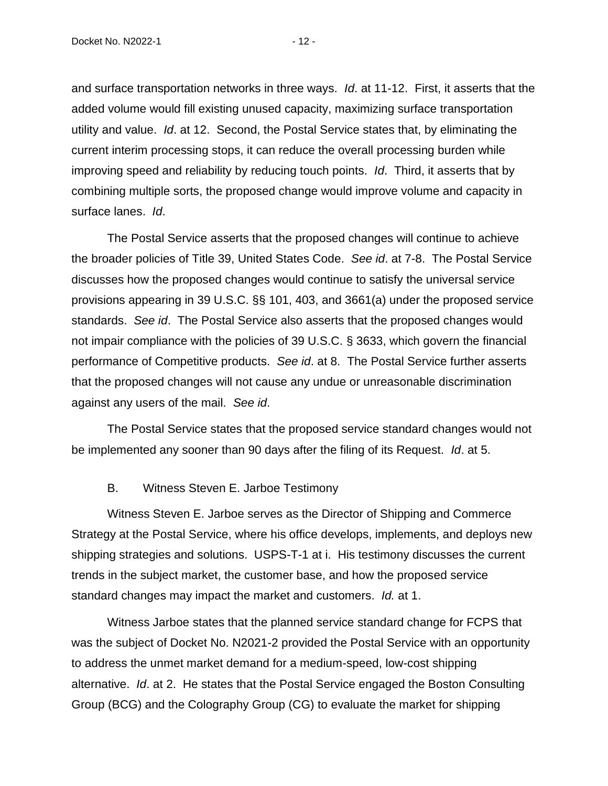and surface transportation networks in three ways. *Id*. at 11-12. First, it asserts that the added volume would fill existing unused capacity, maximizing surface transportation utility and value. *Id*. at 12. Second, the Postal Service states that, by eliminating the current interim processing stops, it can reduce the overall processing burden while improving speed and reliability by reducing touch points. *Id*. Third, it asserts that by combining multiple sorts, the proposed change would improve volume and capacity in surface lanes. *Id*.

The Postal Service asserts that the proposed changes will continue to achieve the broader policies of Title 39, United States Code. *See id*. at 7-8. The Postal Service discusses how the proposed changes would continue to satisfy the universal service provisions appearing in 39 U.S.C. §§ 101, 403, and 3661(a) under the proposed service standards. *See id*. The Postal Service also asserts that the proposed changes would not impair compliance with the policies of 39 U.S.C. § 3633, which govern the financial performance of Competitive products. *See id*. at 8. The Postal Service further asserts that the proposed changes will not cause any undue or unreasonable discrimination against any users of the mail. *See id*.

The Postal Service states that the proposed service standard changes would not be implemented any sooner than 90 days after the filing of its Request. *Id*. at 5.

#### B. Witness Steven E. Jarboe Testimony

<span id="page-14-0"></span>Witness Steven E. Jarboe serves as the Director of Shipping and Commerce Strategy at the Postal Service, where his office develops, implements, and deploys new shipping strategies and solutions. USPS-T-1 at i. His testimony discusses the current trends in the subject market, the customer base, and how the proposed service standard changes may impact the market and customers. *Id.* at 1.

Witness Jarboe states that the planned service standard change for FCPS that was the subject of Docket No. N2021-2 provided the Postal Service with an opportunity to address the unmet market demand for a medium-speed, low-cost shipping alternative. *Id*. at 2. He states that the Postal Service engaged the Boston Consulting Group (BCG) and the Colography Group (CG) to evaluate the market for shipping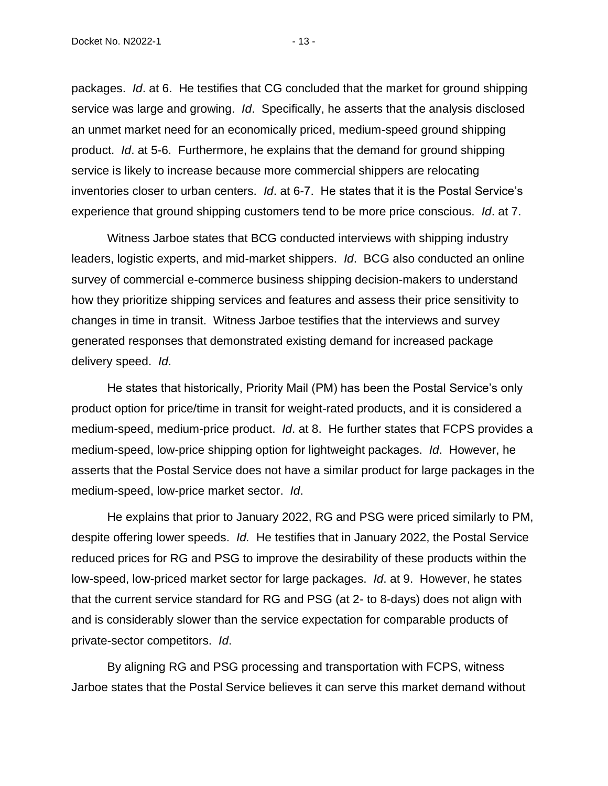packages. *Id*. at 6. He testifies that CG concluded that the market for ground shipping service was large and growing. *Id*. Specifically, he asserts that the analysis disclosed an unmet market need for an economically priced, medium-speed ground shipping product. *Id*. at 5-6. Furthermore, he explains that the demand for ground shipping service is likely to increase because more commercial shippers are relocating inventories closer to urban centers. *Id*. at 6-7. He states that it is the Postal Service's experience that ground shipping customers tend to be more price conscious. *Id*. at 7.

Witness Jarboe states that BCG conducted interviews with shipping industry leaders, logistic experts, and mid-market shippers. *Id*. BCG also conducted an online survey of commercial e-commerce business shipping decision-makers to understand how they prioritize shipping services and features and assess their price sensitivity to changes in time in transit. Witness Jarboe testifies that the interviews and survey generated responses that demonstrated existing demand for increased package delivery speed. *Id*.

He states that historically, Priority Mail (PM) has been the Postal Service's only product option for price/time in transit for weight-rated products, and it is considered a medium-speed, medium-price product. *Id*. at 8. He further states that FCPS provides a medium-speed, low-price shipping option for lightweight packages. *Id*. However, he asserts that the Postal Service does not have a similar product for large packages in the medium-speed, low-price market sector. *Id*.

He explains that prior to January 2022, RG and PSG were priced similarly to PM, despite offering lower speeds. *Id.* He testifies that in January 2022, the Postal Service reduced prices for RG and PSG to improve the desirability of these products within the low-speed, low-priced market sector for large packages. *Id*. at 9. However, he states that the current service standard for RG and PSG (at 2- to 8-days) does not align with and is considerably slower than the service expectation for comparable products of private-sector competitors. *Id*.

By aligning RG and PSG processing and transportation with FCPS, witness Jarboe states that the Postal Service believes it can serve this market demand without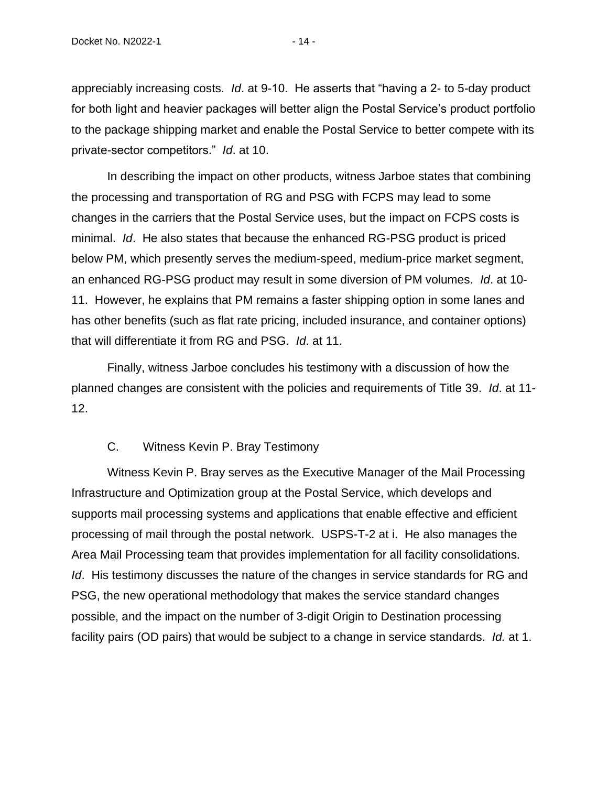appreciably increasing costs. *Id*. at 9-10. He asserts that "having a 2- to 5-day product for both light and heavier packages will better align the Postal Service's product portfolio to the package shipping market and enable the Postal Service to better compete with its private-sector competitors." *Id*. at 10.

In describing the impact on other products, witness Jarboe states that combining the processing and transportation of RG and PSG with FCPS may lead to some changes in the carriers that the Postal Service uses, but the impact on FCPS costs is minimal. *Id*. He also states that because the enhanced RG-PSG product is priced below PM, which presently serves the medium-speed, medium-price market segment, an enhanced RG-PSG product may result in some diversion of PM volumes. *Id*. at 10- 11. However, he explains that PM remains a faster shipping option in some lanes and has other benefits (such as flat rate pricing, included insurance, and container options) that will differentiate it from RG and PSG. *Id*. at 11.

Finally, witness Jarboe concludes his testimony with a discussion of how the planned changes are consistent with the policies and requirements of Title 39. *Id*. at 11- 12.

#### C. Witness Kevin P. Bray Testimony

<span id="page-16-0"></span>Witness Kevin P. Bray serves as the Executive Manager of the Mail Processing Infrastructure and Optimization group at the Postal Service, which develops and supports mail processing systems and applications that enable effective and efficient processing of mail through the postal network. USPS-T-2 at i. He also manages the Area Mail Processing team that provides implementation for all facility consolidations. *Id*. His testimony discusses the nature of the changes in service standards for RG and PSG, the new operational methodology that makes the service standard changes possible, and the impact on the number of 3-digit Origin to Destination processing facility pairs (OD pairs) that would be subject to a change in service standards. *Id.* at 1.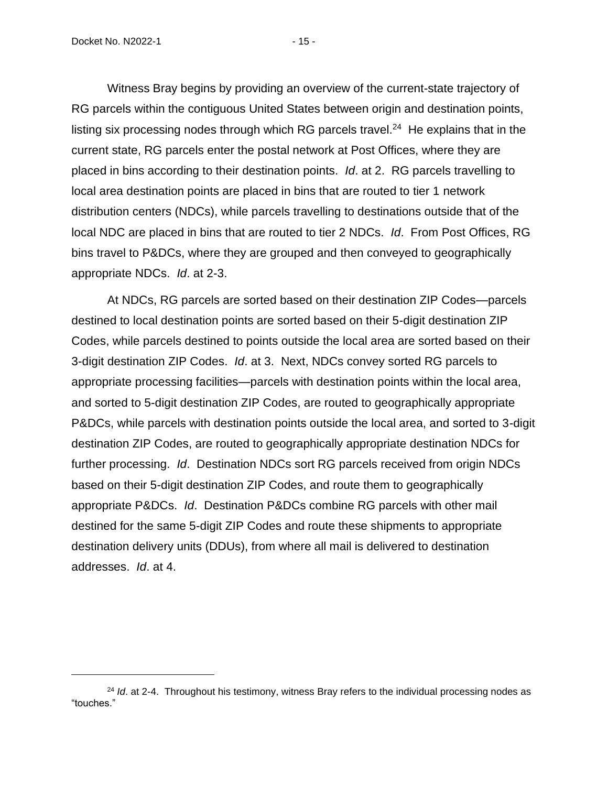Witness Bray begins by providing an overview of the current-state trajectory of RG parcels within the contiguous United States between origin and destination points, listing six processing nodes through which RG parcels travel.<sup>24</sup> He explains that in the current state, RG parcels enter the postal network at Post Offices, where they are placed in bins according to their destination points. *Id*. at 2. RG parcels travelling to local area destination points are placed in bins that are routed to tier 1 network distribution centers (NDCs), while parcels travelling to destinations outside that of the local NDC are placed in bins that are routed to tier 2 NDCs. *Id*. From Post Offices, RG bins travel to P&DCs, where they are grouped and then conveyed to geographically appropriate NDCs. *Id*. at 2-3.

At NDCs, RG parcels are sorted based on their destination ZIP Codes—parcels destined to local destination points are sorted based on their 5-digit destination ZIP Codes, while parcels destined to points outside the local area are sorted based on their 3-digit destination ZIP Codes. *Id*. at 3. Next, NDCs convey sorted RG parcels to appropriate processing facilities—parcels with destination points within the local area, and sorted to 5-digit destination ZIP Codes, are routed to geographically appropriate P&DCs, while parcels with destination points outside the local area, and sorted to 3-digit destination ZIP Codes, are routed to geographically appropriate destination NDCs for further processing. *Id*. Destination NDCs sort RG parcels received from origin NDCs based on their 5-digit destination ZIP Codes, and route them to geographically appropriate P&DCs. *Id*. Destination P&DCs combine RG parcels with other mail destined for the same 5-digit ZIP Codes and route these shipments to appropriate destination delivery units (DDUs), from where all mail is delivered to destination addresses. *Id*. at 4.

<sup>&</sup>lt;sup>24</sup> *Id.* at 2-4. Throughout his testimony, witness Bray refers to the individual processing nodes as "touches."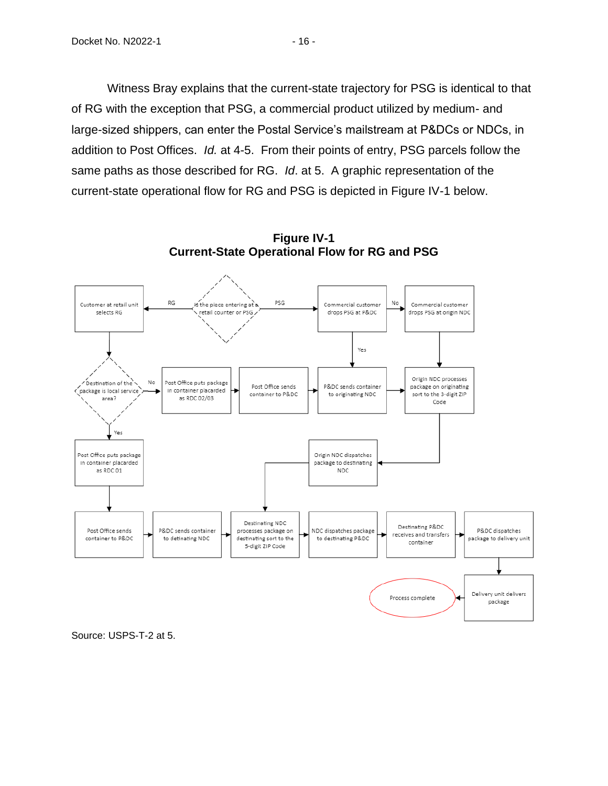Witness Bray explains that the current-state trajectory for PSG is identical to that of RG with the exception that PSG, a commercial product utilized by medium- and large-sized shippers, can enter the Postal Service's mailstream at P&DCs or NDCs, in addition to Post Offices. *Id.* at 4-5. From their points of entry, PSG parcels follow the same paths as those described for RG. *Id*. at 5. A graphic representation of the current-state operational flow for RG and PSG is depicted in Figure IV-1 below.



**Figure IV-1 Current-State Operational Flow for RG and PSG**

Source: USPS-T-2 at 5.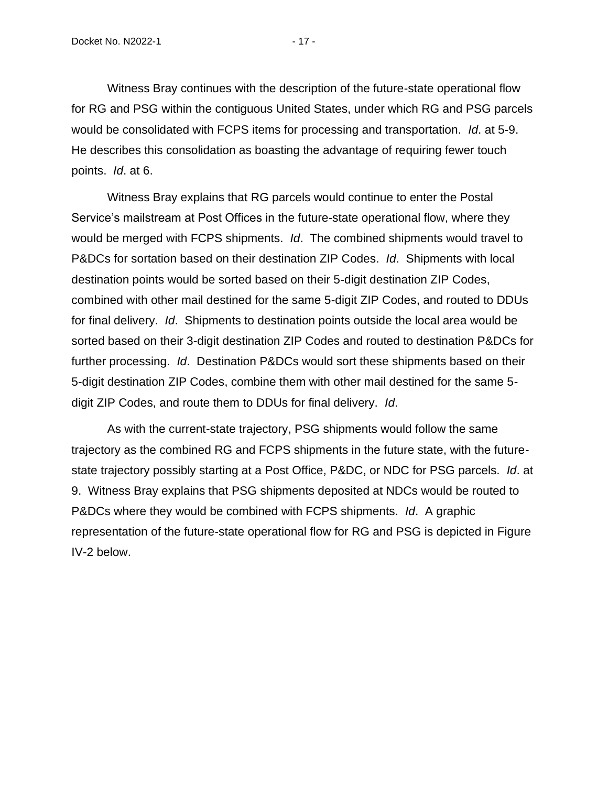Witness Bray continues with the description of the future-state operational flow for RG and PSG within the contiguous United States, under which RG and PSG parcels would be consolidated with FCPS items for processing and transportation. *Id*. at 5-9. He describes this consolidation as boasting the advantage of requiring fewer touch points. *Id*. at 6.

Witness Bray explains that RG parcels would continue to enter the Postal Service's mailstream at Post Offices in the future-state operational flow, where they would be merged with FCPS shipments. *Id*. The combined shipments would travel to P&DCs for sortation based on their destination ZIP Codes. *Id*. Shipments with local destination points would be sorted based on their 5-digit destination ZIP Codes, combined with other mail destined for the same 5-digit ZIP Codes, and routed to DDUs for final delivery. *Id*. Shipments to destination points outside the local area would be sorted based on their 3-digit destination ZIP Codes and routed to destination P&DCs for further processing. *Id*. Destination P&DCs would sort these shipments based on their 5-digit destination ZIP Codes, combine them with other mail destined for the same 5 digit ZIP Codes, and route them to DDUs for final delivery. *Id*.

As with the current-state trajectory, PSG shipments would follow the same trajectory as the combined RG and FCPS shipments in the future state, with the futurestate trajectory possibly starting at a Post Office, P&DC, or NDC for PSG parcels. *Id*. at 9. Witness Bray explains that PSG shipments deposited at NDCs would be routed to P&DCs where they would be combined with FCPS shipments. *Id*. A graphic representation of the future-state operational flow for RG and PSG is depicted in Figure IV-2 below.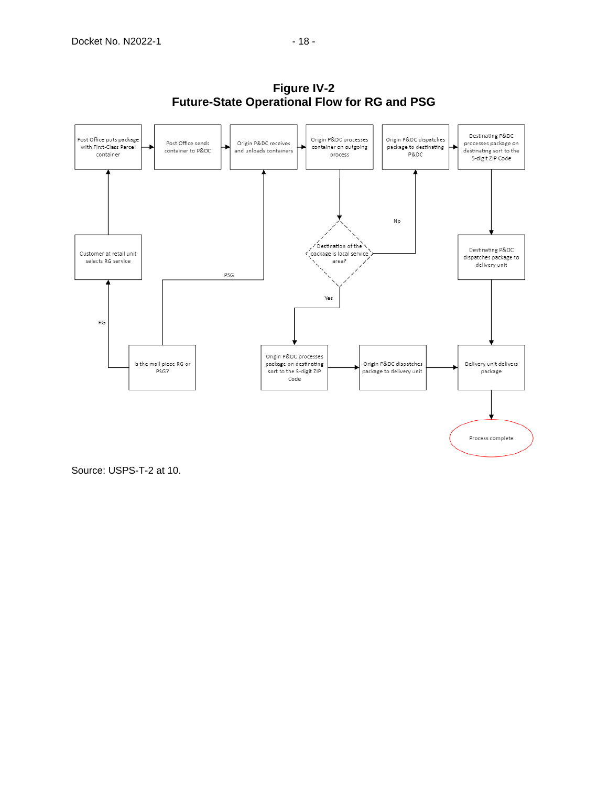

**Figure IV-2 Future-State Operational Flow for RG and PSG**

Source: USPS-T-2 at 10.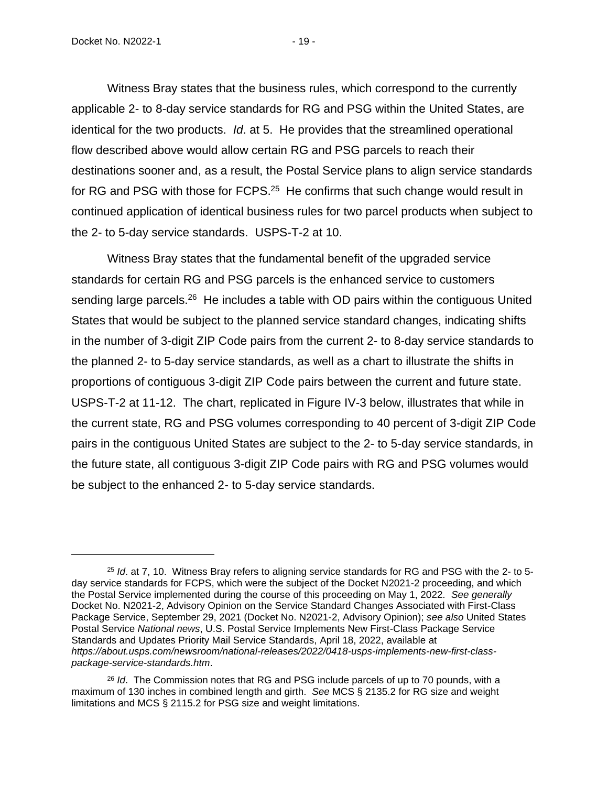Witness Bray states that the business rules, which correspond to the currently applicable 2- to 8-day service standards for RG and PSG within the United States, are identical for the two products. *Id*. at 5. He provides that the streamlined operational flow described above would allow certain RG and PSG parcels to reach their destinations sooner and, as a result, the Postal Service plans to align service standards for RG and PSG with those for FCPS. $25$  He confirms that such change would result in continued application of identical business rules for two parcel products when subject to the 2- to 5-day service standards. USPS-T-2 at 10.

Witness Bray states that the fundamental benefit of the upgraded service standards for certain RG and PSG parcels is the enhanced service to customers sending large parcels.<sup>26</sup> He includes a table with OD pairs within the contiguous United States that would be subject to the planned service standard changes, indicating shifts in the number of 3-digit ZIP Code pairs from the current 2- to 8-day service standards to the planned 2- to 5-day service standards, as well as a chart to illustrate the shifts in proportions of contiguous 3-digit ZIP Code pairs between the current and future state. USPS-T-2 at 11-12. The chart, replicated in Figure IV-3 below, illustrates that while in the current state, RG and PSG volumes corresponding to 40 percent of 3-digit ZIP Code pairs in the contiguous United States are subject to the 2- to 5-day service standards, in the future state, all contiguous 3-digit ZIP Code pairs with RG and PSG volumes would be subject to the enhanced 2- to 5-day service standards.

<sup>&</sup>lt;sup>25</sup> *Id.* at 7, 10. Witness Bray refers to aligning service standards for RG and PSG with the 2- to 5day service standards for FCPS, which were the subject of the Docket N2021-2 proceeding, and which the Postal Service implemented during the course of this proceeding on May 1, 2022. *See generally* Docket No. N2021-2, Advisory Opinion on the Service Standard Changes Associated with First-Class Package Service, September 29, 2021 (Docket No. N2021-2, Advisory Opinion); *see also* United States Postal Service *National news*, U.S. Postal Service Implements New First-Class Package Service Standards and Updates Priority Mail Service Standards, April 18, 2022, available at *https://about.usps.com/newsroom/national-releases/2022/0418-usps-implements-new-first-classpackage-service-standards.htm*.

<sup>26</sup> *Id*. The Commission notes that RG and PSG include parcels of up to 70 pounds, with a maximum of 130 inches in combined length and girth. *See* MCS § 2135.2 for RG size and weight limitations and MCS § 2115.2 for PSG size and weight limitations.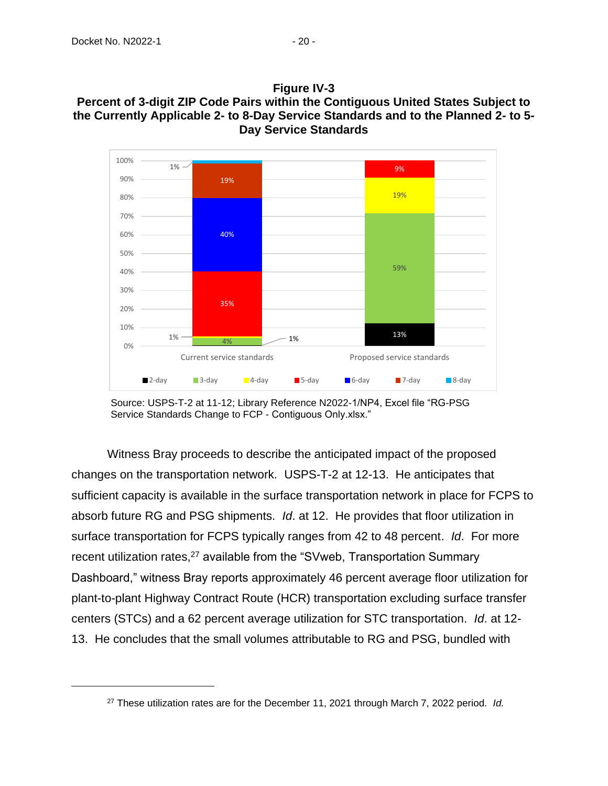



Source: USPS-T-2 at 11-12; Library Reference N2022-1/NP4, Excel file "RG-PSG Service Standards Change to FCP - Contiguous Only.xlsx."

Witness Bray proceeds to describe the anticipated impact of the proposed changes on the transportation network. USPS-T-2 at 12-13. He anticipates that sufficient capacity is available in the surface transportation network in place for FCPS to absorb future RG and PSG shipments. *Id*. at 12. He provides that floor utilization in surface transportation for FCPS typically ranges from 42 to 48 percent. *Id*. For more recent utilization rates,<sup>27</sup> available from the "SVweb, Transportation Summary Dashboard," witness Bray reports approximately 46 percent average floor utilization for plant-to-plant Highway Contract Route (HCR) transportation excluding surface transfer centers (STCs) and a 62 percent average utilization for STC transportation. *Id*. at 12- 13. He concludes that the small volumes attributable to RG and PSG, bundled with

<sup>27</sup> These utilization rates are for the December 11, 2021 through March 7, 2022 period. *Id.*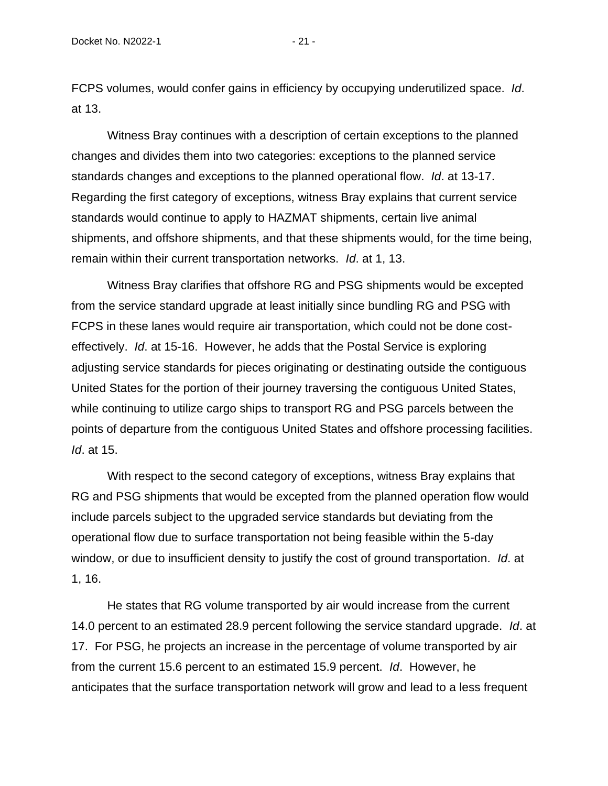FCPS volumes, would confer gains in efficiency by occupying underutilized space. *Id*. at 13.

Witness Bray continues with a description of certain exceptions to the planned changes and divides them into two categories: exceptions to the planned service standards changes and exceptions to the planned operational flow. *Id*. at 13-17. Regarding the first category of exceptions, witness Bray explains that current service standards would continue to apply to HAZMAT shipments, certain live animal shipments, and offshore shipments, and that these shipments would, for the time being, remain within their current transportation networks. *Id*. at 1, 13.

Witness Bray clarifies that offshore RG and PSG shipments would be excepted from the service standard upgrade at least initially since bundling RG and PSG with FCPS in these lanes would require air transportation, which could not be done costeffectively. *Id*. at 15-16. However, he adds that the Postal Service is exploring adjusting service standards for pieces originating or destinating outside the contiguous United States for the portion of their journey traversing the contiguous United States, while continuing to utilize cargo ships to transport RG and PSG parcels between the points of departure from the contiguous United States and offshore processing facilities. *Id*. at 15.

With respect to the second category of exceptions, witness Bray explains that RG and PSG shipments that would be excepted from the planned operation flow would include parcels subject to the upgraded service standards but deviating from the operational flow due to surface transportation not being feasible within the 5-day window, or due to insufficient density to justify the cost of ground transportation. *Id*. at 1, 16.

He states that RG volume transported by air would increase from the current 14.0 percent to an estimated 28.9 percent following the service standard upgrade. *Id*. at 17. For PSG, he projects an increase in the percentage of volume transported by air from the current 15.6 percent to an estimated 15.9 percent. *Id*. However, he anticipates that the surface transportation network will grow and lead to a less frequent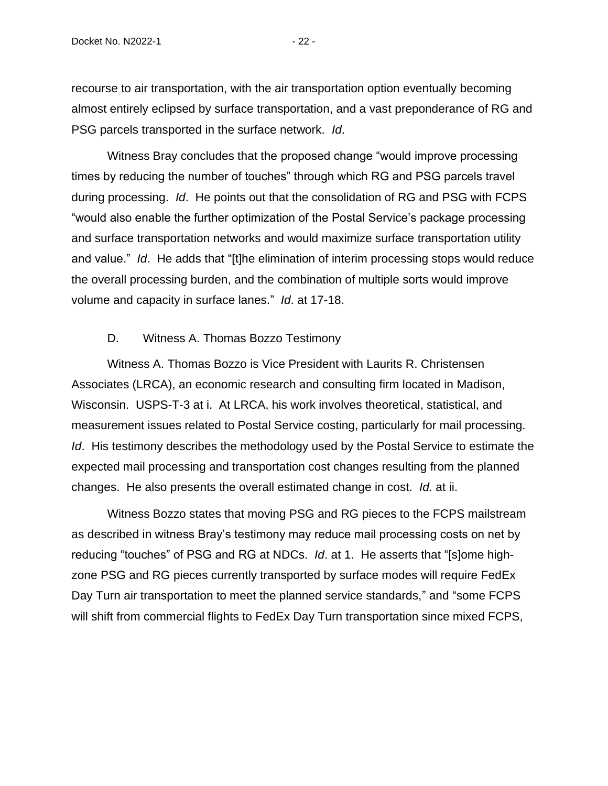recourse to air transportation, with the air transportation option eventually becoming almost entirely eclipsed by surface transportation, and a vast preponderance of RG and PSG parcels transported in the surface network. *Id*.

Witness Bray concludes that the proposed change "would improve processing times by reducing the number of touches" through which RG and PSG parcels travel during processing. *Id*. He points out that the consolidation of RG and PSG with FCPS "would also enable the further optimization of the Postal Service's package processing and surface transportation networks and would maximize surface transportation utility and value." *Id*. He adds that "[t]he elimination of interim processing stops would reduce the overall processing burden, and the combination of multiple sorts would improve volume and capacity in surface lanes." *Id*. at 17-18.

#### D. Witness A. Thomas Bozzo Testimony

<span id="page-24-0"></span>Witness A. Thomas Bozzo is Vice President with Laurits R. Christensen Associates (LRCA), an economic research and consulting firm located in Madison, Wisconsin. USPS-T-3 at i. At LRCA, his work involves theoretical, statistical, and measurement issues related to Postal Service costing, particularly for mail processing. *Id*. His testimony describes the methodology used by the Postal Service to estimate the expected mail processing and transportation cost changes resulting from the planned changes. He also presents the overall estimated change in cost. *Id.* at ii.

Witness Bozzo states that moving PSG and RG pieces to the FCPS mailstream as described in witness Bray's testimony may reduce mail processing costs on net by reducing "touches" of PSG and RG at NDCs. *Id*. at 1. He asserts that "[s]ome highzone PSG and RG pieces currently transported by surface modes will require FedEx Day Turn air transportation to meet the planned service standards," and "some FCPS will shift from commercial flights to FedEx Day Turn transportation since mixed FCPS,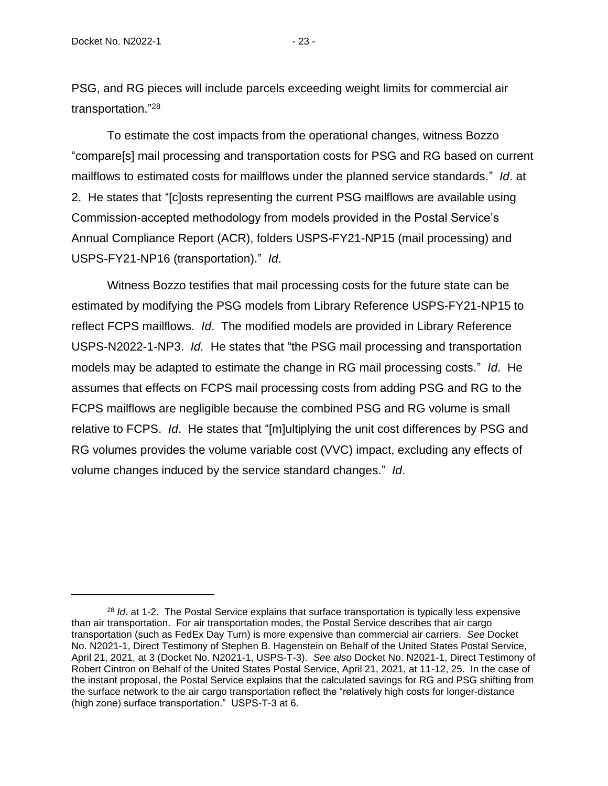PSG, and RG pieces will include parcels exceeding weight limits for commercial air transportation." 28

To estimate the cost impacts from the operational changes, witness Bozzo "compare[s] mail processing and transportation costs for PSG and RG based on current mailflows to estimated costs for mailflows under the planned service standards." *Id*. at 2. He states that "[c]osts representing the current PSG mailflows are available using Commission-accepted methodology from models provided in the Postal Service's Annual Compliance Report (ACR), folders USPS-FY21-NP15 (mail processing) and USPS-FY21-NP16 (transportation)." *Id*.

Witness Bozzo testifies that mail processing costs for the future state can be estimated by modifying the PSG models from Library Reference USPS-FY21-NP15 to reflect FCPS mailflows. *Id*. The modified models are provided in Library Reference USPS-N2022-1-NP3. *Id.* He states that "the PSG mail processing and transportation models may be adapted to estimate the change in RG mail processing costs." *Id*. He assumes that effects on FCPS mail processing costs from adding PSG and RG to the FCPS mailflows are negligible because the combined PSG and RG volume is small relative to FCPS. *Id*. He states that "[m]ultiplying the unit cost differences by PSG and RG volumes provides the volume variable cost (VVC) impact, excluding any effects of volume changes induced by the service standard changes." *Id*.

<sup>&</sup>lt;sup>28</sup> *Id.* at 1-2. The Postal Service explains that surface transportation is typically less expensive than air transportation. For air transportation modes, the Postal Service describes that air cargo transportation (such as FedEx Day Turn) is more expensive than commercial air carriers. *See* Docket No. N2021-1, Direct Testimony of Stephen B. Hagenstein on Behalf of the United States Postal Service, April 21, 2021, at 3 (Docket No. N2021-1, USPS-T-3). *See also* Docket No. N2021-1, Direct Testimony of Robert Cintron on Behalf of the United States Postal Service, April 21, 2021, at 11-12, 25. In the case of the instant proposal, the Postal Service explains that the calculated savings for RG and PSG shifting from the surface network to the air cargo transportation reflect the "relatively high costs for longer-distance (high zone) surface transportation." USPS-T-3 at 6.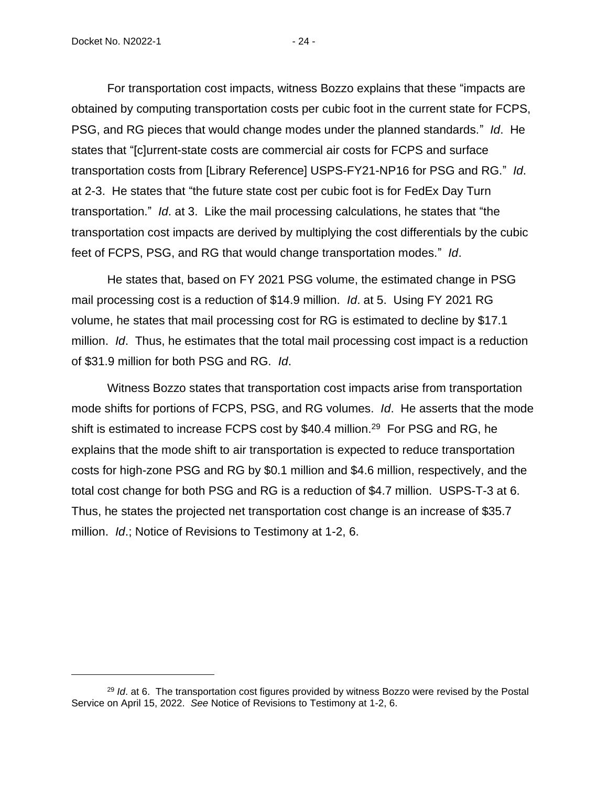For transportation cost impacts, witness Bozzo explains that these "impacts are obtained by computing transportation costs per cubic foot in the current state for FCPS, PSG, and RG pieces that would change modes under the planned standards." *Id*. He states that "[c]urrent-state costs are commercial air costs for FCPS and surface transportation costs from [Library Reference] USPS-FY21-NP16 for PSG and RG." *Id*. at 2-3. He states that "the future state cost per cubic foot is for FedEx Day Turn transportation." *Id*. at 3. Like the mail processing calculations, he states that "the transportation cost impacts are derived by multiplying the cost differentials by the cubic feet of FCPS, PSG, and RG that would change transportation modes." *Id*.

He states that, based on FY 2021 PSG volume, the estimated change in PSG mail processing cost is a reduction of \$14.9 million. *Id*. at 5. Using FY 2021 RG volume, he states that mail processing cost for RG is estimated to decline by \$17.1 million. *Id*. Thus, he estimates that the total mail processing cost impact is a reduction of \$31.9 million for both PSG and RG. *Id*.

Witness Bozzo states that transportation cost impacts arise from transportation mode shifts for portions of FCPS, PSG, and RG volumes. *Id*. He asserts that the mode shift is estimated to increase FCPS cost by \$40.4 million.<sup>29</sup> For PSG and RG, he explains that the mode shift to air transportation is expected to reduce transportation costs for high-zone PSG and RG by \$0.1 million and \$4.6 million, respectively, and the total cost change for both PSG and RG is a reduction of \$4.7 million. USPS-T-3 at 6. Thus, he states the projected net transportation cost change is an increase of \$35.7 million. *Id*.; Notice of Revisions to Testimony at 1-2, 6.

<sup>29</sup> *Id*. at 6. The transportation cost figures provided by witness Bozzo were revised by the Postal Service on April 15, 2022. *See* Notice of Revisions to Testimony at 1-2, 6.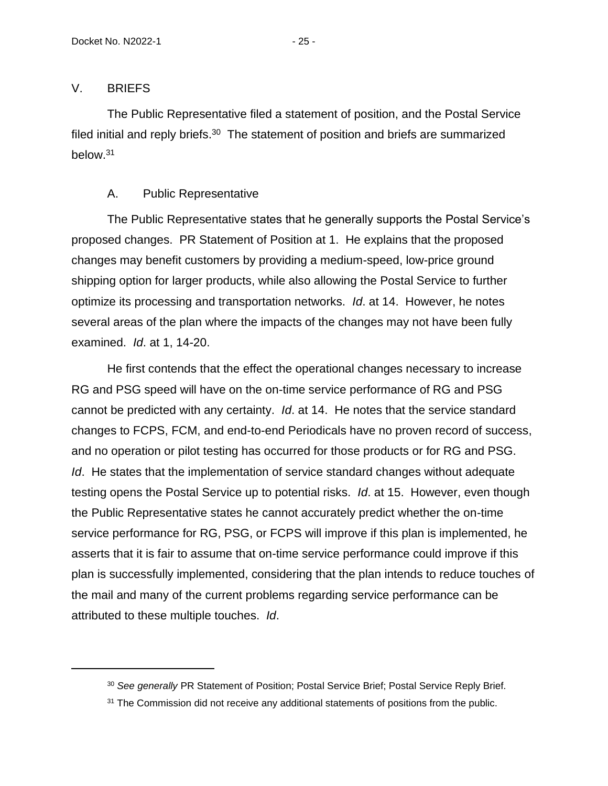#### <span id="page-27-0"></span>V. BRIEFS

The Public Representative filed a statement of position, and the Postal Service filed initial and reply briefs. $30$  The statement of position and briefs are summarized below.<sup>31</sup>

# A. Public Representative

<span id="page-27-1"></span>The Public Representative states that he generally supports the Postal Service's proposed changes. PR Statement of Position at 1. He explains that the proposed changes may benefit customers by providing a medium-speed, low-price ground shipping option for larger products, while also allowing the Postal Service to further optimize its processing and transportation networks. *Id*. at 14. However, he notes several areas of the plan where the impacts of the changes may not have been fully examined. *Id*. at 1, 14-20.

He first contends that the effect the operational changes necessary to increase RG and PSG speed will have on the on-time service performance of RG and PSG cannot be predicted with any certainty. *Id*. at 14. He notes that the service standard changes to FCPS, FCM, and end-to-end Periodicals have no proven record of success, and no operation or pilot testing has occurred for those products or for RG and PSG. *Id.* He states that the implementation of service standard changes without adequate testing opens the Postal Service up to potential risks. *Id*. at 15. However, even though the Public Representative states he cannot accurately predict whether the on-time service performance for RG, PSG, or FCPS will improve if this plan is implemented, he asserts that it is fair to assume that on-time service performance could improve if this plan is successfully implemented, considering that the plan intends to reduce touches of the mail and many of the current problems regarding service performance can be attributed to these multiple touches. *Id*.

<sup>30</sup> *See generally* PR Statement of Position; Postal Service Brief; Postal Service Reply Brief.

<sup>&</sup>lt;sup>31</sup> The Commission did not receive any additional statements of positions from the public.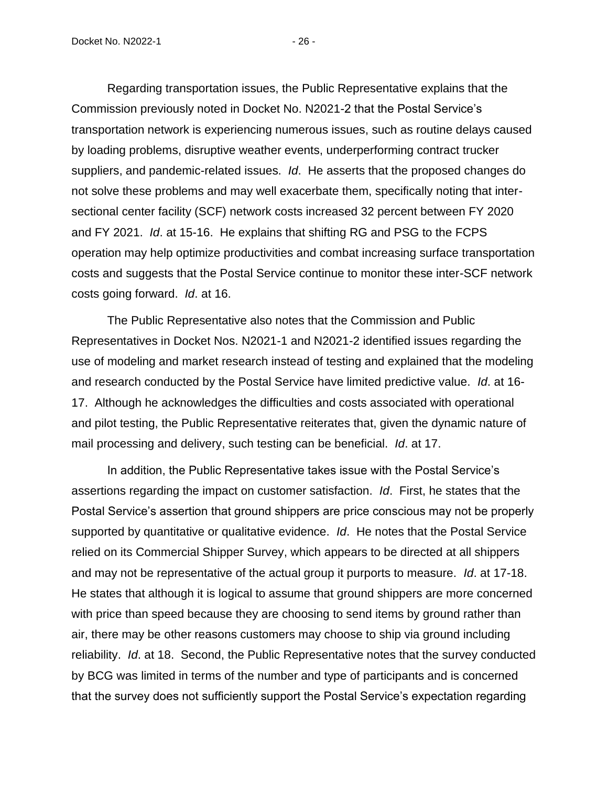Regarding transportation issues, the Public Representative explains that the Commission previously noted in Docket No. N2021-2 that the Postal Service's transportation network is experiencing numerous issues, such as routine delays caused by loading problems, disruptive weather events, underperforming contract trucker suppliers, and pandemic-related issues. *Id*. He asserts that the proposed changes do not solve these problems and may well exacerbate them, specifically noting that intersectional center facility (SCF) network costs increased 32 percent between FY 2020 and FY 2021. *Id*. at 15-16. He explains that shifting RG and PSG to the FCPS operation may help optimize productivities and combat increasing surface transportation costs and suggests that the Postal Service continue to monitor these inter-SCF network costs going forward. *Id*. at 16.

The Public Representative also notes that the Commission and Public Representatives in Docket Nos. N2021-1 and N2021-2 identified issues regarding the use of modeling and market research instead of testing and explained that the modeling and research conducted by the Postal Service have limited predictive value. *Id*. at 16- 17. Although he acknowledges the difficulties and costs associated with operational and pilot testing, the Public Representative reiterates that, given the dynamic nature of mail processing and delivery, such testing can be beneficial. *Id*. at 17.

In addition, the Public Representative takes issue with the Postal Service's assertions regarding the impact on customer satisfaction. *Id*. First, he states that the Postal Service's assertion that ground shippers are price conscious may not be properly supported by quantitative or qualitative evidence. *Id*. He notes that the Postal Service relied on its Commercial Shipper Survey, which appears to be directed at all shippers and may not be representative of the actual group it purports to measure. *Id*. at 17-18. He states that although it is logical to assume that ground shippers are more concerned with price than speed because they are choosing to send items by ground rather than air, there may be other reasons customers may choose to ship via ground including reliability. *Id*. at 18. Second, the Public Representative notes that the survey conducted by BCG was limited in terms of the number and type of participants and is concerned that the survey does not sufficiently support the Postal Service's expectation regarding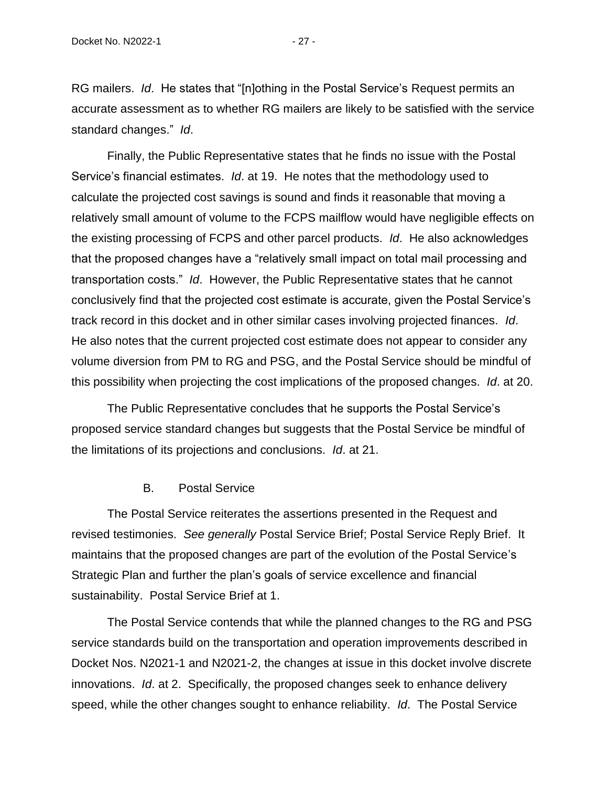RG mailers. *Id*. He states that "[n]othing in the Postal Service's Request permits an accurate assessment as to whether RG mailers are likely to be satisfied with the service standard changes." *Id*.

Finally, the Public Representative states that he finds no issue with the Postal Service's financial estimates. *Id*. at 19. He notes that the methodology used to calculate the projected cost savings is sound and finds it reasonable that moving a relatively small amount of volume to the FCPS mailflow would have negligible effects on the existing processing of FCPS and other parcel products. *Id*. He also acknowledges that the proposed changes have a "relatively small impact on total mail processing and transportation costs." *Id*. However, the Public Representative states that he cannot conclusively find that the projected cost estimate is accurate, given the Postal Service's track record in this docket and in other similar cases involving projected finances. *Id*. He also notes that the current projected cost estimate does not appear to consider any volume diversion from PM to RG and PSG, and the Postal Service should be mindful of this possibility when projecting the cost implications of the proposed changes. *Id*. at 20.

The Public Representative concludes that he supports the Postal Service's proposed service standard changes but suggests that the Postal Service be mindful of the limitations of its projections and conclusions. *Id*. at 21.

#### B. Postal Service

<span id="page-29-0"></span>The Postal Service reiterates the assertions presented in the Request and revised testimonies. *See generally* Postal Service Brief; Postal Service Reply Brief. It maintains that the proposed changes are part of the evolution of the Postal Service's Strategic Plan and further the plan's goals of service excellence and financial sustainability. Postal Service Brief at 1.

The Postal Service contends that while the planned changes to the RG and PSG service standards build on the transportation and operation improvements described in Docket Nos. N2021-1 and N2021-2, the changes at issue in this docket involve discrete innovations. *Id*. at 2. Specifically, the proposed changes seek to enhance delivery speed, while the other changes sought to enhance reliability. *Id*. The Postal Service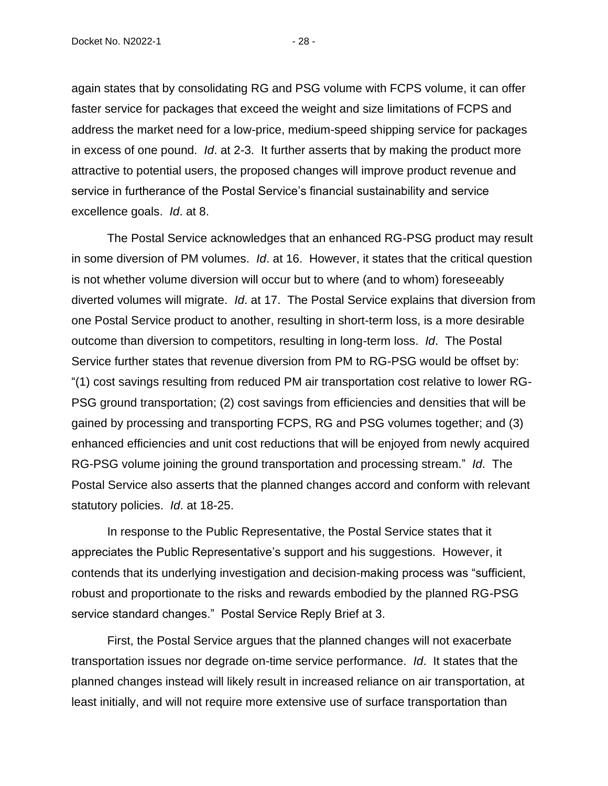Docket No. N2022-1 - 28 -

again states that by consolidating RG and PSG volume with FCPS volume, it can offer faster service for packages that exceed the weight and size limitations of FCPS and address the market need for a low-price, medium-speed shipping service for packages in excess of one pound. *Id*. at 2-3. It further asserts that by making the product more attractive to potential users, the proposed changes will improve product revenue and service in furtherance of the Postal Service's financial sustainability and service excellence goals. *Id*. at 8.

The Postal Service acknowledges that an enhanced RG-PSG product may result in some diversion of PM volumes. *Id*. at 16. However, it states that the critical question is not whether volume diversion will occur but to where (and to whom) foreseeably diverted volumes will migrate. *Id*. at 17. The Postal Service explains that diversion from one Postal Service product to another, resulting in short-term loss, is a more desirable outcome than diversion to competitors, resulting in long-term loss. *Id*. The Postal Service further states that revenue diversion from PM to RG-PSG would be offset by: "(1) cost savings resulting from reduced PM air transportation cost relative to lower RG-PSG ground transportation; (2) cost savings from efficiencies and densities that will be gained by processing and transporting FCPS, RG and PSG volumes together; and (3) enhanced efficiencies and unit cost reductions that will be enjoyed from newly acquired RG-PSG volume joining the ground transportation and processing stream." *Id*. The Postal Service also asserts that the planned changes accord and conform with relevant statutory policies. *Id*. at 18-25.

In response to the Public Representative, the Postal Service states that it appreciates the Public Representative's support and his suggestions. However, it contends that its underlying investigation and decision-making process was "sufficient, robust and proportionate to the risks and rewards embodied by the planned RG-PSG service standard changes." Postal Service Reply Brief at 3.

First, the Postal Service argues that the planned changes will not exacerbate transportation issues nor degrade on-time service performance. *Id*. It states that the planned changes instead will likely result in increased reliance on air transportation, at least initially, and will not require more extensive use of surface transportation than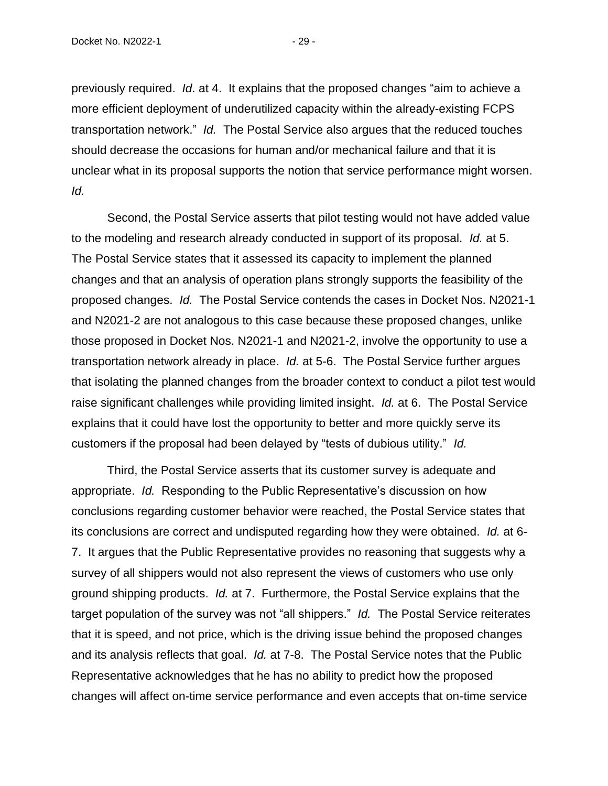previously required. *Id*. at 4. It explains that the proposed changes "aim to achieve a more efficient deployment of underutilized capacity within the already-existing FCPS transportation network." *Id.* The Postal Service also argues that the reduced touches should decrease the occasions for human and/or mechanical failure and that it is unclear what in its proposal supports the notion that service performance might worsen. *Id.*

Second, the Postal Service asserts that pilot testing would not have added value to the modeling and research already conducted in support of its proposal. *Id.* at 5. The Postal Service states that it assessed its capacity to implement the planned changes and that an analysis of operation plans strongly supports the feasibility of the proposed changes. *Id.* The Postal Service contends the cases in Docket Nos. N2021-1 and N2021-2 are not analogous to this case because these proposed changes, unlike those proposed in Docket Nos. N2021-1 and N2021-2, involve the opportunity to use a transportation network already in place. *Id.* at 5-6. The Postal Service further argues that isolating the planned changes from the broader context to conduct a pilot test would raise significant challenges while providing limited insight. *Id.* at 6. The Postal Service explains that it could have lost the opportunity to better and more quickly serve its customers if the proposal had been delayed by "tests of dubious utility." *Id.*

Third, the Postal Service asserts that its customer survey is adequate and appropriate. *Id.* Responding to the Public Representative's discussion on how conclusions regarding customer behavior were reached, the Postal Service states that its conclusions are correct and undisputed regarding how they were obtained. *Id.* at 6- 7. It argues that the Public Representative provides no reasoning that suggests why a survey of all shippers would not also represent the views of customers who use only ground shipping products. *Id.* at 7. Furthermore, the Postal Service explains that the target population of the survey was not "all shippers." *Id.* The Postal Service reiterates that it is speed, and not price, which is the driving issue behind the proposed changes and its analysis reflects that goal. *Id.* at 7-8. The Postal Service notes that the Public Representative acknowledges that he has no ability to predict how the proposed changes will affect on-time service performance and even accepts that on-time service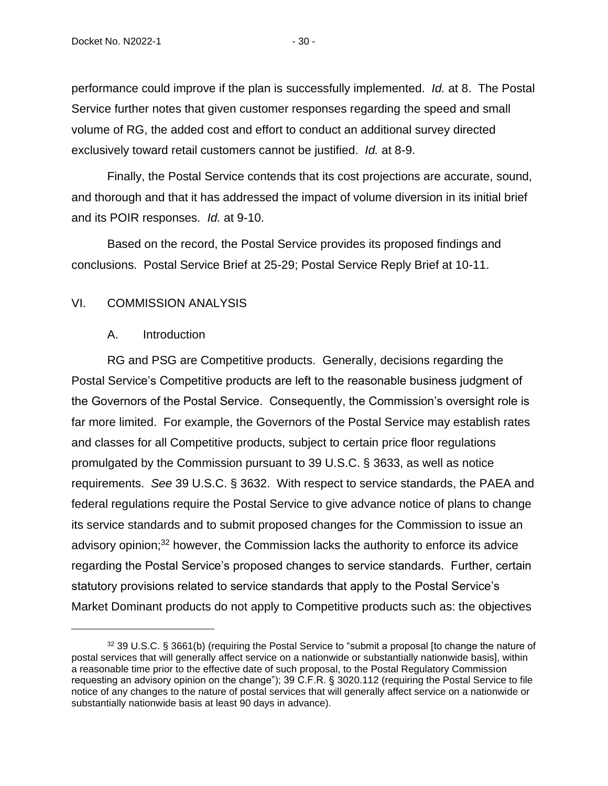performance could improve if the plan is successfully implemented. *Id.* at 8. The Postal Service further notes that given customer responses regarding the speed and small volume of RG, the added cost and effort to conduct an additional survey directed exclusively toward retail customers cannot be justified. *Id.* at 8-9.

Finally, the Postal Service contends that its cost projections are accurate, sound, and thorough and that it has addressed the impact of volume diversion in its initial brief and its POIR responses. *Id.* at 9-10.

Based on the record, the Postal Service provides its proposed findings and conclusions. Postal Service Brief at 25-29; Postal Service Reply Brief at 10-11.

#### <span id="page-32-1"></span><span id="page-32-0"></span>VI. COMMISSION ANALYSIS

#### A. Introduction

RG and PSG are Competitive products. Generally, decisions regarding the Postal Service's Competitive products are left to the reasonable business judgment of the Governors of the Postal Service. Consequently, the Commission's oversight role is far more limited. For example, the Governors of the Postal Service may establish rates and classes for all Competitive products, subject to certain price floor regulations promulgated by the Commission pursuant to 39 U.S.C. § 3633, as well as notice requirements. *See* 39 U.S.C. § 3632. With respect to service standards, the PAEA and federal regulations require the Postal Service to give advance notice of plans to change its service standards and to submit proposed changes for the Commission to issue an advisory opinion; $32$  however, the Commission lacks the authority to enforce its advice regarding the Postal Service's proposed changes to service standards. Further, certain statutory provisions related to service standards that apply to the Postal Service's Market Dominant products do not apply to Competitive products such as: the objectives

<sup>32 39</sup> U.S.C. § 3661(b) (requiring the Postal Service to "submit a proposal [to change the nature of postal services that will generally affect service on a nationwide or substantially nationwide basis], within a reasonable time prior to the effective date of such proposal, to the Postal Regulatory Commission requesting an advisory opinion on the change"); 39 C.F.R. § 3020.112 (requiring the Postal Service to file notice of any changes to the nature of postal services that will generally affect service on a nationwide or substantially nationwide basis at least 90 days in advance).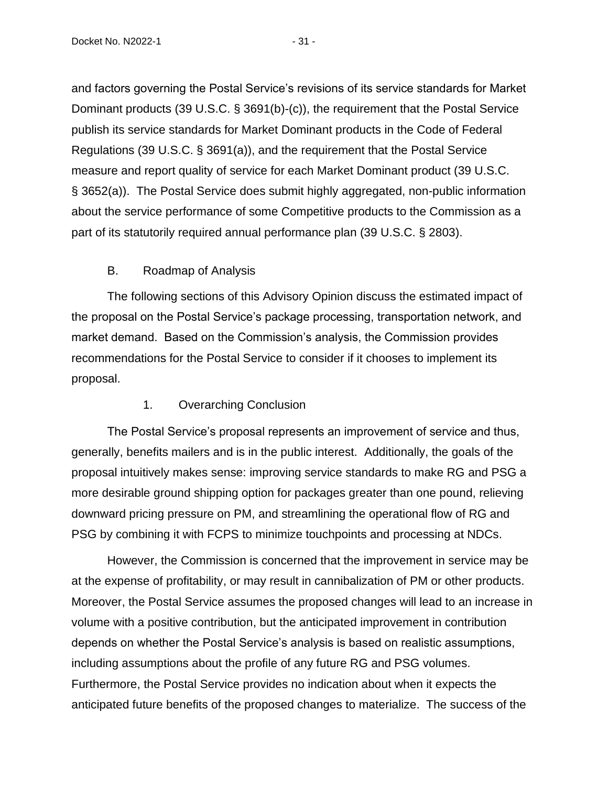and factors governing the Postal Service's revisions of its service standards for Market Dominant products (39 U.S.C. § 3691(b)-(c)), the requirement that the Postal Service publish its service standards for Market Dominant products in the Code of Federal Regulations (39 U.S.C. § 3691(a)), and the requirement that the Postal Service measure and report quality of service for each Market Dominant product (39 U.S.C. § 3652(a)). The Postal Service does submit highly aggregated, non-public information about the service performance of some Competitive products to the Commission as a part of its statutorily required annual performance plan (39 U.S.C. § 2803).

# B. Roadmap of Analysis

<span id="page-33-0"></span>The following sections of this Advisory Opinion discuss the estimated impact of the proposal on the Postal Service's package processing, transportation network, and market demand. Based on the Commission's analysis, the Commission provides recommendations for the Postal Service to consider if it chooses to implement its proposal.

# 1. Overarching Conclusion

<span id="page-33-1"></span>The Postal Service's proposal represents an improvement of service and thus, generally, benefits mailers and is in the public interest. Additionally, the goals of the proposal intuitively makes sense: improving service standards to make RG and PSG a more desirable ground shipping option for packages greater than one pound, relieving downward pricing pressure on PM, and streamlining the operational flow of RG and PSG by combining it with FCPS to minimize touchpoints and processing at NDCs.

However, the Commission is concerned that the improvement in service may be at the expense of profitability, or may result in cannibalization of PM or other products. Moreover, the Postal Service assumes the proposed changes will lead to an increase in volume with a positive contribution, but the anticipated improvement in contribution depends on whether the Postal Service's analysis is based on realistic assumptions, including assumptions about the profile of any future RG and PSG volumes. Furthermore, the Postal Service provides no indication about when it expects the anticipated future benefits of the proposed changes to materialize. The success of the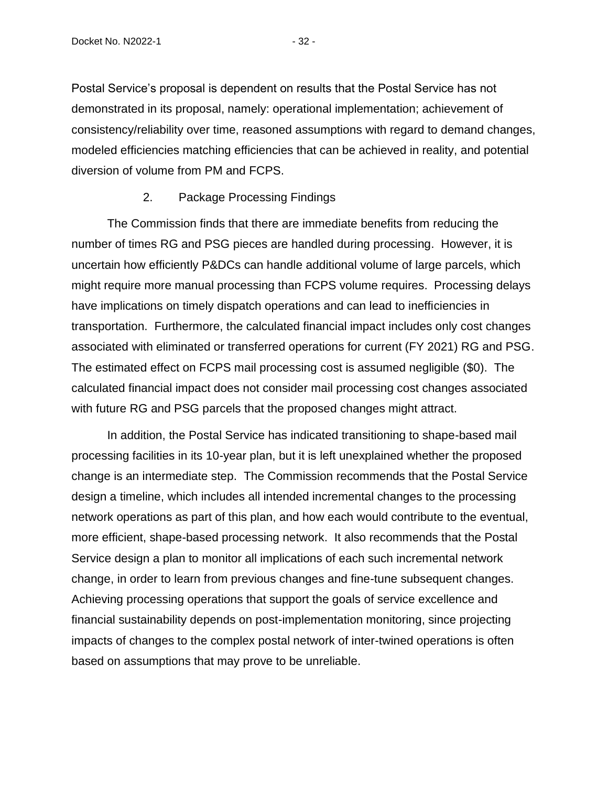Postal Service's proposal is dependent on results that the Postal Service has not demonstrated in its proposal, namely: operational implementation; achievement of consistency/reliability over time, reasoned assumptions with regard to demand changes, modeled efficiencies matching efficiencies that can be achieved in reality, and potential diversion of volume from PM and FCPS.

# 2. Package Processing Findings

<span id="page-34-0"></span>The Commission finds that there are immediate benefits from reducing the number of times RG and PSG pieces are handled during processing. However, it is uncertain how efficiently P&DCs can handle additional volume of large parcels, which might require more manual processing than FCPS volume requires. Processing delays have implications on timely dispatch operations and can lead to inefficiencies in transportation. Furthermore, the calculated financial impact includes only cost changes associated with eliminated or transferred operations for current (FY 2021) RG and PSG. The estimated effect on FCPS mail processing cost is assumed negligible (\$0). The calculated financial impact does not consider mail processing cost changes associated with future RG and PSG parcels that the proposed changes might attract.

In addition, the Postal Service has indicated transitioning to shape-based mail processing facilities in its 10-year plan, but it is left unexplained whether the proposed change is an intermediate step. The Commission recommends that the Postal Service design a timeline, which includes all intended incremental changes to the processing network operations as part of this plan, and how each would contribute to the eventual, more efficient, shape-based processing network. It also recommends that the Postal Service design a plan to monitor all implications of each such incremental network change, in order to learn from previous changes and fine-tune subsequent changes. Achieving processing operations that support the goals of service excellence and financial sustainability depends on post-implementation monitoring, since projecting impacts of changes to the complex postal network of inter-twined operations is often based on assumptions that may prove to be unreliable.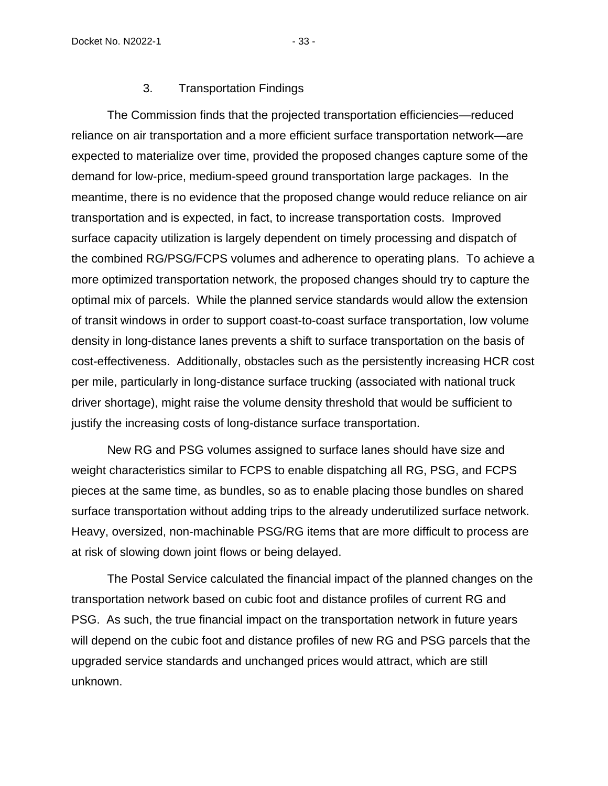## 3. Transportation Findings

<span id="page-35-0"></span>The Commission finds that the projected transportation efficiencies—reduced reliance on air transportation and a more efficient surface transportation network—are expected to materialize over time, provided the proposed changes capture some of the demand for low-price, medium-speed ground transportation large packages. In the meantime, there is no evidence that the proposed change would reduce reliance on air transportation and is expected, in fact, to increase transportation costs. Improved surface capacity utilization is largely dependent on timely processing and dispatch of the combined RG/PSG/FCPS volumes and adherence to operating plans. To achieve a more optimized transportation network, the proposed changes should try to capture the optimal mix of parcels. While the planned service standards would allow the extension of transit windows in order to support coast-to-coast surface transportation, low volume density in long-distance lanes prevents a shift to surface transportation on the basis of cost-effectiveness. Additionally, obstacles such as the persistently increasing HCR cost per mile, particularly in long-distance surface trucking (associated with national truck driver shortage), might raise the volume density threshold that would be sufficient to justify the increasing costs of long-distance surface transportation.

New RG and PSG volumes assigned to surface lanes should have size and weight characteristics similar to FCPS to enable dispatching all RG, PSG, and FCPS pieces at the same time, as bundles, so as to enable placing those bundles on shared surface transportation without adding trips to the already underutilized surface network. Heavy, oversized, non-machinable PSG/RG items that are more difficult to process are at risk of slowing down joint flows or being delayed.

The Postal Service calculated the financial impact of the planned changes on the transportation network based on cubic foot and distance profiles of current RG and PSG. As such, the true financial impact on the transportation network in future years will depend on the cubic foot and distance profiles of new RG and PSG parcels that the upgraded service standards and unchanged prices would attract, which are still unknown.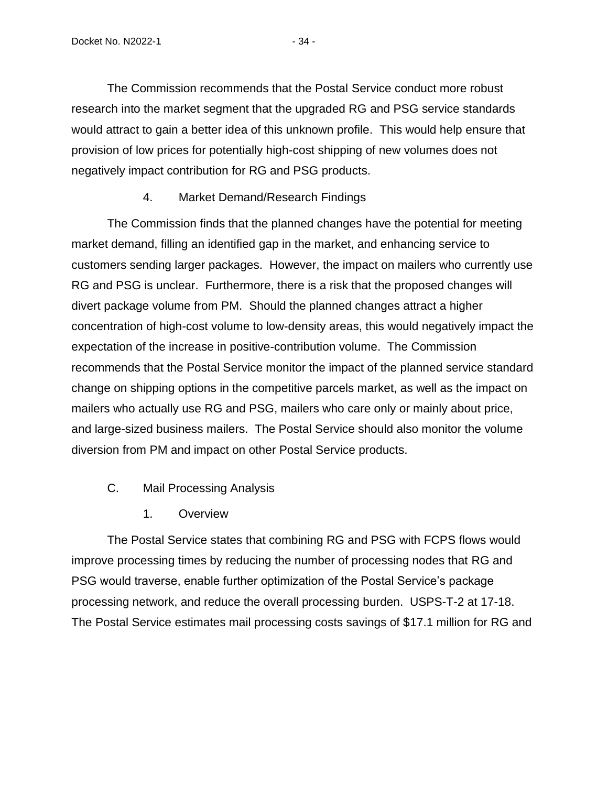The Commission recommends that the Postal Service conduct more robust research into the market segment that the upgraded RG and PSG service standards would attract to gain a better idea of this unknown profile. This would help ensure that provision of low prices for potentially high-cost shipping of new volumes does not negatively impact contribution for RG and PSG products.

## 4. Market Demand/Research Findings

The Commission finds that the planned changes have the potential for meeting market demand, filling an identified gap in the market, and enhancing service to customers sending larger packages. However, the impact on mailers who currently use RG and PSG is unclear. Furthermore, there is a risk that the proposed changes will divert package volume from PM. Should the planned changes attract a higher concentration of high-cost volume to low-density areas, this would negatively impact the expectation of the increase in positive-contribution volume. The Commission recommends that the Postal Service monitor the impact of the planned service standard change on shipping options in the competitive parcels market, as well as the impact on mailers who actually use RG and PSG, mailers who care only or mainly about price, and large-sized business mailers. The Postal Service should also monitor the volume diversion from PM and impact on other Postal Service products.

- C. Mail Processing Analysis
	- 1. Overview

The Postal Service states that combining RG and PSG with FCPS flows would improve processing times by reducing the number of processing nodes that RG and PSG would traverse, enable further optimization of the Postal Service's package processing network, and reduce the overall processing burden. USPS-T-2 at 17-18. The Postal Service estimates mail processing costs savings of \$17.1 million for RG and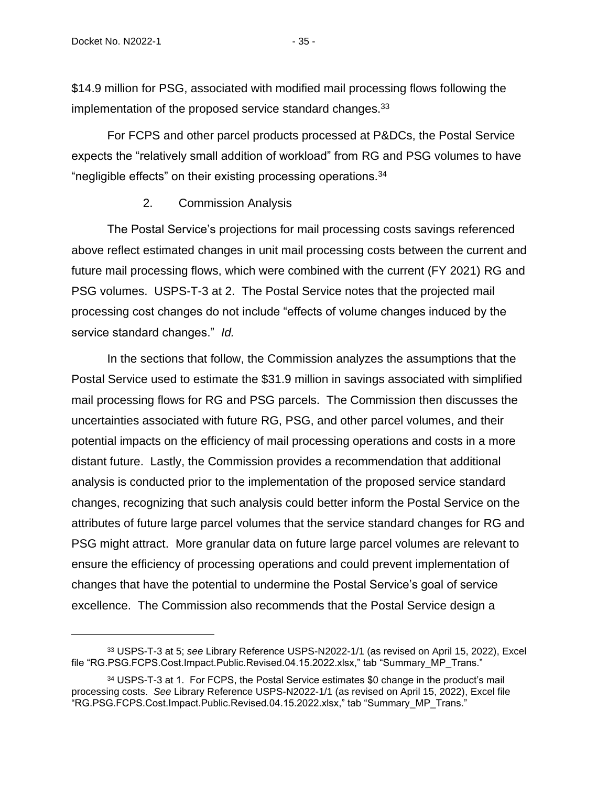\$14.9 million for PSG, associated with modified mail processing flows following the implementation of the proposed service standard changes.<sup>33</sup>

For FCPS and other parcel products processed at P&DCs, the Postal Service expects the "relatively small addition of workload" from RG and PSG volumes to have "negligible effects" on their existing processing operations.<sup>34</sup>

#### 2. Commission Analysis

The Postal Service's projections for mail processing costs savings referenced above reflect estimated changes in unit mail processing costs between the current and future mail processing flows, which were combined with the current (FY 2021) RG and PSG volumes. USPS-T-3 at 2. The Postal Service notes that the projected mail processing cost changes do not include "effects of volume changes induced by the service standard changes." *Id.*

In the sections that follow, the Commission analyzes the assumptions that the Postal Service used to estimate the \$31.9 million in savings associated with simplified mail processing flows for RG and PSG parcels. The Commission then discusses the uncertainties associated with future RG, PSG, and other parcel volumes, and their potential impacts on the efficiency of mail processing operations and costs in a more distant future. Lastly, the Commission provides a recommendation that additional analysis is conducted prior to the implementation of the proposed service standard changes, recognizing that such analysis could better inform the Postal Service on the attributes of future large parcel volumes that the service standard changes for RG and PSG might attract. More granular data on future large parcel volumes are relevant to ensure the efficiency of processing operations and could prevent implementation of changes that have the potential to undermine the Postal Service's goal of service excellence. The Commission also recommends that the Postal Service design a

<sup>33</sup> USPS-T-3 at 5; *see* Library Reference USPS-N2022-1/1 (as revised on April 15, 2022), Excel file "RG.PSG.FCPS.Cost.Impact.Public.Revised.04.15.2022.xlsx," tab "Summary\_MP\_Trans."

<sup>34</sup> USPS-T-3 at 1. For FCPS, the Postal Service estimates \$0 change in the product's mail processing costs. *See* Library Reference USPS-N2022-1/1 (as revised on April 15, 2022), Excel file "RG.PSG.FCPS.Cost.Impact.Public.Revised.04.15.2022.xlsx," tab "Summary\_MP\_Trans."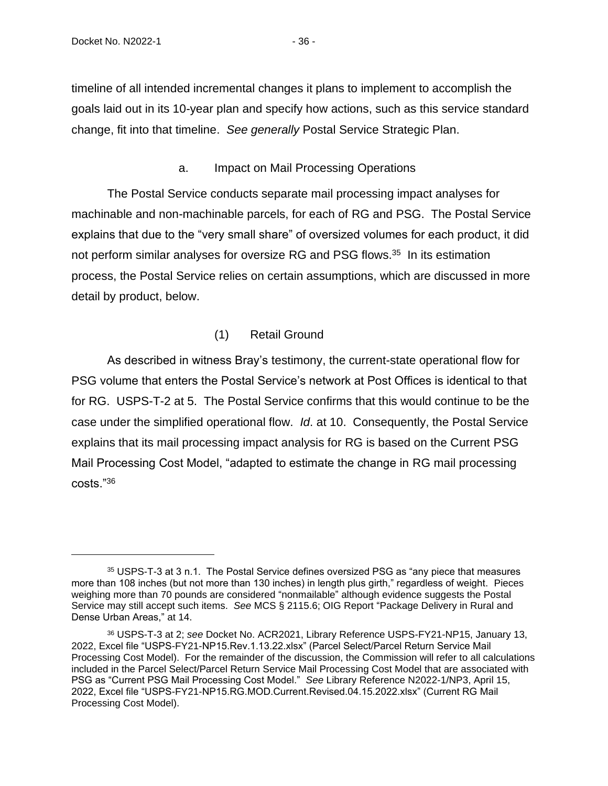timeline of all intended incremental changes it plans to implement to accomplish the goals laid out in its 10-year plan and specify how actions, such as this service standard change, fit into that timeline. *See generally* Postal Service Strategic Plan.

#### a. Impact on Mail Processing Operations

The Postal Service conducts separate mail processing impact analyses for machinable and non-machinable parcels, for each of RG and PSG. The Postal Service explains that due to the "very small share" of oversized volumes for each product, it did not perform similar analyses for oversize RG and PSG flows.<sup>35</sup> In its estimation process, the Postal Service relies on certain assumptions, which are discussed in more detail by product, below.

# (1) Retail Ground

As described in witness Bray's testimony, the current-state operational flow for PSG volume that enters the Postal Service's network at Post Offices is identical to that for RG. USPS-T-2 at 5. The Postal Service confirms that this would continue to be the case under the simplified operational flow. *Id*. at 10. Consequently, the Postal Service explains that its mail processing impact analysis for RG is based on the Current PSG Mail Processing Cost Model, "adapted to estimate the change in RG mail processing costs."<sup>36</sup>

<sup>35</sup> USPS-T-3 at 3 n.1. The Postal Service defines oversized PSG as "any piece that measures more than 108 inches (but not more than 130 inches) in length plus girth," regardless of weight. Pieces weighing more than 70 pounds are considered "nonmailable" although evidence suggests the Postal Service may still accept such items. *See* MCS § 2115.6; OIG Report "Package Delivery in Rural and Dense Urban Areas," at 14.

<sup>36</sup> USPS-T-3 at 2; *see* Docket No. ACR2021, Library Reference USPS-FY21-NP15, January 13, 2022, Excel file "USPS-FY21-NP15.Rev.1.13.22.xlsx" (Parcel Select/Parcel Return Service Mail Processing Cost Model). For the remainder of the discussion, the Commission will refer to all calculations included in the Parcel Select/Parcel Return Service Mail Processing Cost Model that are associated with PSG as "Current PSG Mail Processing Cost Model." *See* Library Reference N2022-1/NP3, April 15, 2022, Excel file "USPS-FY21-NP15.RG.MOD.Current.Revised.04.15.2022.xlsx" (Current RG Mail Processing Cost Model).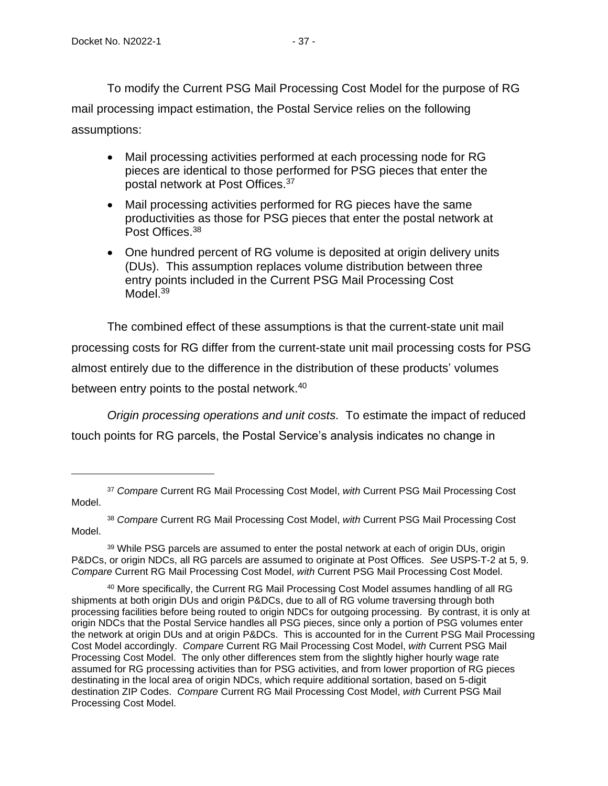To modify the Current PSG Mail Processing Cost Model for the purpose of RG mail processing impact estimation, the Postal Service relies on the following assumptions:

- Mail processing activities performed at each processing node for RG pieces are identical to those performed for PSG pieces that enter the postal network at Post Offices. 37
- Mail processing activities performed for RG pieces have the same productivities as those for PSG pieces that enter the postal network at Post Offices. 38
- One hundred percent of RG volume is deposited at origin delivery units (DUs). This assumption replaces volume distribution between three entry points included in the Current PSG Mail Processing Cost Model.<sup>39</sup>

The combined effect of these assumptions is that the current-state unit mail processing costs for RG differ from the current-state unit mail processing costs for PSG almost entirely due to the difference in the distribution of these products' volumes between entry points to the postal network.<sup>40</sup>

*Origin processing operations and unit costs.* To estimate the impact of reduced touch points for RG parcels, the Postal Service's analysis indicates no change in

<sup>37</sup> *Compare* Current RG Mail Processing Cost Model, *with* Current PSG Mail Processing Cost Model.

<sup>38</sup> *Compare* Current RG Mail Processing Cost Model, *with* Current PSG Mail Processing Cost Model.

<sup>&</sup>lt;sup>39</sup> While PSG parcels are assumed to enter the postal network at each of origin DUs, origin P&DCs, or origin NDCs, all RG parcels are assumed to originate at Post Offices. *See* USPS-T-2 at 5, 9. *Compare* Current RG Mail Processing Cost Model, *with* Current PSG Mail Processing Cost Model.

<sup>&</sup>lt;sup>40</sup> More specifically, the Current RG Mail Processing Cost Model assumes handling of all RG shipments at both origin DUs and origin P&DCs, due to all of RG volume traversing through both processing facilities before being routed to origin NDCs for outgoing processing. By contrast, it is only at origin NDCs that the Postal Service handles all PSG pieces, since only a portion of PSG volumes enter the network at origin DUs and at origin P&DCs. This is accounted for in the Current PSG Mail Processing Cost Model accordingly. *Compare* Current RG Mail Processing Cost Model, *with* Current PSG Mail Processing Cost Model. The only other differences stem from the slightly higher hourly wage rate assumed for RG processing activities than for PSG activities, and from lower proportion of RG pieces destinating in the local area of origin NDCs, which require additional sortation, based on 5-digit destination ZIP Codes. *Compare* Current RG Mail Processing Cost Model, *with* Current PSG Mail Processing Cost Model.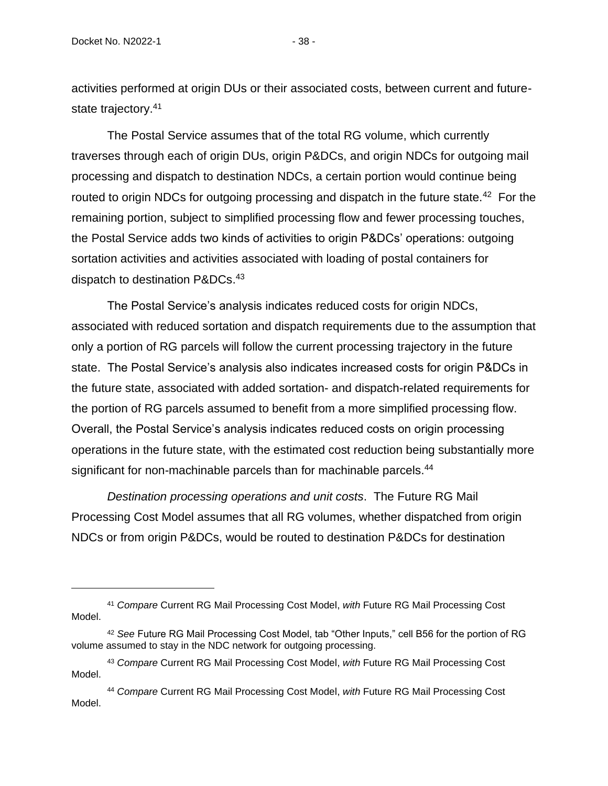activities performed at origin DUs or their associated costs, between current and futurestate trajectory.<sup>41</sup>

The Postal Service assumes that of the total RG volume, which currently traverses through each of origin DUs, origin P&DCs, and origin NDCs for outgoing mail processing and dispatch to destination NDCs, a certain portion would continue being routed to origin NDCs for outgoing processing and dispatch in the future state.<sup>42</sup> For the remaining portion, subject to simplified processing flow and fewer processing touches, the Postal Service adds two kinds of activities to origin P&DCs' operations: outgoing sortation activities and activities associated with loading of postal containers for dispatch to destination P&DCs.<sup>43</sup>

The Postal Service's analysis indicates reduced costs for origin NDCs, associated with reduced sortation and dispatch requirements due to the assumption that only a portion of RG parcels will follow the current processing trajectory in the future state. The Postal Service's analysis also indicates increased costs for origin P&DCs in the future state, associated with added sortation- and dispatch-related requirements for the portion of RG parcels assumed to benefit from a more simplified processing flow. Overall, the Postal Service's analysis indicates reduced costs on origin processing operations in the future state, with the estimated cost reduction being substantially more significant for non-machinable parcels than for machinable parcels.<sup>44</sup>

*Destination processing operations and unit costs*. The Future RG Mail Processing Cost Model assumes that all RG volumes, whether dispatched from origin NDCs or from origin P&DCs, would be routed to destination P&DCs for destination

<sup>41</sup> *Compare* Current RG Mail Processing Cost Model, *with* Future RG Mail Processing Cost Model.

<sup>42</sup> *See* Future RG Mail Processing Cost Model, tab "Other Inputs," cell B56 for the portion of RG volume assumed to stay in the NDC network for outgoing processing.

<sup>43</sup> *Compare* Current RG Mail Processing Cost Model, *with* Future RG Mail Processing Cost Model.

<sup>44</sup> *Compare* Current RG Mail Processing Cost Model, *with* Future RG Mail Processing Cost Model.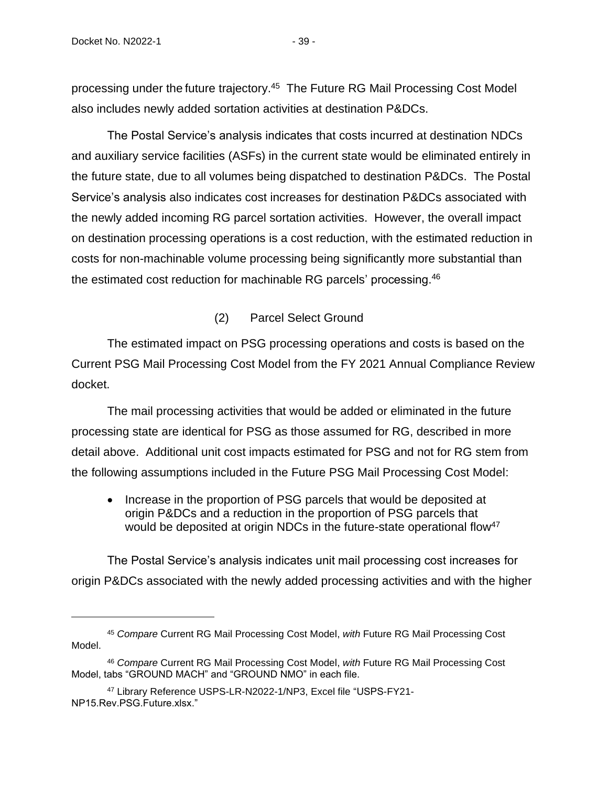processing under the future trajectory.<sup>45</sup> The Future RG Mail Processing Cost Model also includes newly added sortation activities at destination P&DCs.

The Postal Service's analysis indicates that costs incurred at destination NDCs and auxiliary service facilities (ASFs) in the current state would be eliminated entirely in the future state, due to all volumes being dispatched to destination P&DCs. The Postal Service's analysis also indicates cost increases for destination P&DCs associated with the newly added incoming RG parcel sortation activities. However, the overall impact on destination processing operations is a cost reduction, with the estimated reduction in costs for non-machinable volume processing being significantly more substantial than the estimated cost reduction for machinable RG parcels' processing.<sup>46</sup>

(2) Parcel Select Ground

The estimated impact on PSG processing operations and costs is based on the Current PSG Mail Processing Cost Model from the FY 2021 Annual Compliance Review docket.

The mail processing activities that would be added or eliminated in the future processing state are identical for PSG as those assumed for RG, described in more detail above. Additional unit cost impacts estimated for PSG and not for RG stem from the following assumptions included in the Future PSG Mail Processing Cost Model:

• Increase in the proportion of PSG parcels that would be deposited at origin P&DCs and a reduction in the proportion of PSG parcels that would be deposited at origin NDCs in the future-state operational flow<sup>47</sup>

The Postal Service's analysis indicates unit mail processing cost increases for origin P&DCs associated with the newly added processing activities and with the higher

<sup>45</sup> *Compare* Current RG Mail Processing Cost Model, *with* Future RG Mail Processing Cost Model.

<sup>46</sup> *Compare* Current RG Mail Processing Cost Model, *with* Future RG Mail Processing Cost Model, tabs "GROUND MACH" and "GROUND NMO" in each file.

<sup>47</sup> Library Reference USPS-LR-N2022-1/NP3, Excel file "USPS-FY21- NP15.Rev.PSG.Future.xlsx."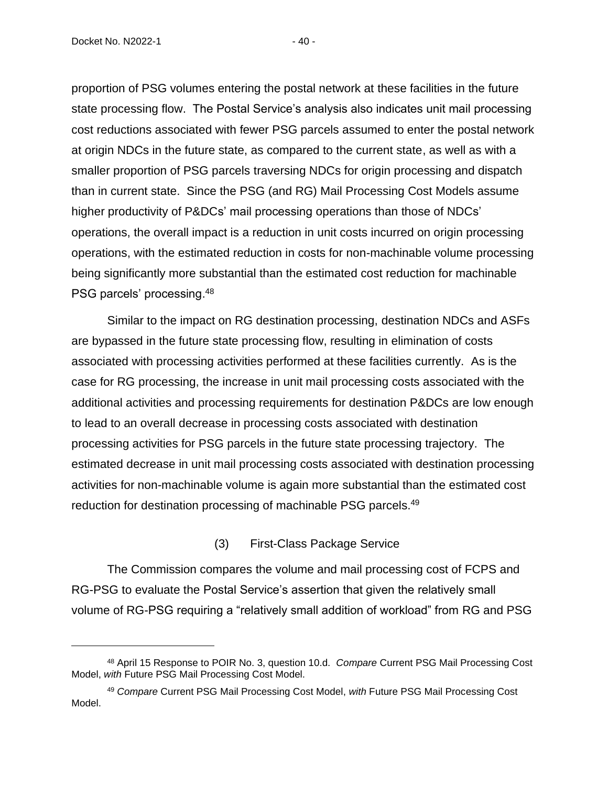proportion of PSG volumes entering the postal network at these facilities in the future state processing flow. The Postal Service's analysis also indicates unit mail processing cost reductions associated with fewer PSG parcels assumed to enter the postal network at origin NDCs in the future state, as compared to the current state, as well as with a smaller proportion of PSG parcels traversing NDCs for origin processing and dispatch than in current state. Since the PSG (and RG) Mail Processing Cost Models assume higher productivity of P&DCs' mail processing operations than those of NDCs' operations, the overall impact is a reduction in unit costs incurred on origin processing operations, with the estimated reduction in costs for non-machinable volume processing being significantly more substantial than the estimated cost reduction for machinable PSG parcels' processing.<sup>48</sup>

Similar to the impact on RG destination processing, destination NDCs and ASFs are bypassed in the future state processing flow, resulting in elimination of costs associated with processing activities performed at these facilities currently. As is the case for RG processing, the increase in unit mail processing costs associated with the additional activities and processing requirements for destination P&DCs are low enough to lead to an overall decrease in processing costs associated with destination processing activities for PSG parcels in the future state processing trajectory. The estimated decrease in unit mail processing costs associated with destination processing activities for non-machinable volume is again more substantial than the estimated cost reduction for destination processing of machinable PSG parcels.<sup>49</sup>

## (3) First-Class Package Service

The Commission compares the volume and mail processing cost of FCPS and RG-PSG to evaluate the Postal Service's assertion that given the relatively small volume of RG-PSG requiring a "relatively small addition of workload" from RG and PSG

<sup>48</sup> April 15 Response to POIR No. 3, question 10.d. *Compare* Current PSG Mail Processing Cost Model, *with* Future PSG Mail Processing Cost Model.

<sup>49</sup> *Compare* Current PSG Mail Processing Cost Model, *with* Future PSG Mail Processing Cost Model.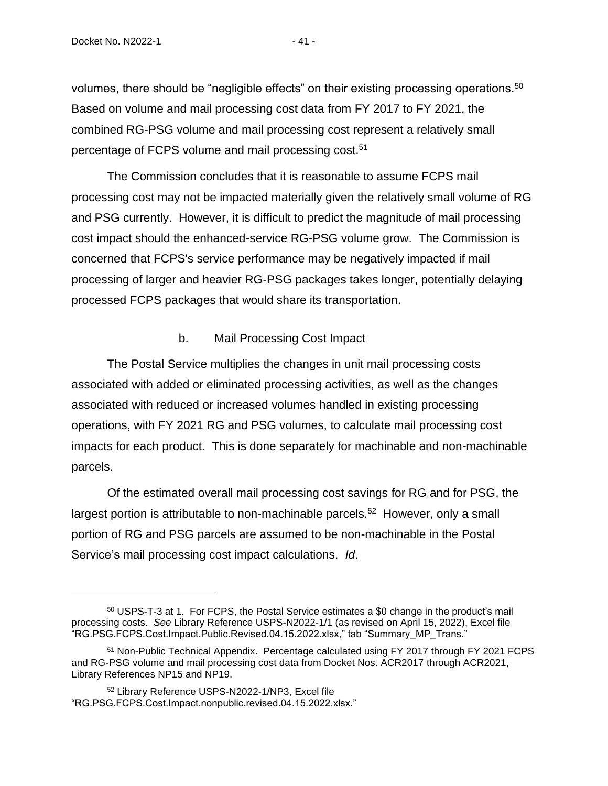volumes, there should be "negligible effects" on their existing processing operations. $50$ Based on volume and mail processing cost data from FY 2017 to FY 2021, the combined RG-PSG volume and mail processing cost represent a relatively small percentage of FCPS volume and mail processing cost.<sup>51</sup>

The Commission concludes that it is reasonable to assume FCPS mail processing cost may not be impacted materially given the relatively small volume of RG and PSG currently. However, it is difficult to predict the magnitude of mail processing cost impact should the enhanced-service RG-PSG volume grow. The Commission is concerned that FCPS's service performance may be negatively impacted if mail processing of larger and heavier RG-PSG packages takes longer, potentially delaying processed FCPS packages that would share its transportation.

## b. Mail Processing Cost Impact

The Postal Service multiplies the changes in unit mail processing costs associated with added or eliminated processing activities, as well as the changes associated with reduced or increased volumes handled in existing processing operations, with FY 2021 RG and PSG volumes, to calculate mail processing cost impacts for each product. This is done separately for machinable and non-machinable parcels.

Of the estimated overall mail processing cost savings for RG and for PSG, the largest portion is attributable to non-machinable parcels.<sup>52</sup> However, only a small portion of RG and PSG parcels are assumed to be non-machinable in the Postal Service's mail processing cost impact calculations. *Id*.

<sup>50</sup> USPS-T-3 at 1. For FCPS, the Postal Service estimates a \$0 change in the product's mail processing costs. *See* Library Reference USPS-N2022-1/1 (as revised on April 15, 2022), Excel file "RG.PSG.FCPS.Cost.Impact.Public.Revised.04.15.2022.xlsx," tab "Summary\_MP\_Trans."

<sup>&</sup>lt;sup>51</sup> Non-Public Technical Appendix. Percentage calculated using FY 2017 through FY 2021 FCPS and RG-PSG volume and mail processing cost data from Docket Nos. ACR2017 through ACR2021, Library References NP15 and NP19.

<sup>52</sup> Library Reference USPS-N2022-1/NP3, Excel file "RG.PSG.FCPS.Cost.Impact.nonpublic.revised.04.15.2022.xlsx."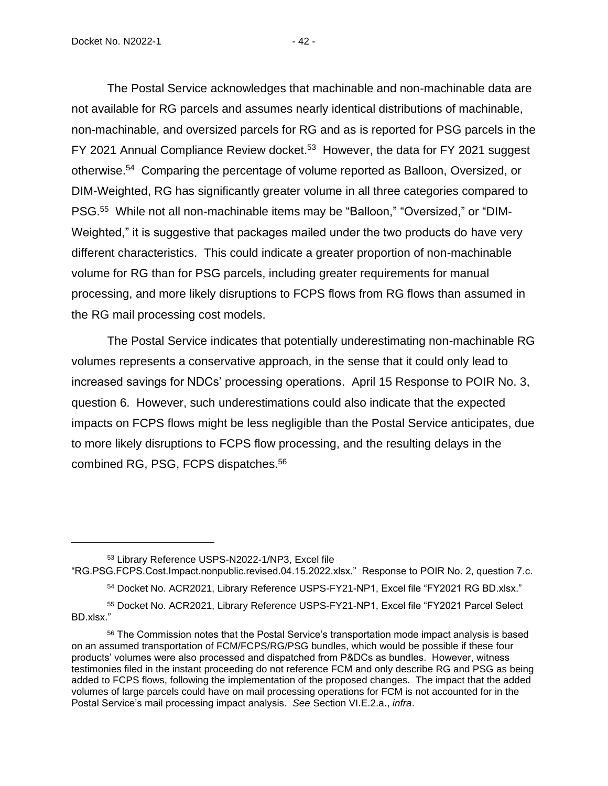The Postal Service acknowledges that machinable and non-machinable data are not available for RG parcels and assumes nearly identical distributions of machinable, non-machinable, and oversized parcels for RG and as is reported for PSG parcels in the FY 2021 Annual Compliance Review docket.<sup>53</sup> However, the data for FY 2021 suggest otherwise. 54 Comparing the percentage of volume reported as Balloon, Oversized, or DIM-Weighted, RG has significantly greater volume in all three categories compared to PSG.<sup>55</sup> While not all non-machinable items may be "Balloon," "Oversized," or "DIM-Weighted," it is suggestive that packages mailed under the two products do have very different characteristics. This could indicate a greater proportion of non-machinable volume for RG than for PSG parcels, including greater requirements for manual processing, and more likely disruptions to FCPS flows from RG flows than assumed in the RG mail processing cost models.

The Postal Service indicates that potentially underestimating non-machinable RG volumes represents a conservative approach, in the sense that it could only lead to increased savings for NDCs' processing operations. April 15 Response to POIR No. 3, question 6. However, such underestimations could also indicate that the expected impacts on FCPS flows might be less negligible than the Postal Service anticipates, due to more likely disruptions to FCPS flow processing, and the resulting delays in the combined RG, PSG, FCPS dispatches. 56

<sup>53</sup> Library Reference USPS-N2022-1/NP3, Excel file

"RG.PSG.FCPS.Cost.Impact.nonpublic.revised.04.15.2022.xlsx." Response to POIR No. 2, question 7.c.

54 Docket No. ACR2021, Library Reference USPS-FY21-NP1, Excel file "FY2021 RG BD.xlsx."

<sup>55</sup> Docket No. ACR2021, Library Reference USPS-FY21-NP1, Excel file "FY2021 Parcel Select BD.xlsx."

<sup>56</sup> The Commission notes that the Postal Service's transportation mode impact analysis is based on an assumed transportation of FCM/FCPS/RG/PSG bundles, which would be possible if these four products' volumes were also processed and dispatched from P&DCs as bundles. However, witness testimonies filed in the instant proceeding do not reference FCM and only describe RG and PSG as being added to FCPS flows, following the implementation of the proposed changes. The impact that the added volumes of large parcels could have on mail processing operations for FCM is not accounted for in the Postal Service's mail processing impact analysis. *See* Section VI.E.2.a., *infra*.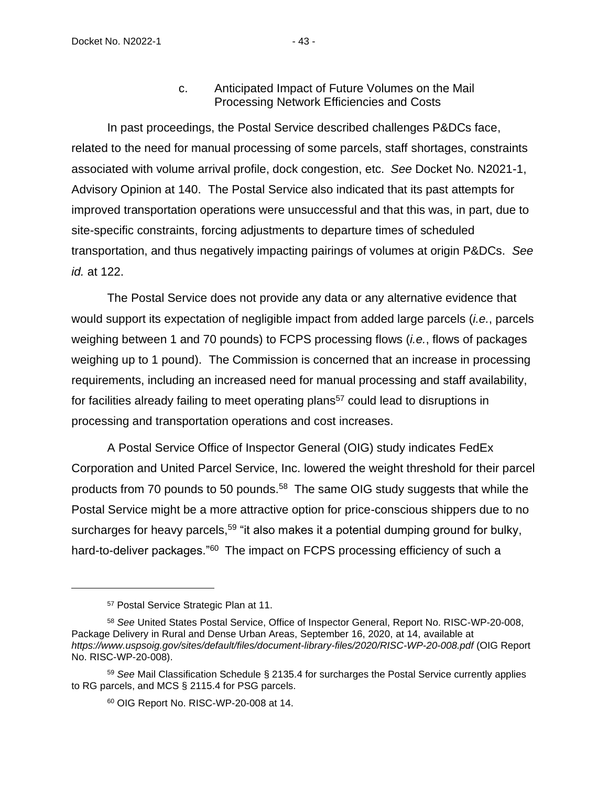### Processing Network Efficiencies and Costs

In past proceedings, the Postal Service described challenges P&DCs face, related to the need for manual processing of some parcels, staff shortages, constraints associated with volume arrival profile, dock congestion, etc. *See* Docket No. N2021-1, Advisory Opinion at 140. The Postal Service also indicated that its past attempts for improved transportation operations were unsuccessful and that this was, in part, due to site-specific constraints, forcing adjustments to departure times of scheduled transportation, and thus negatively impacting pairings of volumes at origin P&DCs. *See id.* at 122.

The Postal Service does not provide any data or any alternative evidence that would support its expectation of negligible impact from added large parcels (*i.e.*, parcels weighing between 1 and 70 pounds) to FCPS processing flows (*i.e.*, flows of packages weighing up to 1 pound). The Commission is concerned that an increase in processing requirements, including an increased need for manual processing and staff availability, for facilities already failing to meet operating plans<sup>57</sup> could lead to disruptions in processing and transportation operations and cost increases.

A Postal Service Office of Inspector General (OIG) study indicates FedEx Corporation and United Parcel Service, Inc. lowered the weight threshold for their parcel products from 70 pounds to 50 pounds.<sup>58</sup> The same OIG study suggests that while the Postal Service might be a more attractive option for price-conscious shippers due to no surcharges for heavy parcels,<sup>59</sup> "it also makes it a potential dumping ground for bulky, hard-to-deliver packages."<sup>60</sup> The impact on FCPS processing efficiency of such a

<sup>57</sup> Postal Service Strategic Plan at 11.

<sup>58</sup> *See* United States Postal Service, Office of Inspector General, Report No. RISC-WP-20-008, Package Delivery in Rural and Dense Urban Areas, September 16, 2020, at 14, available at *https://www.uspsoig.gov/sites/default/files/document-library-files/2020/RISC-WP-20-008.pdf* (OIG Report No. RISC-WP-20-008).

<sup>59</sup> *See* Mail Classification Schedule § 2135.4 for surcharges the Postal Service currently applies to RG parcels, and MCS § 2115.4 for PSG parcels.

<sup>60</sup> OIG Report No. RISC-WP-20-008 at 14.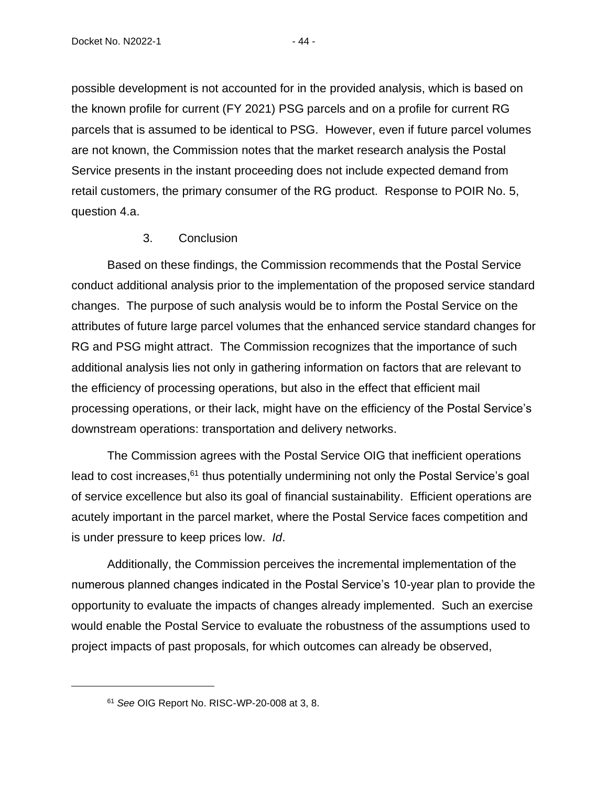possible development is not accounted for in the provided analysis, which is based on the known profile for current (FY 2021) PSG parcels and on a profile for current RG parcels that is assumed to be identical to PSG. However, even if future parcel volumes are not known, the Commission notes that the market research analysis the Postal Service presents in the instant proceeding does not include expected demand from retail customers, the primary consumer of the RG product. Response to POIR No. 5, question 4.a.

## 3. Conclusion

Based on these findings, the Commission recommends that the Postal Service conduct additional analysis prior to the implementation of the proposed service standard changes. The purpose of such analysis would be to inform the Postal Service on the attributes of future large parcel volumes that the enhanced service standard changes for RG and PSG might attract. The Commission recognizes that the importance of such additional analysis lies not only in gathering information on factors that are relevant to the efficiency of processing operations, but also in the effect that efficient mail processing operations, or their lack, might have on the efficiency of the Postal Service's downstream operations: transportation and delivery networks.

The Commission agrees with the Postal Service OIG that inefficient operations lead to cost increases,<sup>61</sup> thus potentially undermining not only the Postal Service's goal of service excellence but also its goal of financial sustainability. Efficient operations are acutely important in the parcel market, where the Postal Service faces competition and is under pressure to keep prices low. *Id*.

Additionally, the Commission perceives the incremental implementation of the numerous planned changes indicated in the Postal Service's 10-year plan to provide the opportunity to evaluate the impacts of changes already implemented. Such an exercise would enable the Postal Service to evaluate the robustness of the assumptions used to project impacts of past proposals, for which outcomes can already be observed,

<sup>61</sup> *See* OIG Report No. RISC-WP-20-008 at 3, 8.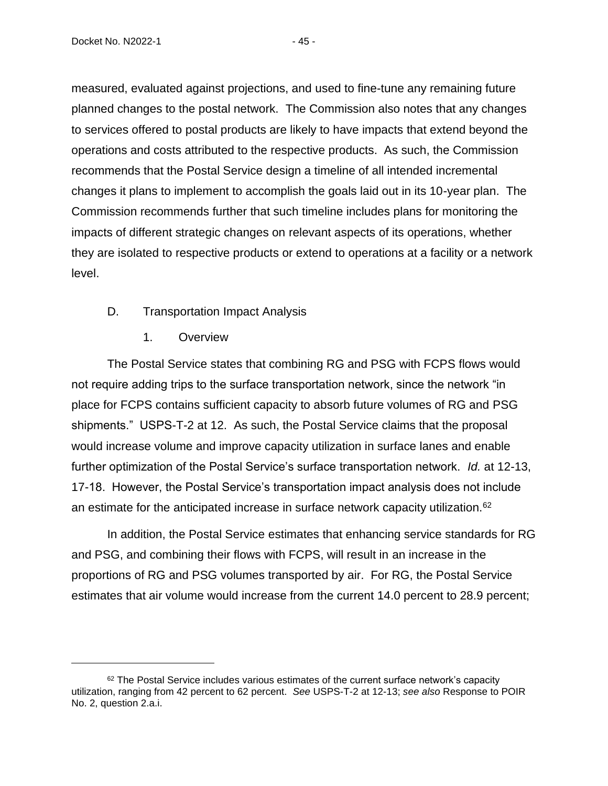measured, evaluated against projections, and used to fine-tune any remaining future planned changes to the postal network. The Commission also notes that any changes to services offered to postal products are likely to have impacts that extend beyond the operations and costs attributed to the respective products. As such, the Commission recommends that the Postal Service design a timeline of all intended incremental changes it plans to implement to accomplish the goals laid out in its 10-year plan. The Commission recommends further that such timeline includes plans for monitoring the impacts of different strategic changes on relevant aspects of its operations, whether they are isolated to respective products or extend to operations at a facility or a network level.

- D. Transportation Impact Analysis
	- 1. Overview

The Postal Service states that combining RG and PSG with FCPS flows would not require adding trips to the surface transportation network, since the network "in place for FCPS contains sufficient capacity to absorb future volumes of RG and PSG shipments." USPS-T-2 at 12. As such, the Postal Service claims that the proposal would increase volume and improve capacity utilization in surface lanes and enable further optimization of the Postal Service's surface transportation network. *Id.* at 12-13, 17-18. However, the Postal Service's transportation impact analysis does not include an estimate for the anticipated increase in surface network capacity utilization.<sup>62</sup>

In addition, the Postal Service estimates that enhancing service standards for RG and PSG, and combining their flows with FCPS, will result in an increase in the proportions of RG and PSG volumes transported by air. For RG, the Postal Service estimates that air volume would increase from the current 14.0 percent to 28.9 percent;

 $62$  The Postal Service includes various estimates of the current surface network's capacity utilization, ranging from 42 percent to 62 percent. *See* USPS-T-2 at 12-13; *see also* Response to POIR No. 2, question 2.a.i.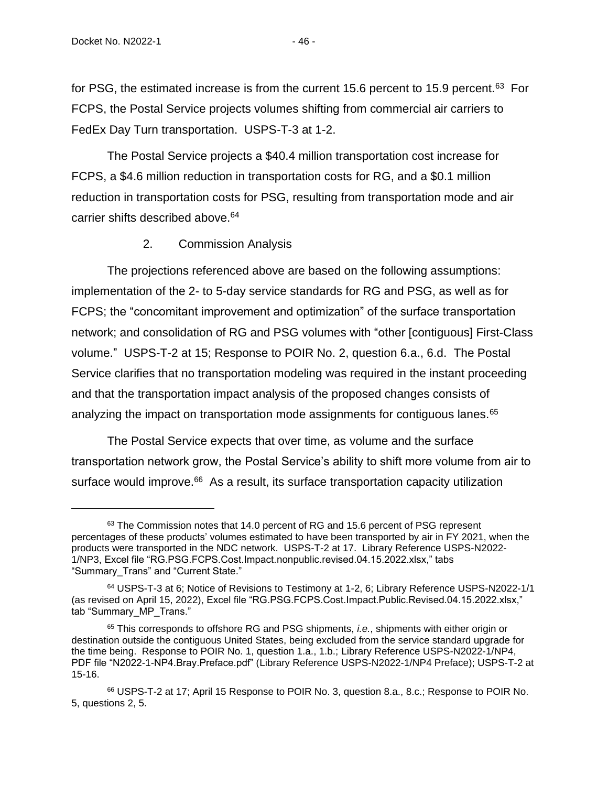for PSG, the estimated increase is from the current 15.6 percent to 15.9 percent.<sup>63</sup> For FCPS, the Postal Service projects volumes shifting from commercial air carriers to FedEx Day Turn transportation. USPS-T-3 at 1-2.

The Postal Service projects a \$40.4 million transportation cost increase for FCPS, a \$4.6 million reduction in transportation costs for RG, and a \$0.1 million reduction in transportation costs for PSG, resulting from transportation mode and air carrier shifts described above.<sup>64</sup>

#### 2. Commission Analysis

The projections referenced above are based on the following assumptions: implementation of the 2- to 5-day service standards for RG and PSG, as well as for FCPS; the "concomitant improvement and optimization" of the surface transportation network; and consolidation of RG and PSG volumes with "other [contiguous] First-Class volume." USPS-T-2 at 15; Response to POIR No. 2, question 6.a., 6.d. The Postal Service clarifies that no transportation modeling was required in the instant proceeding and that the transportation impact analysis of the proposed changes consists of analyzing the impact on transportation mode assignments for contiguous lanes.<sup>65</sup>

The Postal Service expects that over time, as volume and the surface transportation network grow, the Postal Service's ability to shift more volume from air to surface would improve.<sup>66</sup> As a result, its surface transportation capacity utilization

 $63$  The Commission notes that 14.0 percent of RG and 15.6 percent of PSG represent percentages of these products' volumes estimated to have been transported by air in FY 2021, when the products were transported in the NDC network. USPS-T-2 at 17. Library Reference USPS-N2022- 1/NP3, Excel file "RG.PSG.FCPS.Cost.Impact.nonpublic.revised.04.15.2022.xlsx," tabs "Summary\_Trans" and "Current State."

<sup>64</sup> USPS-T-3 at 6; Notice of Revisions to Testimony at 1-2, 6; Library Reference USPS-N2022-1/1 (as revised on April 15, 2022), Excel file "RG.PSG.FCPS.Cost.Impact.Public.Revised.04.15.2022.xlsx," tab "Summary\_MP\_Trans."

<sup>65</sup> This corresponds to offshore RG and PSG shipments, *i.e.*, shipments with either origin or destination outside the contiguous United States, being excluded from the service standard upgrade for the time being. Response to POIR No. 1, question 1.a., 1.b.; Library Reference USPS-N2022-1/NP4, PDF file "N2022-1-NP4.Bray.Preface.pdf" (Library Reference USPS-N2022-1/NP4 Preface); USPS-T-2 at 15-16.

<sup>66</sup> USPS-T-2 at 17; April 15 Response to POIR No. 3, question 8.a., 8.c.; Response to POIR No. 5, questions 2, 5.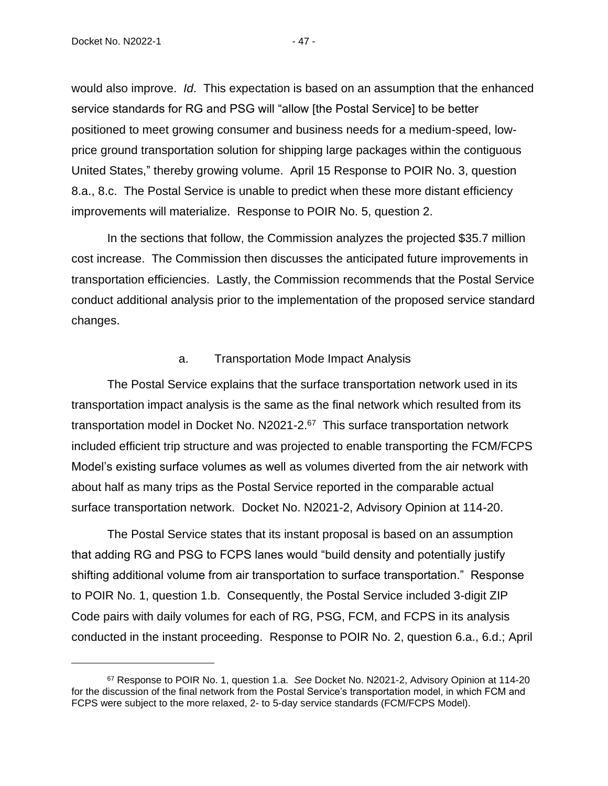would also improve. *Id*. This expectation is based on an assumption that the enhanced service standards for RG and PSG will "allow [the Postal Service] to be better positioned to meet growing consumer and business needs for a medium-speed, lowprice ground transportation solution for shipping large packages within the contiguous United States," thereby growing volume. April 15 Response to POIR No. 3, question 8.a., 8.c. The Postal Service is unable to predict when these more distant efficiency improvements will materialize. Response to POIR No. 5, question 2.

In the sections that follow, the Commission analyzes the projected \$35.7 million cost increase. The Commission then discusses the anticipated future improvements in transportation efficiencies. Lastly, the Commission recommends that the Postal Service conduct additional analysis prior to the implementation of the proposed service standard changes.

#### a. Transportation Mode Impact Analysis

The Postal Service explains that the surface transportation network used in its transportation impact analysis is the same as the final network which resulted from its transportation model in Docket No. N2021-2.<sup>67</sup> This surface transportation network included efficient trip structure and was projected to enable transporting the FCM/FCPS Model's existing surface volumes as well as volumes diverted from the air network with about half as many trips as the Postal Service reported in the comparable actual surface transportation network. Docket No. N2021-2, Advisory Opinion at 114-20.

The Postal Service states that its instant proposal is based on an assumption that adding RG and PSG to FCPS lanes would "build density and potentially justify shifting additional volume from air transportation to surface transportation." Response to POIR No. 1, question 1.b. Consequently, the Postal Service included 3-digit ZIP Code pairs with daily volumes for each of RG, PSG, FCM, and FCPS in its analysis conducted in the instant proceeding. Response to POIR No. 2, question 6.a., 6.d.; April

<sup>67</sup> Response to POIR No. 1, question 1.a. *See* Docket No. N2021-2, Advisory Opinion at 114-20 for the discussion of the final network from the Postal Service's transportation model, in which FCM and FCPS were subject to the more relaxed, 2- to 5-day service standards (FCM/FCPS Model).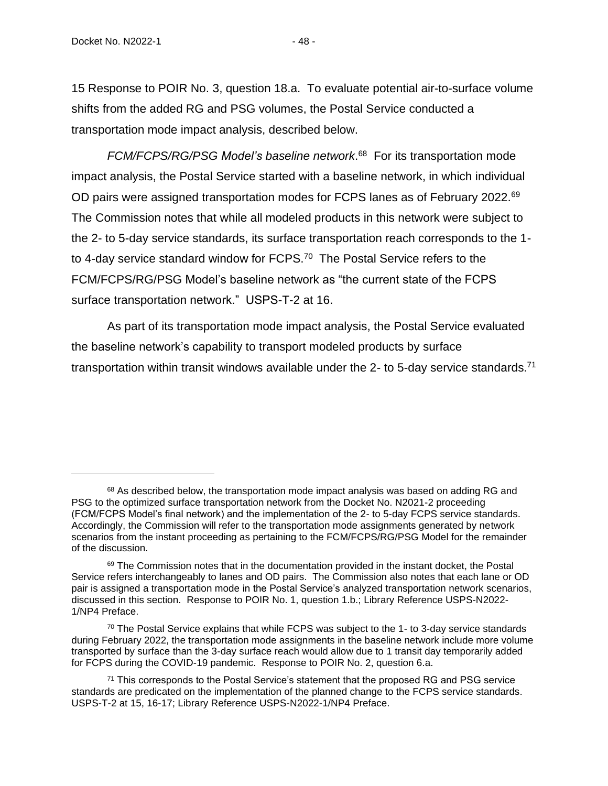15 Response to POIR No. 3, question 18.a. To evaluate potential air-to-surface volume shifts from the added RG and PSG volumes, the Postal Service conducted a transportation mode impact analysis, described below.

*FCM/FCPS/RG/PSG Model's baseline network*. 68 For its transportation mode impact analysis, the Postal Service started with a baseline network, in which individual OD pairs were assigned transportation modes for FCPS lanes as of February 2022.<sup>69</sup> The Commission notes that while all modeled products in this network were subject to the 2- to 5-day service standards, its surface transportation reach corresponds to the 1 to 4-day service standard window for FCPS.<sup>70</sup> The Postal Service refers to the FCM/FCPS/RG/PSG Model's baseline network as "the current state of the FCPS surface transportation network." USPS-T-2 at 16.

As part of its transportation mode impact analysis, the Postal Service evaluated the baseline network's capability to transport modeled products by surface transportation within transit windows available under the 2- to 5-day service standards.<sup>71</sup>

 $68$  As described below, the transportation mode impact analysis was based on adding RG and PSG to the optimized surface transportation network from the Docket No. N2021-2 proceeding (FCM/FCPS Model's final network) and the implementation of the 2- to 5-day FCPS service standards. Accordingly, the Commission will refer to the transportation mode assignments generated by network scenarios from the instant proceeding as pertaining to the FCM/FCPS/RG/PSG Model for the remainder of the discussion.

 $69$  The Commission notes that in the documentation provided in the instant docket, the Postal Service refers interchangeably to lanes and OD pairs. The Commission also notes that each lane or OD pair is assigned a transportation mode in the Postal Service's analyzed transportation network scenarios, discussed in this section. Response to POIR No. 1, question 1.b.; Library Reference USPS-N2022- 1/NP4 Preface.

 $70$  The Postal Service explains that while FCPS was subject to the 1- to 3-day service standards during February 2022, the transportation mode assignments in the baseline network include more volume transported by surface than the 3-day surface reach would allow due to 1 transit day temporarily added for FCPS during the COVID-19 pandemic. Response to POIR No. 2, question 6.a.

<sup>&</sup>lt;sup>71</sup> This corresponds to the Postal Service's statement that the proposed RG and PSG service standards are predicated on the implementation of the planned change to the FCPS service standards. USPS-T-2 at 15, 16-17; Library Reference USPS-N2022-1/NP4 Preface.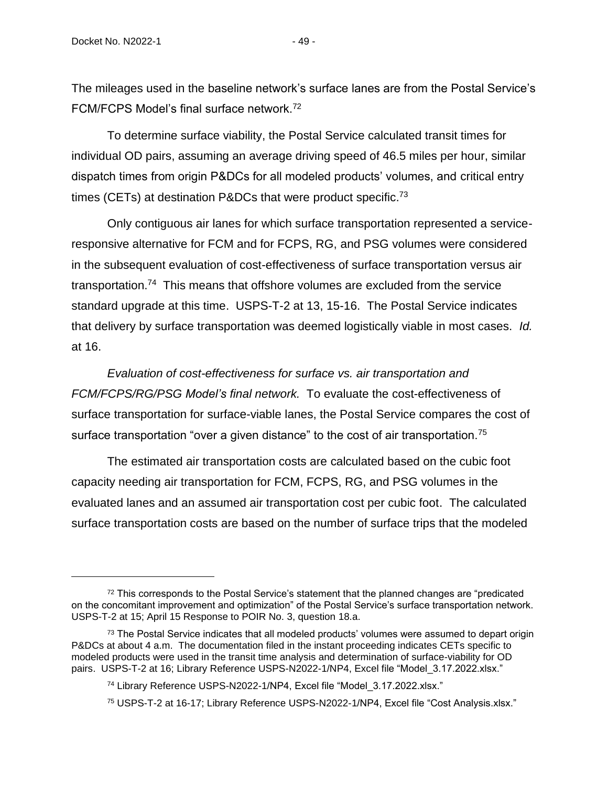The mileages used in the baseline network's surface lanes are from the Postal Service's FCM/FCPS Model's final surface network.<sup>72</sup>

To determine surface viability, the Postal Service calculated transit times for individual OD pairs, assuming an average driving speed of 46.5 miles per hour, similar dispatch times from origin P&DCs for all modeled products' volumes, and critical entry times (CETs) at destination P&DCs that were product specific.<sup>73</sup>

Only contiguous air lanes for which surface transportation represented a serviceresponsive alternative for FCM and for FCPS, RG, and PSG volumes were considered in the subsequent evaluation of cost-effectiveness of surface transportation versus air transportation.<sup>74</sup> This means that offshore volumes are excluded from the service standard upgrade at this time. USPS-T-2 at 13, 15-16. The Postal Service indicates that delivery by surface transportation was deemed logistically viable in most cases. *Id.* at 16.

*Evaluation of cost-effectiveness for surface vs. air transportation and FCM/FCPS/RG/PSG Model's final network.* To evaluate the cost-effectiveness of surface transportation for surface-viable lanes, the Postal Service compares the cost of surface transportation "over a given distance" to the cost of air transportation.<sup>75</sup>

The estimated air transportation costs are calculated based on the cubic foot capacity needing air transportation for FCM, FCPS, RG, and PSG volumes in the evaluated lanes and an assumed air transportation cost per cubic foot. The calculated surface transportation costs are based on the number of surface trips that the modeled

 $72$  This corresponds to the Postal Service's statement that the planned changes are "predicated" on the concomitant improvement and optimization" of the Postal Service's surface transportation network. USPS-T-2 at 15; April 15 Response to POIR No. 3, question 18.a.

 $73$  The Postal Service indicates that all modeled products' volumes were assumed to depart origin P&DCs at about 4 a.m. The documentation filed in the instant proceeding indicates CETs specific to modeled products were used in the transit time analysis and determination of surface-viability for OD pairs. USPS-T-2 at 16; Library Reference USPS-N2022-1/NP4, Excel file "Model 3.17.2022.xlsx."

<sup>&</sup>lt;sup>74</sup> Library Reference USPS-N2022-1/NP4, Excel file "Model 3.17.2022.xlsx."

<sup>75</sup> USPS-T-2 at 16-17; Library Reference USPS-N2022-1/NP4, Excel file "Cost Analysis.xlsx."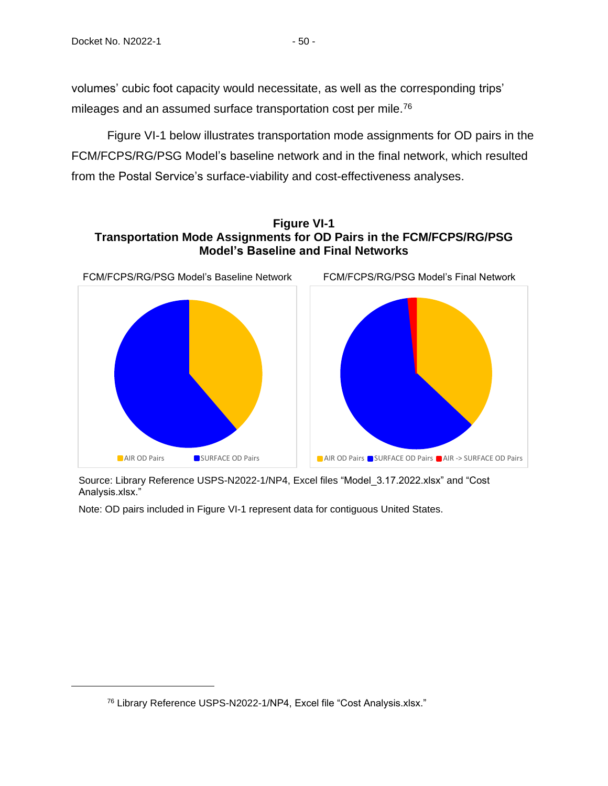volumes' cubic foot capacity would necessitate, as well as the corresponding trips' mileages and an assumed surface transportation cost per mile.<sup>76</sup>

Figure VI-1 below illustrates transportation mode assignments for OD pairs in the FCM/FCPS/RG/PSG Model's baseline network and in the final network, which resulted from the Postal Service's surface-viability and cost-effectiveness analyses.

# **Figure VI-1 Transportation Mode Assignments for OD Pairs in the FCM/FCPS/RG/PSG Model's Baseline and Final Networks**



Source: Library Reference USPS-N2022-1/NP4, Excel files "Model\_3.17.2022.xlsx" and "Cost Analysis.xlsx."

Note: OD pairs included in Figure VI-1 represent data for contiguous United States.

<sup>76</sup> Library Reference USPS-N2022-1/NP4, Excel file "Cost Analysis.xlsx."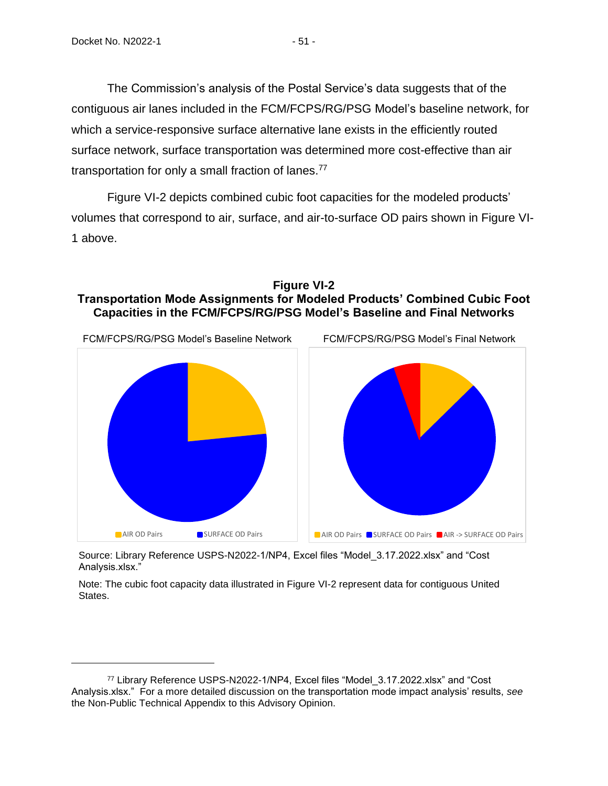The Commission's analysis of the Postal Service's data suggests that of the contiguous air lanes included in the FCM/FCPS/RG/PSG Model's baseline network, for which a service-responsive surface alternative lane exists in the efficiently routed surface network, surface transportation was determined more cost-effective than air transportation for only a small fraction of lanes.<sup>77</sup>

Figure VI-2 depicts combined cubic foot capacities for the modeled products' volumes that correspond to air, surface, and air-to-surface OD pairs shown in Figure VI-1 above.





Source: Library Reference USPS-N2022-1/NP4, Excel files "Model\_3.17.2022.xlsx" and "Cost Analysis.xlsx."

Note: The cubic foot capacity data illustrated in Figure VI-2 represent data for contiguous United States.

<sup>77</sup> Library Reference USPS-N2022-1/NP4, Excel files "Model\_3.17.2022.xlsx" and "Cost Analysis.xlsx." For a more detailed discussion on the transportation mode impact analysis' results, *see* the Non-Public Technical Appendix to this Advisory Opinion.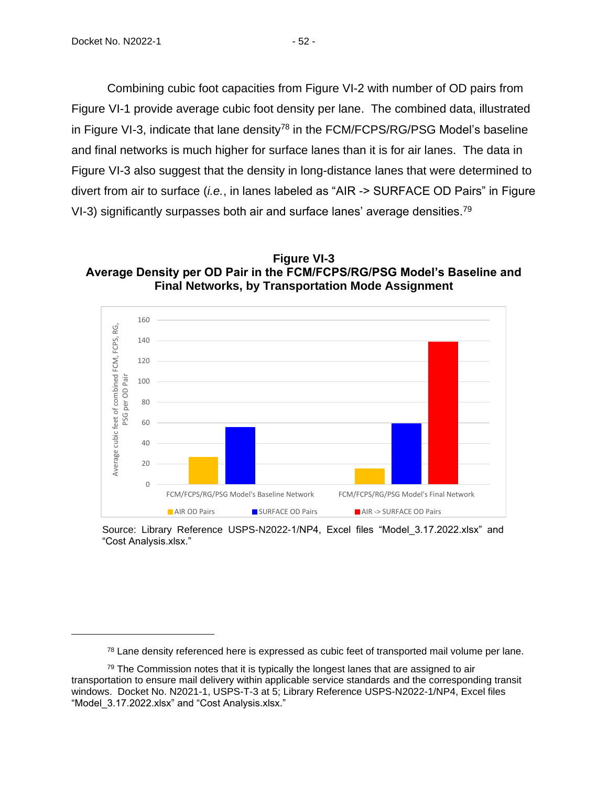Combining cubic foot capacities from Figure VI-2 with number of OD pairs from Figure VI-1 provide average cubic foot density per lane. The combined data, illustrated in Figure VI-3, indicate that lane density<sup>78</sup> in the FCM/FCPS/RG/PSG Model's baseline and final networks is much higher for surface lanes than it is for air lanes. The data in Figure VI-3 also suggest that the density in long-distance lanes that were determined to divert from air to surface (*i.e.*, in lanes labeled as "AIR -> SURFACE OD Pairs" in Figure VI-3) significantly surpasses both air and surface lanes' average densities.<sup>79</sup>

**Figure VI-3 Average Density per OD Pair in the FCM/FCPS/RG/PSG Model's Baseline and Final Networks, by Transportation Mode Assignment**



Source: Library Reference USPS-N2022-1/NP4, Excel files "Model\_3.17.2022.xlsx" and "Cost Analysis.xlsx."

 $78$  Lane density referenced here is expressed as cubic feet of transported mail volume per lane.

 $79$  The Commission notes that it is typically the longest lanes that are assigned to air transportation to ensure mail delivery within applicable service standards and the corresponding transit windows. Docket No. N2021-1, USPS-T-3 at 5; Library Reference USPS-N2022-1/NP4, Excel files "Model\_3.17.2022.xlsx" and "Cost Analysis.xlsx."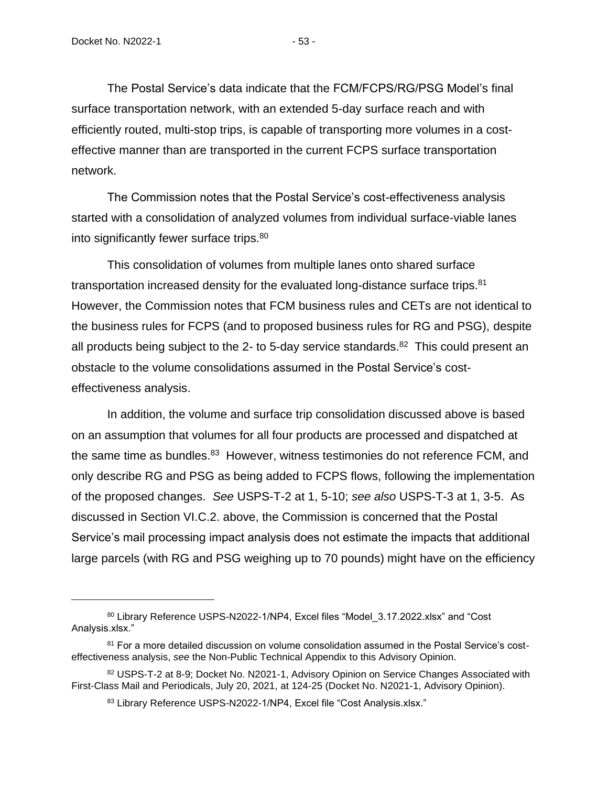The Postal Service's data indicate that the FCM/FCPS/RG/PSG Model's final surface transportation network, with an extended 5-day surface reach and with efficiently routed, multi-stop trips, is capable of transporting more volumes in a costeffective manner than are transported in the current FCPS surface transportation network.

The Commission notes that the Postal Service's cost-effectiveness analysis started with a consolidation of analyzed volumes from individual surface-viable lanes into significantly fewer surface trips.<sup>80</sup>

This consolidation of volumes from multiple lanes onto shared surface transportation increased density for the evaluated long-distance surface trips.<sup>81</sup> However, the Commission notes that FCM business rules and CETs are not identical to the business rules for FCPS (and to proposed business rules for RG and PSG), despite all products being subject to the 2- to 5-day service standards.<sup>82</sup> This could present an obstacle to the volume consolidations assumed in the Postal Service's costeffectiveness analysis.

In addition, the volume and surface trip consolidation discussed above is based on an assumption that volumes for all four products are processed and dispatched at the same time as bundles.<sup>83</sup> However, witness testimonies do not reference FCM, and only describe RG and PSG as being added to FCPS flows, following the implementation of the proposed changes. *See* USPS-T-2 at 1, 5-10; *see also* USPS-T-3 at 1, 3-5. As discussed in Section VI.C.2. above, the Commission is concerned that the Postal Service's mail processing impact analysis does not estimate the impacts that additional large parcels (with RG and PSG weighing up to 70 pounds) might have on the efficiency

<sup>80</sup> Library Reference USPS-N2022-1/NP4, Excel files "Model 3.17.2022.xlsx" and "Cost Analysis.xlsx."

<sup>81</sup> For a more detailed discussion on volume consolidation assumed in the Postal Service's costeffectiveness analysis, *see* the Non-Public Technical Appendix to this Advisory Opinion.

<sup>82</sup> USPS-T-2 at 8-9; Docket No. N2021-1, Advisory Opinion on Service Changes Associated with First-Class Mail and Periodicals, July 20, 2021, at 124-25 (Docket No. N2021-1, Advisory Opinion).

<sup>83</sup> Library Reference USPS-N2022-1/NP4, Excel file "Cost Analysis.xlsx."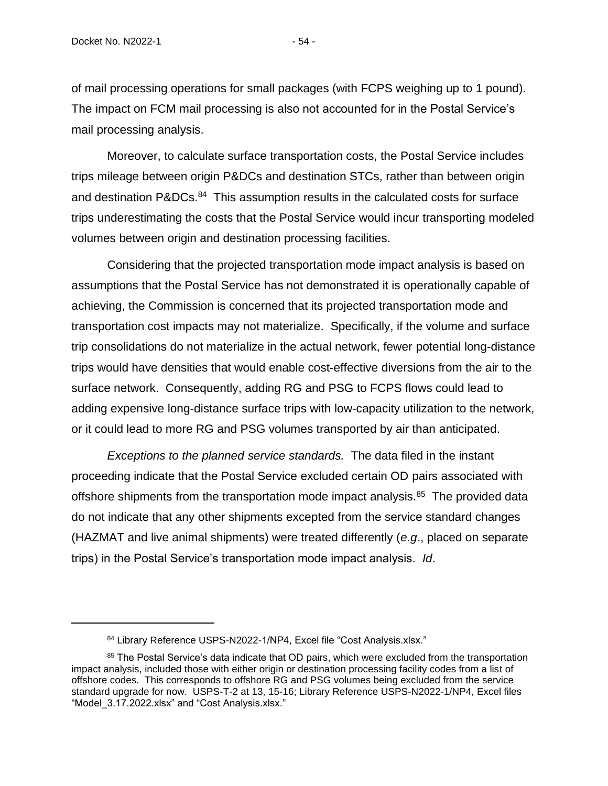of mail processing operations for small packages (with FCPS weighing up to 1 pound). The impact on FCM mail processing is also not accounted for in the Postal Service's mail processing analysis.

Moreover, to calculate surface transportation costs, the Postal Service includes trips mileage between origin P&DCs and destination STCs, rather than between origin and destination P&DCs.<sup>84</sup> This assumption results in the calculated costs for surface trips underestimating the costs that the Postal Service would incur transporting modeled volumes between origin and destination processing facilities.

Considering that the projected transportation mode impact analysis is based on assumptions that the Postal Service has not demonstrated it is operationally capable of achieving, the Commission is concerned that its projected transportation mode and transportation cost impacts may not materialize. Specifically, if the volume and surface trip consolidations do not materialize in the actual network, fewer potential long-distance trips would have densities that would enable cost-effective diversions from the air to the surface network. Consequently, adding RG and PSG to FCPS flows could lead to adding expensive long-distance surface trips with low-capacity utilization to the network, or it could lead to more RG and PSG volumes transported by air than anticipated.

*Exceptions to the planned service standards.* The data filed in the instant proceeding indicate that the Postal Service excluded certain OD pairs associated with offshore shipments from the transportation mode impact analysis.<sup>85</sup> The provided data do not indicate that any other shipments excepted from the service standard changes (HAZMAT and live animal shipments) were treated differently (*e.g*., placed on separate trips) in the Postal Service's transportation mode impact analysis. *Id*.

<sup>84</sup> Library Reference USPS-N2022-1/NP4, Excel file "Cost Analysis.xlsx."

<sup>&</sup>lt;sup>85</sup> The Postal Service's data indicate that OD pairs, which were excluded from the transportation impact analysis, included those with either origin or destination processing facility codes from a list of offshore codes. This corresponds to offshore RG and PSG volumes being excluded from the service standard upgrade for now. USPS-T-2 at 13, 15-16; Library Reference USPS-N2022-1/NP4, Excel files "Model\_3.17.2022.xlsx" and "Cost Analysis.xlsx."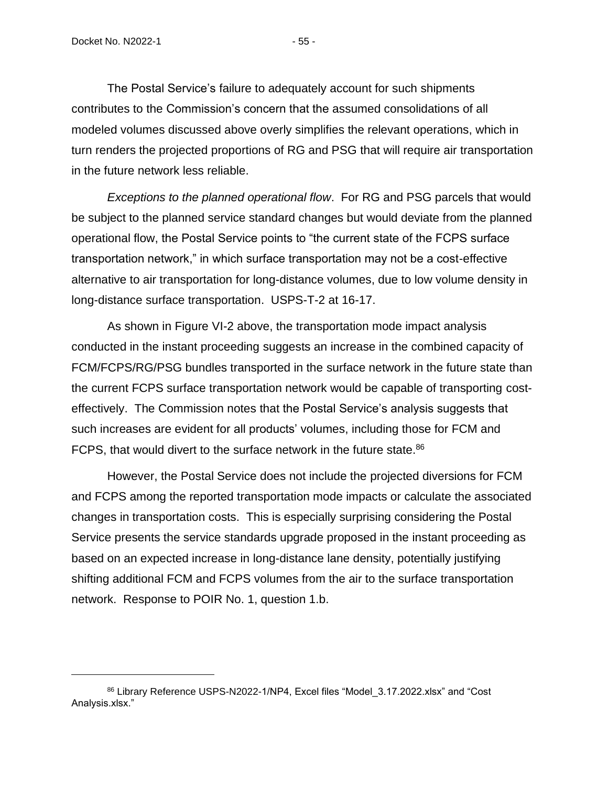The Postal Service's failure to adequately account for such shipments contributes to the Commission's concern that the assumed consolidations of all modeled volumes discussed above overly simplifies the relevant operations, which in turn renders the projected proportions of RG and PSG that will require air transportation in the future network less reliable.

*Exceptions to the planned operational flow*. For RG and PSG parcels that would be subject to the planned service standard changes but would deviate from the planned operational flow, the Postal Service points to "the current state of the FCPS surface transportation network," in which surface transportation may not be a cost-effective alternative to air transportation for long-distance volumes, due to low volume density in long-distance surface transportation. USPS-T-2 at 16-17.

As shown in Figure VI-2 above, the transportation mode impact analysis conducted in the instant proceeding suggests an increase in the combined capacity of FCM/FCPS/RG/PSG bundles transported in the surface network in the future state than the current FCPS surface transportation network would be capable of transporting costeffectively. The Commission notes that the Postal Service's analysis suggests that such increases are evident for all products' volumes, including those for FCM and FCPS, that would divert to the surface network in the future state.<sup>86</sup>

However, the Postal Service does not include the projected diversions for FCM and FCPS among the reported transportation mode impacts or calculate the associated changes in transportation costs. This is especially surprising considering the Postal Service presents the service standards upgrade proposed in the instant proceeding as based on an expected increase in long-distance lane density, potentially justifying shifting additional FCM and FCPS volumes from the air to the surface transportation network. Response to POIR No. 1, question 1.b.

<sup>86</sup> Library Reference USPS-N2022-1/NP4, Excel files "Model\_3.17.2022.xlsx" and "Cost Analysis.xlsx."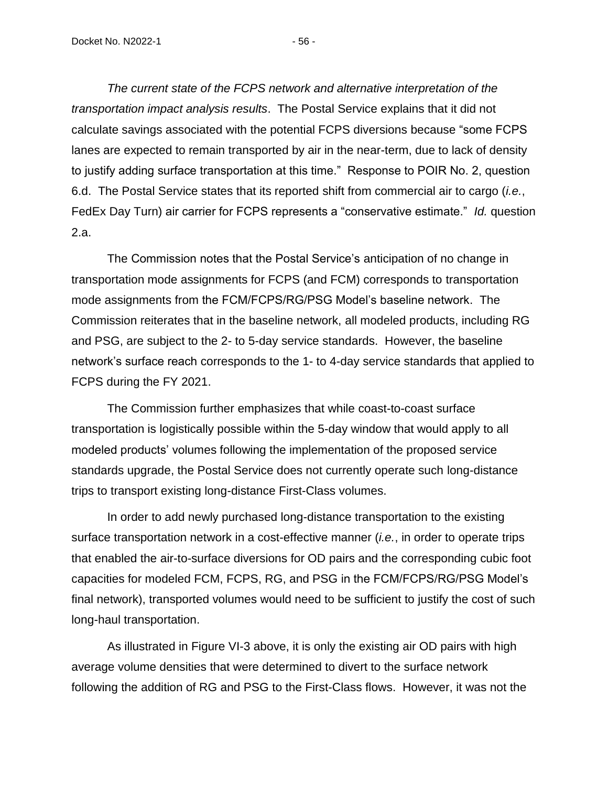*The current state of the FCPS network and alternative interpretation of the transportation impact analysis results*. The Postal Service explains that it did not calculate savings associated with the potential FCPS diversions because "some FCPS lanes are expected to remain transported by air in the near-term, due to lack of density to justify adding surface transportation at this time." Response to POIR No. 2, question 6.d. The Postal Service states that its reported shift from commercial air to cargo (*i.e.*, FedEx Day Turn) air carrier for FCPS represents a "conservative estimate." *Id.* question 2.a.

The Commission notes that the Postal Service's anticipation of no change in transportation mode assignments for FCPS (and FCM) corresponds to transportation mode assignments from the FCM/FCPS/RG/PSG Model's baseline network. The Commission reiterates that in the baseline network, all modeled products, including RG and PSG, are subject to the 2- to 5-day service standards. However, the baseline network's surface reach corresponds to the 1- to 4-day service standards that applied to FCPS during the FY 2021.

The Commission further emphasizes that while coast-to-coast surface transportation is logistically possible within the 5-day window that would apply to all modeled products' volumes following the implementation of the proposed service standards upgrade, the Postal Service does not currently operate such long-distance trips to transport existing long-distance First-Class volumes.

In order to add newly purchased long-distance transportation to the existing surface transportation network in a cost-effective manner (*i.e.*, in order to operate trips that enabled the air-to-surface diversions for OD pairs and the corresponding cubic foot capacities for modeled FCM, FCPS, RG, and PSG in the FCM/FCPS/RG/PSG Model's final network), transported volumes would need to be sufficient to justify the cost of such long-haul transportation.

As illustrated in Figure VI-3 above, it is only the existing air OD pairs with high average volume densities that were determined to divert to the surface network following the addition of RG and PSG to the First-Class flows. However, it was not the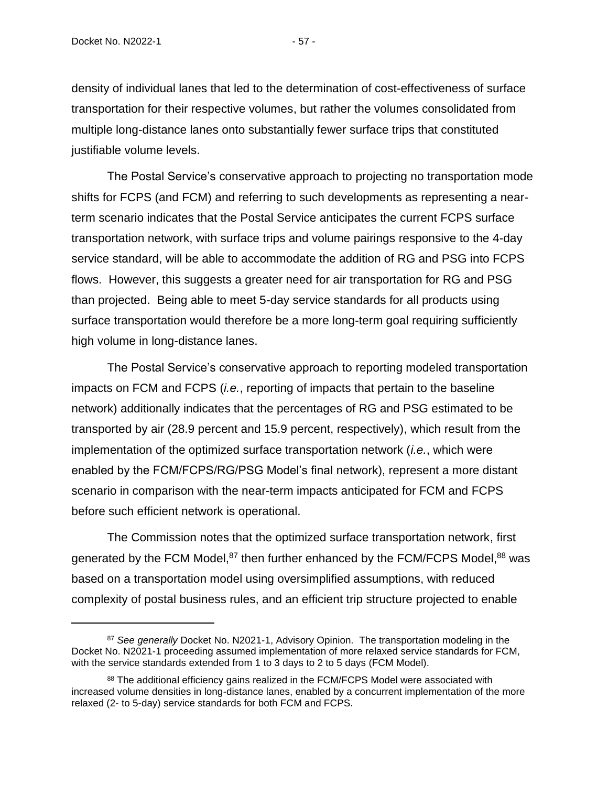density of individual lanes that led to the determination of cost-effectiveness of surface transportation for their respective volumes, but rather the volumes consolidated from multiple long-distance lanes onto substantially fewer surface trips that constituted justifiable volume levels.

The Postal Service's conservative approach to projecting no transportation mode shifts for FCPS (and FCM) and referring to such developments as representing a nearterm scenario indicates that the Postal Service anticipates the current FCPS surface transportation network, with surface trips and volume pairings responsive to the 4-day service standard, will be able to accommodate the addition of RG and PSG into FCPS flows. However, this suggests a greater need for air transportation for RG and PSG than projected. Being able to meet 5-day service standards for all products using surface transportation would therefore be a more long-term goal requiring sufficiently high volume in long-distance lanes.

The Postal Service's conservative approach to reporting modeled transportation impacts on FCM and FCPS (*i.e.*, reporting of impacts that pertain to the baseline network) additionally indicates that the percentages of RG and PSG estimated to be transported by air (28.9 percent and 15.9 percent, respectively), which result from the implementation of the optimized surface transportation network (*i.e.*, which were enabled by the FCM/FCPS/RG/PSG Model's final network), represent a more distant scenario in comparison with the near-term impacts anticipated for FCM and FCPS before such efficient network is operational.

The Commission notes that the optimized surface transportation network, first generated by the FCM Model,<sup>87</sup> then further enhanced by the FCM/FCPS Model,<sup>88</sup> was based on a transportation model using oversimplified assumptions, with reduced complexity of postal business rules, and an efficient trip structure projected to enable

<sup>&</sup>lt;sup>87</sup> See generally Docket No. N2021-1, Advisory Opinion. The transportation modeling in the Docket No. N2021-1 proceeding assumed implementation of more relaxed service standards for FCM, with the service standards extended from 1 to 3 days to 2 to 5 days (FCM Model).

<sup>88</sup> The additional efficiency gains realized in the FCM/FCPS Model were associated with increased volume densities in long-distance lanes, enabled by a concurrent implementation of the more relaxed (2- to 5-day) service standards for both FCM and FCPS.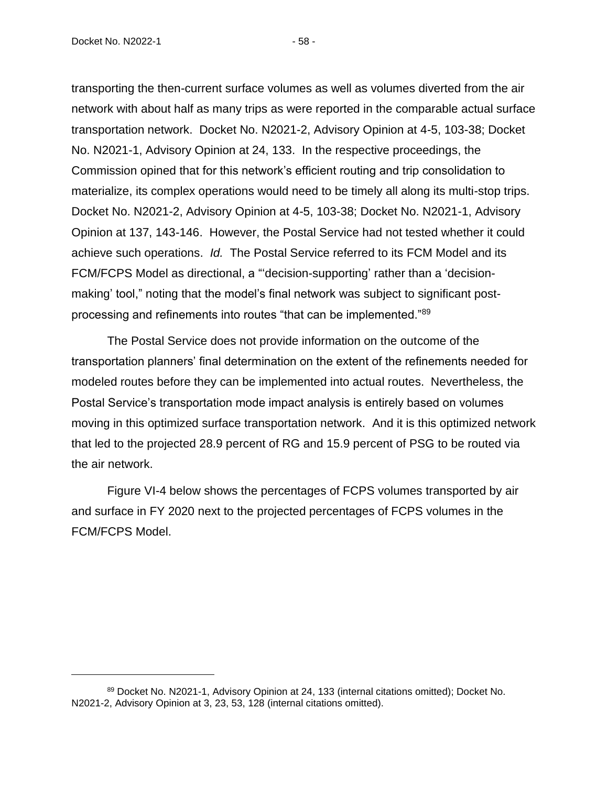Docket No. N2022-1 - 58 -

transporting the then-current surface volumes as well as volumes diverted from the air network with about half as many trips as were reported in the comparable actual surface transportation network. Docket No. N2021-2, Advisory Opinion at 4-5, 103-38; Docket No. N2021-1, Advisory Opinion at 24, 133. In the respective proceedings, the Commission opined that for this network's efficient routing and trip consolidation to materialize, its complex operations would need to be timely all along its multi-stop trips. Docket No. N2021-2, Advisory Opinion at 4-5, 103-38; Docket No. N2021-1, Advisory Opinion at 137, 143-146. However, the Postal Service had not tested whether it could achieve such operations. *Id.* The Postal Service referred to its FCM Model and its FCM/FCPS Model as directional, a "'decision-supporting' rather than a 'decisionmaking' tool," noting that the model's final network was subject to significant postprocessing and refinements into routes "that can be implemented."<sup>89</sup>

The Postal Service does not provide information on the outcome of the transportation planners' final determination on the extent of the refinements needed for modeled routes before they can be implemented into actual routes. Nevertheless, the Postal Service's transportation mode impact analysis is entirely based on volumes moving in this optimized surface transportation network. And it is this optimized network that led to the projected 28.9 percent of RG and 15.9 percent of PSG to be routed via the air network.

Figure VI-4 below shows the percentages of FCPS volumes transported by air and surface in FY 2020 next to the projected percentages of FCPS volumes in the FCM/FCPS Model.

<sup>89</sup> Docket No. N2021-1, Advisory Opinion at 24, 133 (internal citations omitted); Docket No. N2021-2, Advisory Opinion at 3, 23, 53, 128 (internal citations omitted).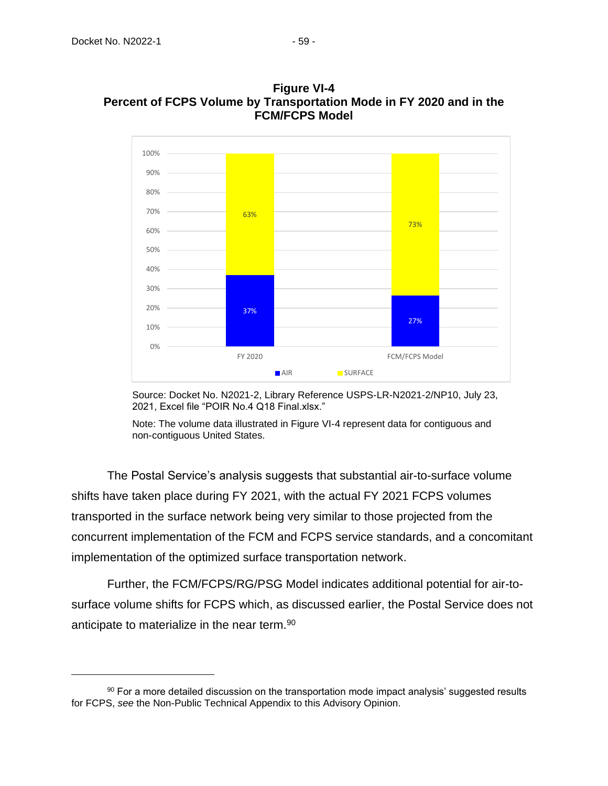

**Figure VI-4 Percent of FCPS Volume by Transportation Mode in FY 2020 and in the FCM/FCPS Model**

Source: Docket No. N2021-2, Library Reference USPS-LR-N2021-2/NP10, July 23, 2021, Excel file "POIR No.4 Q18 Final.xlsx."

Note: The volume data illustrated in Figure VI-4 represent data for contiguous and non-contiguous United States.

The Postal Service's analysis suggests that substantial air-to-surface volume shifts have taken place during FY 2021, with the actual FY 2021 FCPS volumes transported in the surface network being very similar to those projected from the concurrent implementation of the FCM and FCPS service standards, and a concomitant implementation of the optimized surface transportation network.

Further, the FCM/FCPS/RG/PSG Model indicates additional potential for air-tosurface volume shifts for FCPS which, as discussed earlier, the Postal Service does not anticipate to materialize in the near term.<sup>90</sup>

 $90$  For a more detailed discussion on the transportation mode impact analysis' suggested results for FCPS, *see* the Non-Public Technical Appendix to this Advisory Opinion.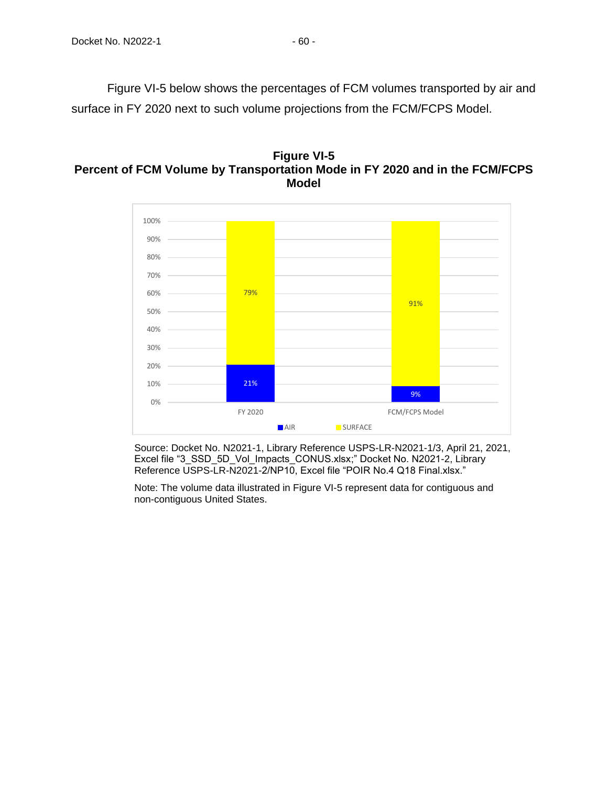Figure VI-5 below shows the percentages of FCM volumes transported by air and surface in FY 2020 next to such volume projections from the FCM/FCPS Model.





Source: Docket No. N2021-1, Library Reference USPS-LR-N2021-1/3, April 21, 2021, Excel file "3\_SSD\_5D\_Vol\_Impacts\_CONUS.xlsx;" Docket No. N2021-2, Library Reference USPS-LR-N2021-2/NP10, Excel file "POIR No.4 Q18 Final.xlsx."

Note: The volume data illustrated in Figure VI-5 represent data for contiguous and non-contiguous United States.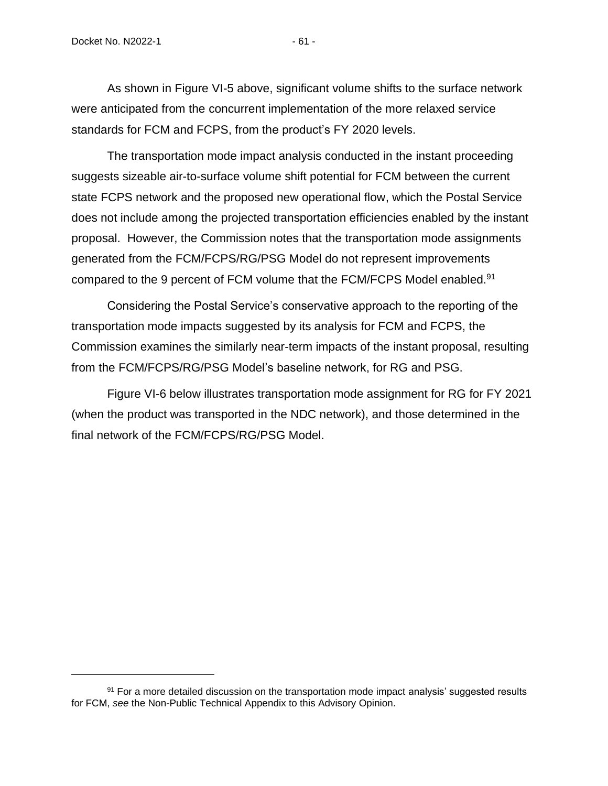As shown in Figure VI-5 above, significant volume shifts to the surface network were anticipated from the concurrent implementation of the more relaxed service standards for FCM and FCPS, from the product's FY 2020 levels.

The transportation mode impact analysis conducted in the instant proceeding suggests sizeable air-to-surface volume shift potential for FCM between the current state FCPS network and the proposed new operational flow, which the Postal Service does not include among the projected transportation efficiencies enabled by the instant proposal. However, the Commission notes that the transportation mode assignments generated from the FCM/FCPS/RG/PSG Model do not represent improvements compared to the 9 percent of FCM volume that the FCM/FCPS Model enabled.<sup>91</sup>

Considering the Postal Service's conservative approach to the reporting of the transportation mode impacts suggested by its analysis for FCM and FCPS, the Commission examines the similarly near-term impacts of the instant proposal, resulting from the FCM/FCPS/RG/PSG Model's baseline network, for RG and PSG.

Figure VI-6 below illustrates transportation mode assignment for RG for FY 2021 (when the product was transported in the NDC network), and those determined in the final network of the FCM/FCPS/RG/PSG Model.

 $91$  For a more detailed discussion on the transportation mode impact analysis' suggested results for FCM, *see* the Non-Public Technical Appendix to this Advisory Opinion.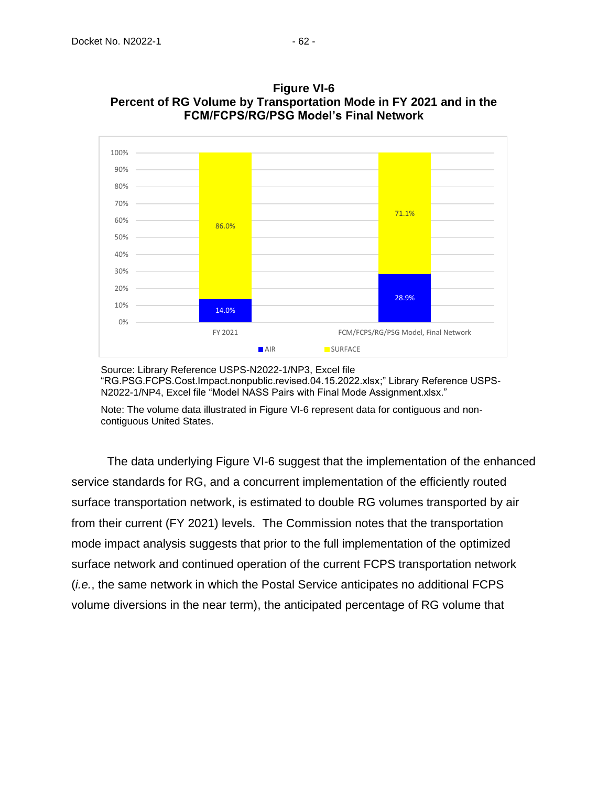

**Figure VI-6 Percent of RG Volume by Transportation Mode in FY 2021 and in the FCM/FCPS/RG/PSG Model's Final Network**

Source: Library Reference USPS-N2022-1/NP3, Excel file "RG.PSG.FCPS.Cost.Impact.nonpublic.revised.04.15.2022.xlsx;" Library Reference USPS-N2022-1/NP4, Excel file "Model NASS Pairs with Final Mode Assignment.xlsx."

Note: The volume data illustrated in Figure VI-6 represent data for contiguous and noncontiguous United States.

The data underlying Figure VI-6 suggest that the implementation of the enhanced service standards for RG, and a concurrent implementation of the efficiently routed surface transportation network, is estimated to double RG volumes transported by air from their current (FY 2021) levels. The Commission notes that the transportation mode impact analysis suggests that prior to the full implementation of the optimized surface network and continued operation of the current FCPS transportation network (*i.e.*, the same network in which the Postal Service anticipates no additional FCPS volume diversions in the near term), the anticipated percentage of RG volume that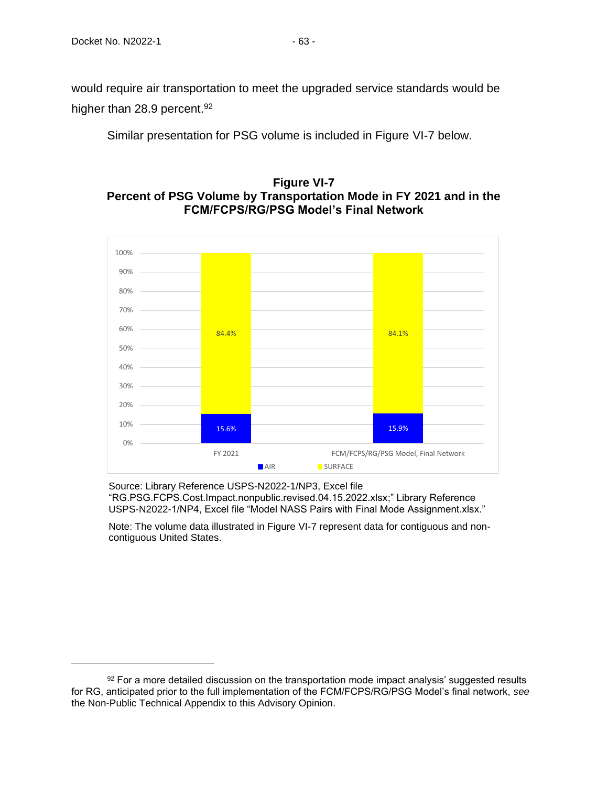would require air transportation to meet the upgraded service standards would be higher than 28.9 percent.<sup>92</sup>

Similar presentation for PSG volume is included in Figure VI-7 below.

## **Figure VI-7 Percent of PSG Volume by Transportation Mode in FY 2021 and in the FCM/FCPS/RG/PSG Model's Final Network**



Source: Library Reference USPS-N2022-1/NP3, Excel file "RG.PSG.FCPS.Cost.Impact.nonpublic.revised.04.15.2022.xlsx;" Library Reference USPS-N2022-1/NP4, Excel file "Model NASS Pairs with Final Mode Assignment.xlsx."

Note: The volume data illustrated in Figure VI-7 represent data for contiguous and noncontiguous United States.

 $92$  For a more detailed discussion on the transportation mode impact analysis' suggested results for RG, anticipated prior to the full implementation of the FCM/FCPS/RG/PSG Model's final network, *see* the Non-Public Technical Appendix to this Advisory Opinion.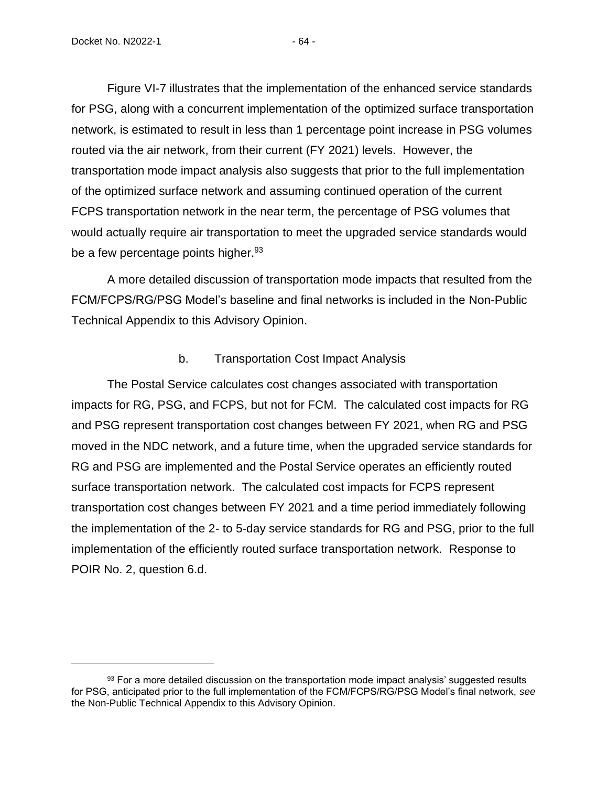Figure VI-7 illustrates that the implementation of the enhanced service standards for PSG, along with a concurrent implementation of the optimized surface transportation network, is estimated to result in less than 1 percentage point increase in PSG volumes routed via the air network, from their current (FY 2021) levels. However, the transportation mode impact analysis also suggests that prior to the full implementation of the optimized surface network and assuming continued operation of the current FCPS transportation network in the near term, the percentage of PSG volumes that would actually require air transportation to meet the upgraded service standards would be a few percentage points higher.<sup>93</sup>

A more detailed discussion of transportation mode impacts that resulted from the FCM/FCPS/RG/PSG Model's baseline and final networks is included in the Non-Public Technical Appendix to this Advisory Opinion.

#### b. Transportation Cost Impact Analysis

The Postal Service calculates cost changes associated with transportation impacts for RG, PSG, and FCPS, but not for FCM. The calculated cost impacts for RG and PSG represent transportation cost changes between FY 2021, when RG and PSG moved in the NDC network, and a future time, when the upgraded service standards for RG and PSG are implemented and the Postal Service operates an efficiently routed surface transportation network. The calculated cost impacts for FCPS represent transportation cost changes between FY 2021 and a time period immediately following the implementation of the 2- to 5-day service standards for RG and PSG, prior to the full implementation of the efficiently routed surface transportation network. Response to POIR No. 2, question 6.d.

 $93$  For a more detailed discussion on the transportation mode impact analysis' suggested results for PSG, anticipated prior to the full implementation of the FCM/FCPS/RG/PSG Model's final network, *see* the Non-Public Technical Appendix to this Advisory Opinion.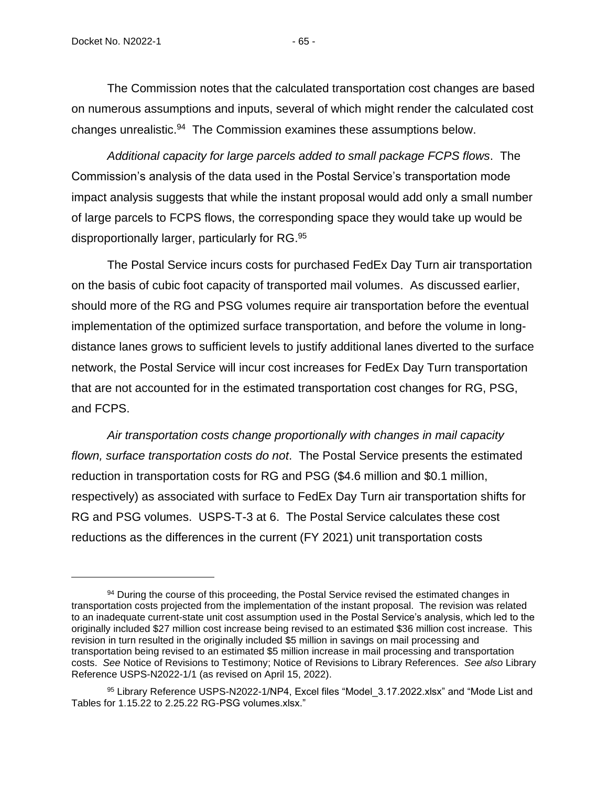The Commission notes that the calculated transportation cost changes are based on numerous assumptions and inputs, several of which might render the calculated cost changes unrealistic.<sup>94</sup> The Commission examines these assumptions below.

*Additional capacity for large parcels added to small package FCPS flows*. The Commission's analysis of the data used in the Postal Service's transportation mode impact analysis suggests that while the instant proposal would add only a small number of large parcels to FCPS flows, the corresponding space they would take up would be disproportionally larger, particularly for RG.<sup>95</sup>

The Postal Service incurs costs for purchased FedEx Day Turn air transportation on the basis of cubic foot capacity of transported mail volumes. As discussed earlier, should more of the RG and PSG volumes require air transportation before the eventual implementation of the optimized surface transportation, and before the volume in longdistance lanes grows to sufficient levels to justify additional lanes diverted to the surface network, the Postal Service will incur cost increases for FedEx Day Turn transportation that are not accounted for in the estimated transportation cost changes for RG, PSG, and FCPS.

*Air transportation costs change proportionally with changes in mail capacity flown, surface transportation costs do not*. The Postal Service presents the estimated reduction in transportation costs for RG and PSG (\$4.6 million and \$0.1 million, respectively) as associated with surface to FedEx Day Turn air transportation shifts for RG and PSG volumes. USPS-T-3 at 6. The Postal Service calculates these cost reductions as the differences in the current (FY 2021) unit transportation costs

<sup>&</sup>lt;sup>94</sup> During the course of this proceeding, the Postal Service revised the estimated changes in transportation costs projected from the implementation of the instant proposal. The revision was related to an inadequate current-state unit cost assumption used in the Postal Service's analysis, which led to the originally included \$27 million cost increase being revised to an estimated \$36 million cost increase. This revision in turn resulted in the originally included \$5 million in savings on mail processing and transportation being revised to an estimated \$5 million increase in mail processing and transportation costs. *See* Notice of Revisions to Testimony; Notice of Revisions to Library References. *See also* Library Reference USPS-N2022-1/1 (as revised on April 15, 2022).

<sup>&</sup>lt;sup>95</sup> Library Reference USPS-N2022-1/NP4, Excel files "Model 3.17.2022.xlsx" and "Mode List and Tables for 1.15.22 to 2.25.22 RG-PSG volumes.xlsx."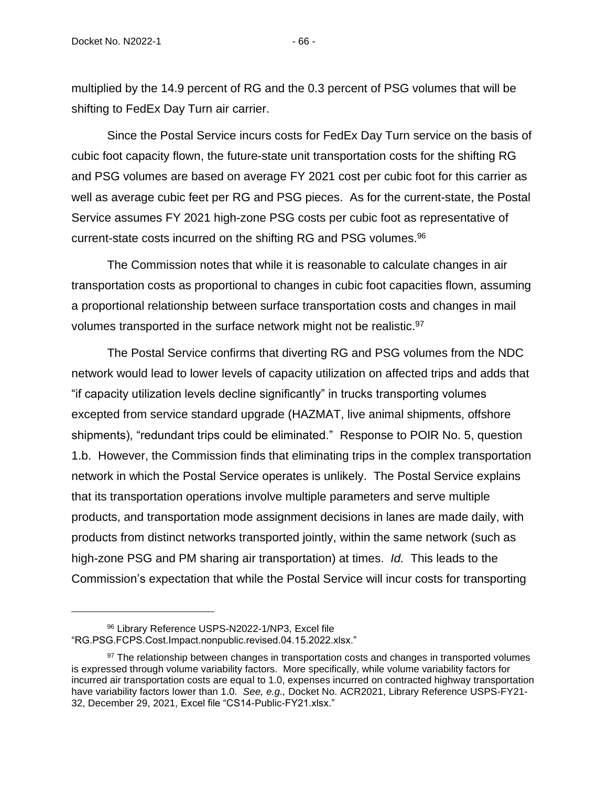multiplied by the 14.9 percent of RG and the 0.3 percent of PSG volumes that will be shifting to FedEx Day Turn air carrier.

Since the Postal Service incurs costs for FedEx Day Turn service on the basis of cubic foot capacity flown, the future-state unit transportation costs for the shifting RG and PSG volumes are based on average FY 2021 cost per cubic foot for this carrier as well as average cubic feet per RG and PSG pieces. As for the current-state, the Postal Service assumes FY 2021 high-zone PSG costs per cubic foot as representative of current-state costs incurred on the shifting RG and PSG volumes.<sup>96</sup>

The Commission notes that while it is reasonable to calculate changes in air transportation costs as proportional to changes in cubic foot capacities flown, assuming a proportional relationship between surface transportation costs and changes in mail volumes transported in the surface network might not be realistic.<sup>97</sup>

The Postal Service confirms that diverting RG and PSG volumes from the NDC network would lead to lower levels of capacity utilization on affected trips and adds that "if capacity utilization levels decline significantly" in trucks transporting volumes excepted from service standard upgrade (HAZMAT, live animal shipments, offshore shipments), "redundant trips could be eliminated." Response to POIR No. 5, question 1.b. However, the Commission finds that eliminating trips in the complex transportation network in which the Postal Service operates is unlikely. The Postal Service explains that its transportation operations involve multiple parameters and serve multiple products, and transportation mode assignment decisions in lanes are made daily, with products from distinct networks transported jointly, within the same network (such as high-zone PSG and PM sharing air transportation) at times. *Id.* This leads to the Commission's expectation that while the Postal Service will incur costs for transporting

<sup>96</sup> Library Reference USPS-N2022-1/NP3, Excel file "RG.PSG.FCPS.Cost.Impact.nonpublic.revised.04.15.2022.xlsx."

<sup>&</sup>lt;sup>97</sup> The relationship between changes in transportation costs and changes in transported volumes is expressed through volume variability factors. More specifically, while volume variability factors for incurred air transportation costs are equal to 1.0, expenses incurred on contracted highway transportation have variability factors lower than 1.0. *See, e.g.,* Docket No. ACR2021, Library Reference USPS-FY21- 32, December 29, 2021, Excel file "CS14-Public-FY21.xlsx."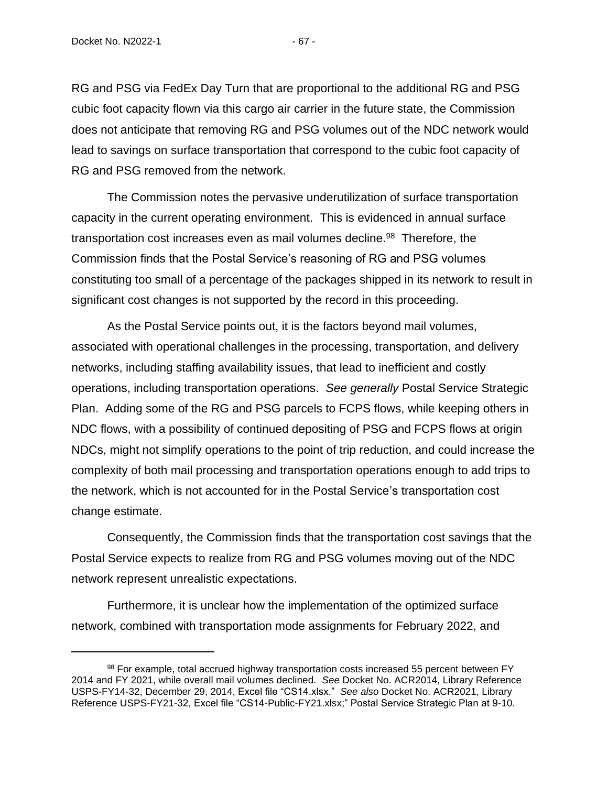RG and PSG via FedEx Day Turn that are proportional to the additional RG and PSG cubic foot capacity flown via this cargo air carrier in the future state, the Commission does not anticipate that removing RG and PSG volumes out of the NDC network would lead to savings on surface transportation that correspond to the cubic foot capacity of RG and PSG removed from the network.

The Commission notes the pervasive underutilization of surface transportation capacity in the current operating environment. This is evidenced in annual surface transportation cost increases even as mail volumes decline.<sup>98</sup> Therefore, the Commission finds that the Postal Service's reasoning of RG and PSG volumes constituting too small of a percentage of the packages shipped in its network to result in significant cost changes is not supported by the record in this proceeding.

As the Postal Service points out, it is the factors beyond mail volumes, associated with operational challenges in the processing, transportation, and delivery networks, including staffing availability issues, that lead to inefficient and costly operations, including transportation operations. *See generally* Postal Service Strategic Plan. Adding some of the RG and PSG parcels to FCPS flows, while keeping others in NDC flows, with a possibility of continued depositing of PSG and FCPS flows at origin NDCs, might not simplify operations to the point of trip reduction, and could increase the complexity of both mail processing and transportation operations enough to add trips to the network, which is not accounted for in the Postal Service's transportation cost change estimate.

Consequently, the Commission finds that the transportation cost savings that the Postal Service expects to realize from RG and PSG volumes moving out of the NDC network represent unrealistic expectations.

Furthermore, it is unclear how the implementation of the optimized surface network, combined with transportation mode assignments for February 2022, and

<sup>98</sup> For example, total accrued highway transportation costs increased 55 percent between FY 2014 and FY 2021, while overall mail volumes declined. *See* Docket No. ACR2014, Library Reference USPS-FY14-32, December 29, 2014, Excel file "CS14.xlsx." *See also* Docket No. ACR2021, Library Reference USPS-FY21-32, Excel file "CS14-Public-FY21.xlsx;" Postal Service Strategic Plan at 9-10.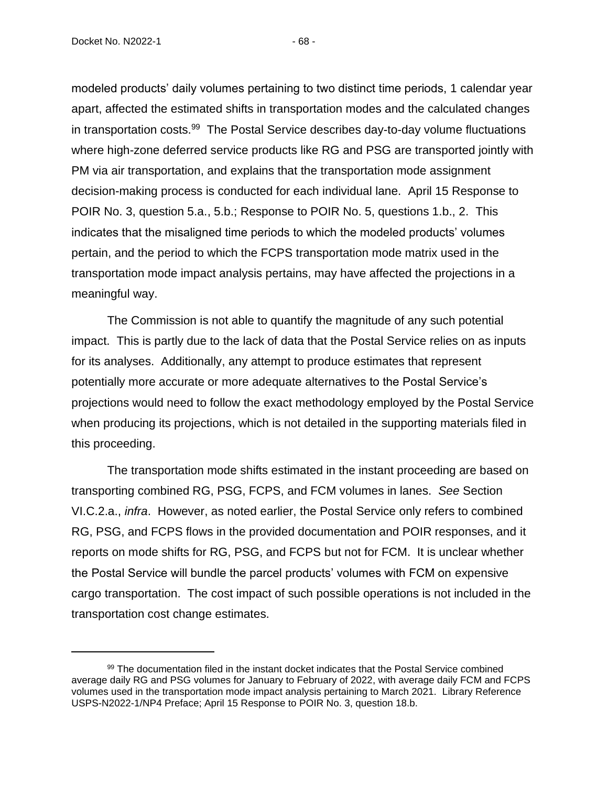Docket No. N2022-1 - 68 -

modeled products' daily volumes pertaining to two distinct time periods, 1 calendar year apart, affected the estimated shifts in transportation modes and the calculated changes in transportation costs.<sup>99</sup> The Postal Service describes day-to-day volume fluctuations where high-zone deferred service products like RG and PSG are transported jointly with PM via air transportation, and explains that the transportation mode assignment decision-making process is conducted for each individual lane. April 15 Response to POIR No. 3, question 5.a., 5.b.; Response to POIR No. 5, questions 1.b., 2. This indicates that the misaligned time periods to which the modeled products' volumes pertain, and the period to which the FCPS transportation mode matrix used in the transportation mode impact analysis pertains, may have affected the projections in a meaningful way.

The Commission is not able to quantify the magnitude of any such potential impact. This is partly due to the lack of data that the Postal Service relies on as inputs for its analyses. Additionally, any attempt to produce estimates that represent potentially more accurate or more adequate alternatives to the Postal Service's projections would need to follow the exact methodology employed by the Postal Service when producing its projections, which is not detailed in the supporting materials filed in this proceeding.

The transportation mode shifts estimated in the instant proceeding are based on transporting combined RG, PSG, FCPS, and FCM volumes in lanes. *See* Section VI.C.2.a., *infra*. However, as noted earlier, the Postal Service only refers to combined RG, PSG, and FCPS flows in the provided documentation and POIR responses, and it reports on mode shifts for RG, PSG, and FCPS but not for FCM. It is unclear whether the Postal Service will bundle the parcel products' volumes with FCM on expensive cargo transportation. The cost impact of such possible operations is not included in the transportation cost change estimates.

<sup>99</sup> The documentation filed in the instant docket indicates that the Postal Service combined average daily RG and PSG volumes for January to February of 2022, with average daily FCM and FCPS volumes used in the transportation mode impact analysis pertaining to March 2021. Library Reference USPS-N2022-1/NP4 Preface; April 15 Response to POIR No. 3, question 18.b.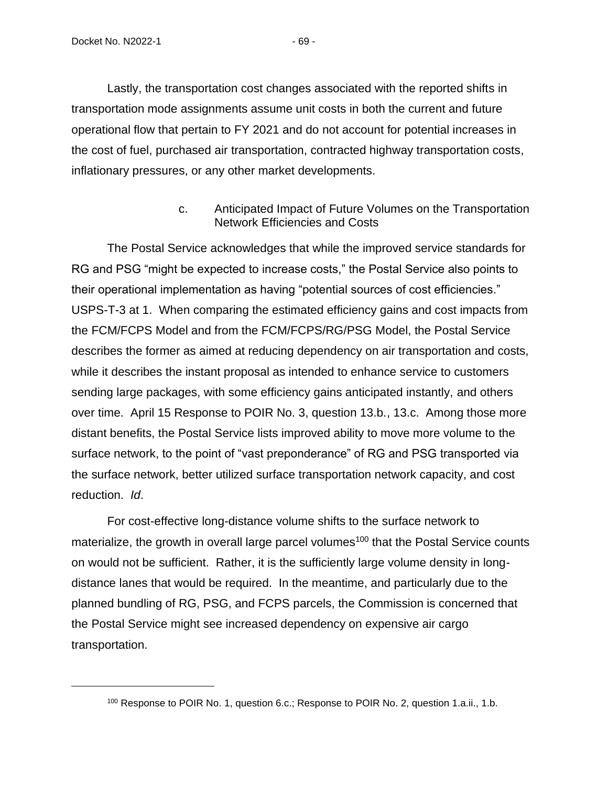Lastly, the transportation cost changes associated with the reported shifts in transportation mode assignments assume unit costs in both the current and future operational flow that pertain to FY 2021 and do not account for potential increases in the cost of fuel, purchased air transportation, contracted highway transportation costs, inflationary pressures, or any other market developments.

> c. Anticipated Impact of Future Volumes on the Transportation Network Efficiencies and Costs

The Postal Service acknowledges that while the improved service standards for RG and PSG "might be expected to increase costs," the Postal Service also points to their operational implementation as having "potential sources of cost efficiencies." USPS-T-3 at 1. When comparing the estimated efficiency gains and cost impacts from the FCM/FCPS Model and from the FCM/FCPS/RG/PSG Model, the Postal Service describes the former as aimed at reducing dependency on air transportation and costs, while it describes the instant proposal as intended to enhance service to customers sending large packages, with some efficiency gains anticipated instantly, and others over time. April 15 Response to POIR No. 3, question 13.b., 13.c. Among those more distant benefits, the Postal Service lists improved ability to move more volume to the surface network, to the point of "vast preponderance" of RG and PSG transported via the surface network, better utilized surface transportation network capacity, and cost reduction. *Id*.

For cost-effective long-distance volume shifts to the surface network to materialize, the growth in overall large parcel volumes<sup>100</sup> that the Postal Service counts on would not be sufficient. Rather, it is the sufficiently large volume density in longdistance lanes that would be required. In the meantime, and particularly due to the planned bundling of RG, PSG, and FCPS parcels, the Commission is concerned that the Postal Service might see increased dependency on expensive air cargo transportation.

<sup>&</sup>lt;sup>100</sup> Response to POIR No. 1, question 6.c.; Response to POIR No. 2, question 1.a.ii., 1.b.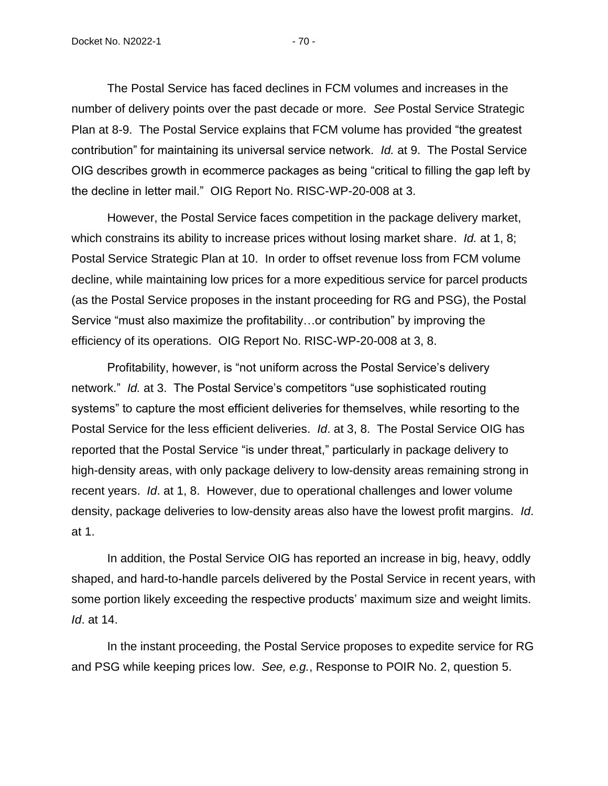The Postal Service has faced declines in FCM volumes and increases in the number of delivery points over the past decade or more. *See* Postal Service Strategic Plan at 8-9. The Postal Service explains that FCM volume has provided "the greatest contribution" for maintaining its universal service network. *Id.* at 9. The Postal Service OIG describes growth in ecommerce packages as being "critical to filling the gap left by the decline in letter mail." OIG Report No. RISC-WP-20-008 at 3.

However, the Postal Service faces competition in the package delivery market, which constrains its ability to increase prices without losing market share. *Id.* at 1, 8; Postal Service Strategic Plan at 10. In order to offset revenue loss from FCM volume decline, while maintaining low prices for a more expeditious service for parcel products (as the Postal Service proposes in the instant proceeding for RG and PSG), the Postal Service "must also maximize the profitability…or contribution" by improving the efficiency of its operations. OIG Report No. RISC-WP-20-008 at 3, 8.

Profitability, however, is "not uniform across the Postal Service's delivery network." *Id.* at 3. The Postal Service's competitors "use sophisticated routing systems" to capture the most efficient deliveries for themselves, while resorting to the Postal Service for the less efficient deliveries. *Id*. at 3, 8. The Postal Service OIG has reported that the Postal Service "is under threat," particularly in package delivery to high-density areas, with only package delivery to low-density areas remaining strong in recent years. *Id*. at 1, 8. However, due to operational challenges and lower volume density, package deliveries to low-density areas also have the lowest profit margins. *Id*. at 1.

In addition, the Postal Service OIG has reported an increase in big, heavy, oddly shaped, and hard-to-handle parcels delivered by the Postal Service in recent years, with some portion likely exceeding the respective products' maximum size and weight limits. *Id*. at 14.

In the instant proceeding, the Postal Service proposes to expedite service for RG and PSG while keeping prices low. *See, e.g.*, Response to POIR No. 2, question 5.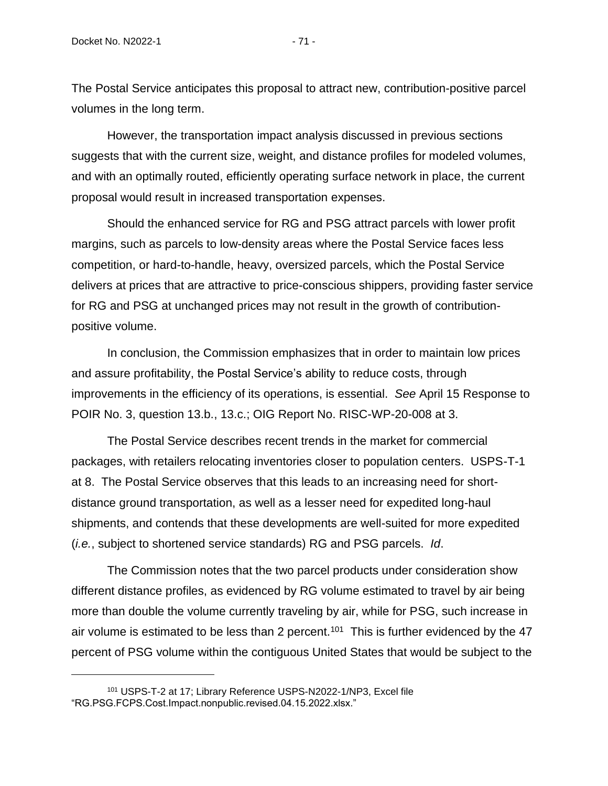The Postal Service anticipates this proposal to attract new, contribution-positive parcel volumes in the long term.

However, the transportation impact analysis discussed in previous sections suggests that with the current size, weight, and distance profiles for modeled volumes, and with an optimally routed, efficiently operating surface network in place, the current proposal would result in increased transportation expenses.

Should the enhanced service for RG and PSG attract parcels with lower profit margins, such as parcels to low-density areas where the Postal Service faces less competition, or hard-to-handle, heavy, oversized parcels, which the Postal Service delivers at prices that are attractive to price-conscious shippers, providing faster service for RG and PSG at unchanged prices may not result in the growth of contributionpositive volume.

In conclusion, the Commission emphasizes that in order to maintain low prices and assure profitability, the Postal Service's ability to reduce costs, through improvements in the efficiency of its operations, is essential. *See* April 15 Response to POIR No. 3, question 13.b., 13.c.; OIG Report No. RISC-WP-20-008 at 3.

The Postal Service describes recent trends in the market for commercial packages, with retailers relocating inventories closer to population centers. USPS-T-1 at 8. The Postal Service observes that this leads to an increasing need for shortdistance ground transportation, as well as a lesser need for expedited long-haul shipments, and contends that these developments are well-suited for more expedited (*i.e.*, subject to shortened service standards) RG and PSG parcels. *Id*.

The Commission notes that the two parcel products under consideration show different distance profiles, as evidenced by RG volume estimated to travel by air being more than double the volume currently traveling by air, while for PSG, such increase in air volume is estimated to be less than 2 percent.<sup>101</sup> This is further evidenced by the 47 percent of PSG volume within the contiguous United States that would be subject to the

<sup>101</sup> USPS-T-2 at 17; Library Reference USPS-N2022-1/NP3, Excel file "RG.PSG.FCPS.Cost.Impact.nonpublic.revised.04.15.2022.xlsx."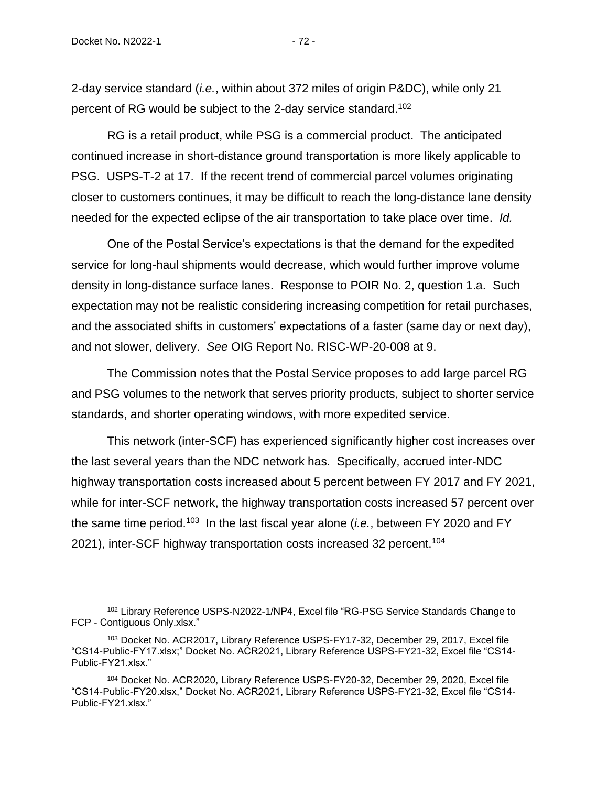2-day service standard (*i.e.*, within about 372 miles of origin P&DC), while only 21 percent of RG would be subject to the 2-day service standard.<sup>102</sup>

RG is a retail product, while PSG is a commercial product. The anticipated continued increase in short-distance ground transportation is more likely applicable to PSG. USPS-T-2 at 17. If the recent trend of commercial parcel volumes originating closer to customers continues, it may be difficult to reach the long-distance lane density needed for the expected eclipse of the air transportation to take place over time. *Id.*

One of the Postal Service's expectations is that the demand for the expedited service for long-haul shipments would decrease, which would further improve volume density in long-distance surface lanes. Response to POIR No. 2, question 1.a. Such expectation may not be realistic considering increasing competition for retail purchases, and the associated shifts in customers' expectations of a faster (same day or next day), and not slower, delivery. *See* OIG Report No. RISC-WP-20-008 at 9.

The Commission notes that the Postal Service proposes to add large parcel RG and PSG volumes to the network that serves priority products, subject to shorter service standards, and shorter operating windows, with more expedited service.

This network (inter-SCF) has experienced significantly higher cost increases over the last several years than the NDC network has. Specifically, accrued inter-NDC highway transportation costs increased about 5 percent between FY 2017 and FY 2021, while for inter-SCF network, the highway transportation costs increased 57 percent over the same time period.<sup>103</sup> In the last fiscal year alone (*i.e.*, between FY 2020 and FY 2021), inter-SCF highway transportation costs increased 32 percent.<sup>104</sup>

<sup>&</sup>lt;sup>102</sup> Library Reference USPS-N2022-1/NP4, Excel file "RG-PSG Service Standards Change to FCP - Contiguous Only.xlsx."

<sup>103</sup> Docket No. ACR2017, Library Reference USPS-FY17-32, December 29, 2017, Excel file "CS14-Public-FY17.xlsx;" Docket No. ACR2021, Library Reference USPS-FY21-32, Excel file "CS14- Public-FY21.xlsx."

<sup>104</sup> Docket No. ACR2020, Library Reference USPS-FY20-32, December 29, 2020, Excel file "CS14-Public-FY20.xlsx," Docket No. ACR2021, Library Reference USPS-FY21-32, Excel file "CS14- Public-FY21.xlsx."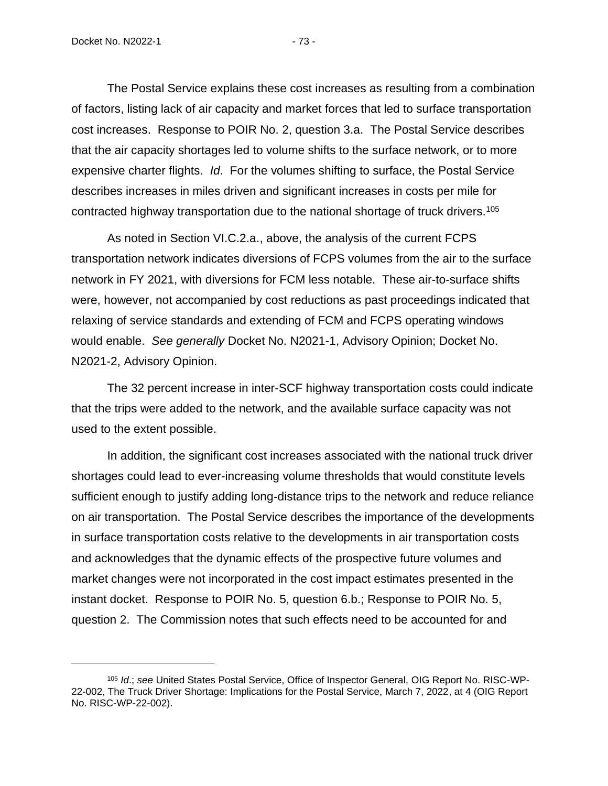The Postal Service explains these cost increases as resulting from a combination of factors, listing lack of air capacity and market forces that led to surface transportation cost increases. Response to POIR No. 2, question 3.a. The Postal Service describes that the air capacity shortages led to volume shifts to the surface network, or to more expensive charter flights. *Id*. For the volumes shifting to surface, the Postal Service describes increases in miles driven and significant increases in costs per mile for contracted highway transportation due to the national shortage of truck drivers.<sup>105</sup>

As noted in Section VI.C.2.a., above, the analysis of the current FCPS transportation network indicates diversions of FCPS volumes from the air to the surface network in FY 2021, with diversions for FCM less notable. These air-to-surface shifts were, however, not accompanied by cost reductions as past proceedings indicated that relaxing of service standards and extending of FCM and FCPS operating windows would enable. *See generally* Docket No. N2021-1, Advisory Opinion; Docket No. N2021-2, Advisory Opinion.

The 32 percent increase in inter-SCF highway transportation costs could indicate that the trips were added to the network, and the available surface capacity was not used to the extent possible.

In addition, the significant cost increases associated with the national truck driver shortages could lead to ever-increasing volume thresholds that would constitute levels sufficient enough to justify adding long-distance trips to the network and reduce reliance on air transportation. The Postal Service describes the importance of the developments in surface transportation costs relative to the developments in air transportation costs and acknowledges that the dynamic effects of the prospective future volumes and market changes were not incorporated in the cost impact estimates presented in the instant docket. Response to POIR No. 5, question 6.b.; Response to POIR No. 5, question 2. The Commission notes that such effects need to be accounted for and

<sup>105</sup> *Id*.; *see* United States Postal Service, Office of Inspector General, OIG Report No. RISC-WP-22-002, The Truck Driver Shortage: Implications for the Postal Service, March 7, 2022, at 4 (OIG Report No. RISC-WP-22-002).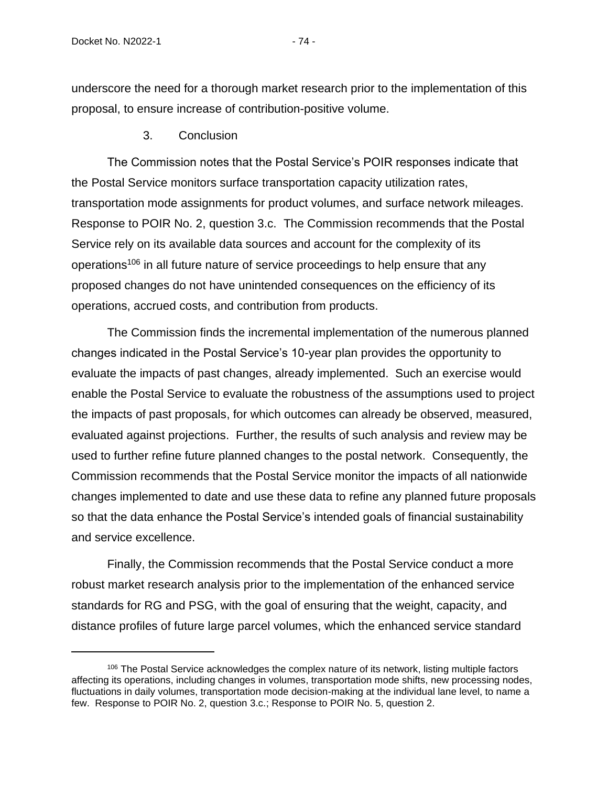underscore the need for a thorough market research prior to the implementation of this proposal, to ensure increase of contribution-positive volume.

## 3. Conclusion

The Commission notes that the Postal Service's POIR responses indicate that the Postal Service monitors surface transportation capacity utilization rates, transportation mode assignments for product volumes, and surface network mileages. Response to POIR No. 2, question 3.c. The Commission recommends that the Postal Service rely on its available data sources and account for the complexity of its operations<sup>106</sup> in all future nature of service proceedings to help ensure that any proposed changes do not have unintended consequences on the efficiency of its operations, accrued costs, and contribution from products.

The Commission finds the incremental implementation of the numerous planned changes indicated in the Postal Service's 10-year plan provides the opportunity to evaluate the impacts of past changes, already implemented. Such an exercise would enable the Postal Service to evaluate the robustness of the assumptions used to project the impacts of past proposals, for which outcomes can already be observed, measured, evaluated against projections. Further, the results of such analysis and review may be used to further refine future planned changes to the postal network. Consequently, the Commission recommends that the Postal Service monitor the impacts of all nationwide changes implemented to date and use these data to refine any planned future proposals so that the data enhance the Postal Service's intended goals of financial sustainability and service excellence.

Finally, the Commission recommends that the Postal Service conduct a more robust market research analysis prior to the implementation of the enhanced service standards for RG and PSG, with the goal of ensuring that the weight, capacity, and distance profiles of future large parcel volumes, which the enhanced service standard

<sup>&</sup>lt;sup>106</sup> The Postal Service acknowledges the complex nature of its network, listing multiple factors affecting its operations, including changes in volumes, transportation mode shifts, new processing nodes, fluctuations in daily volumes, transportation mode decision-making at the individual lane level, to name a few. Response to POIR No. 2, question 3.c.; Response to POIR No. 5, question 2.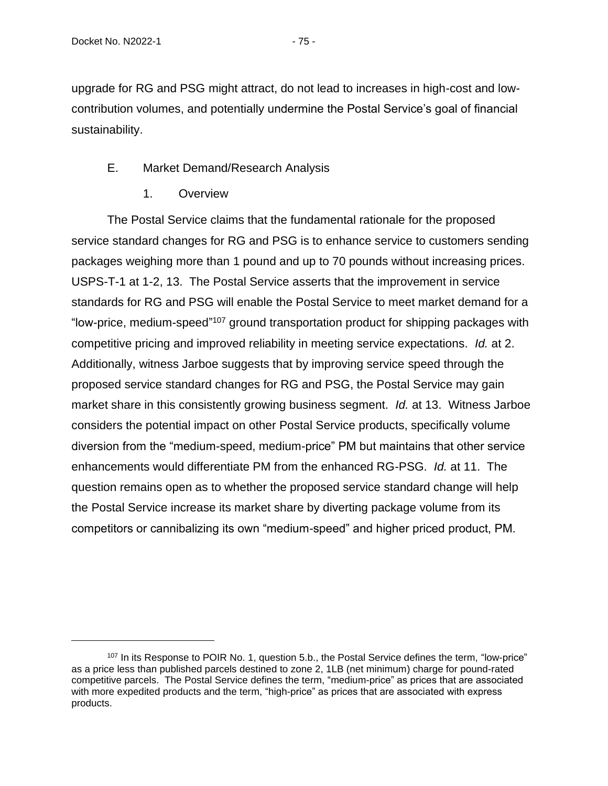upgrade for RG and PSG might attract, do not lead to increases in high-cost and lowcontribution volumes, and potentially undermine the Postal Service's goal of financial sustainability.

# E. Market Demand/Research Analysis

1. Overview

The Postal Service claims that the fundamental rationale for the proposed service standard changes for RG and PSG is to enhance service to customers sending packages weighing more than 1 pound and up to 70 pounds without increasing prices. USPS-T-1 at 1-2, 13. The Postal Service asserts that the improvement in service standards for RG and PSG will enable the Postal Service to meet market demand for a "low-price, medium-speed"<sup>107</sup> ground transportation product for shipping packages with competitive pricing and improved reliability in meeting service expectations. *Id.* at 2. Additionally, witness Jarboe suggests that by improving service speed through the proposed service standard changes for RG and PSG, the Postal Service may gain market share in this consistently growing business segment. *Id.* at 13. Witness Jarboe considers the potential impact on other Postal Service products, specifically volume diversion from the "medium-speed, medium-price" PM but maintains that other service enhancements would differentiate PM from the enhanced RG-PSG. *Id.* at 11. The question remains open as to whether the proposed service standard change will help the Postal Service increase its market share by diverting package volume from its competitors or cannibalizing its own "medium-speed" and higher priced product, PM.

<sup>107</sup> In its Response to POIR No. 1, question 5.b., the Postal Service defines the term, "low-price" as a price less than published parcels destined to zone 2, 1LB (net minimum) charge for pound-rated competitive parcels. The Postal Service defines the term, "medium-price" as prices that are associated with more expedited products and the term, "high-price" as prices that are associated with express products.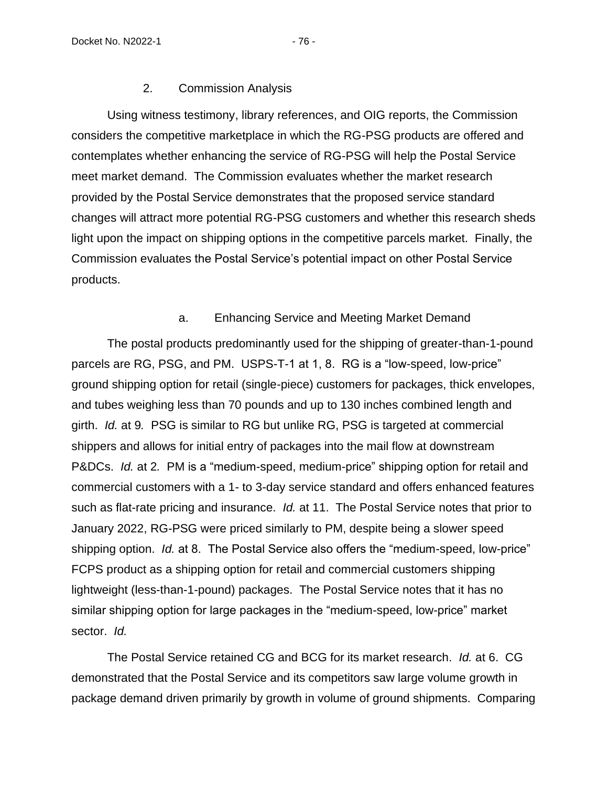### 2. Commission Analysis

Using witness testimony, library references, and OIG reports, the Commission considers the competitive marketplace in which the RG-PSG products are offered and contemplates whether enhancing the service of RG-PSG will help the Postal Service meet market demand. The Commission evaluates whether the market research provided by the Postal Service demonstrates that the proposed service standard changes will attract more potential RG-PSG customers and whether this research sheds light upon the impact on shipping options in the competitive parcels market. Finally, the Commission evaluates the Postal Service's potential impact on other Postal Service products.

### a. Enhancing Service and Meeting Market Demand

The postal products predominantly used for the shipping of greater-than-1-pound parcels are RG, PSG, and PM. USPS-T-1 at 1, 8. RG is a "low-speed, low-price" ground shipping option for retail (single-piece) customers for packages, thick envelopes, and tubes weighing less than 70 pounds and up to 130 inches combined length and girth. *Id.* at 9*.* PSG is similar to RG but unlike RG, PSG is targeted at commercial shippers and allows for initial entry of packages into the mail flow at downstream P&DCs. *Id.* at 2*.* PM is a "medium-speed, medium-price" shipping option for retail and commercial customers with a 1- to 3-day service standard and offers enhanced features such as flat-rate pricing and insurance. *Id.* at 11. The Postal Service notes that prior to January 2022, RG-PSG were priced similarly to PM, despite being a slower speed shipping option. *Id.* at 8. The Postal Service also offers the "medium-speed, low-price" FCPS product as a shipping option for retail and commercial customers shipping lightweight (less-than-1-pound) packages. The Postal Service notes that it has no similar shipping option for large packages in the "medium-speed, low-price" market sector. *Id.*

The Postal Service retained CG and BCG for its market research. *Id.* at 6. CG demonstrated that the Postal Service and its competitors saw large volume growth in package demand driven primarily by growth in volume of ground shipments. Comparing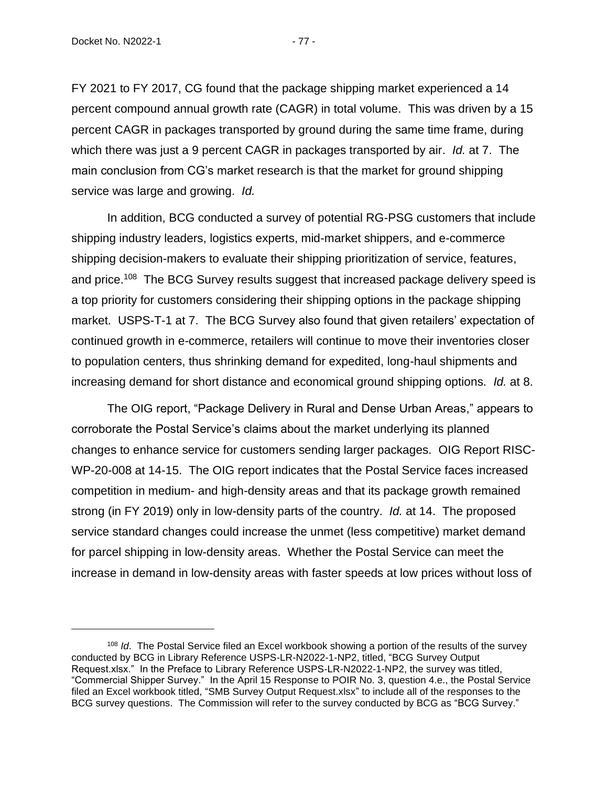FY 2021 to FY 2017, CG found that the package shipping market experienced a 14 percent compound annual growth rate (CAGR) in total volume. This was driven by a 15 percent CAGR in packages transported by ground during the same time frame, during which there was just a 9 percent CAGR in packages transported by air. *Id.* at 7. The main conclusion from CG's market research is that the market for ground shipping service was large and growing. *Id.*

In addition, BCG conducted a survey of potential RG-PSG customers that include shipping industry leaders, logistics experts, mid-market shippers, and e-commerce shipping decision-makers to evaluate their shipping prioritization of service, features, and price.<sup>108</sup> The BCG Survey results suggest that increased package delivery speed is a top priority for customers considering their shipping options in the package shipping market. USPS-T-1 at 7. The BCG Survey also found that given retailers' expectation of continued growth in e-commerce, retailers will continue to move their inventories closer to population centers, thus shrinking demand for expedited, long-haul shipments and increasing demand for short distance and economical ground shipping options. *Id.* at 8.

The OIG report, "Package Delivery in Rural and Dense Urban Areas," appears to corroborate the Postal Service's claims about the market underlying its planned changes to enhance service for customers sending larger packages. OIG Report RISC-WP-20-008 at 14-15. The OIG report indicates that the Postal Service faces increased competition in medium- and high-density areas and that its package growth remained strong (in FY 2019) only in low-density parts of the country. *Id.* at 14. The proposed service standard changes could increase the unmet (less competitive) market demand for parcel shipping in low-density areas. Whether the Postal Service can meet the increase in demand in low-density areas with faster speeds at low prices without loss of

<sup>108</sup> *Id*. The Postal Service filed an Excel workbook showing a portion of the results of the survey conducted by BCG in Library Reference USPS-LR-N2022-1-NP2, titled, "BCG Survey Output Request.xlsx." In the Preface to Library Reference USPS-LR-N2022-1-NP2, the survey was titled, "Commercial Shipper Survey." In the April 15 Response to POIR No. 3, question 4.e., the Postal Service filed an Excel workbook titled, "SMB Survey Output Request.xlsx" to include all of the responses to the BCG survey questions. The Commission will refer to the survey conducted by BCG as "BCG Survey."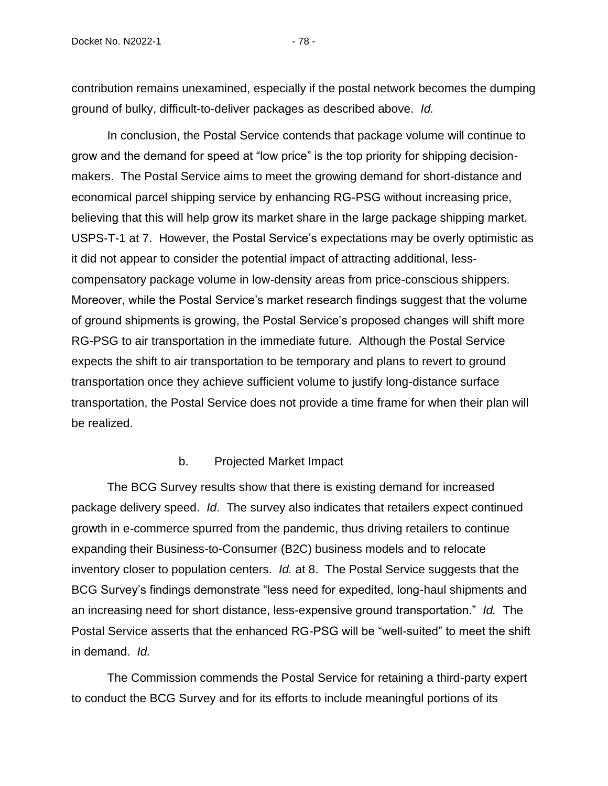contribution remains unexamined, especially if the postal network becomes the dumping ground of bulky, difficult-to-deliver packages as described above. *Id.*

In conclusion, the Postal Service contends that package volume will continue to grow and the demand for speed at "low price" is the top priority for shipping decisionmakers. The Postal Service aims to meet the growing demand for short-distance and economical parcel shipping service by enhancing RG-PSG without increasing price, believing that this will help grow its market share in the large package shipping market. USPS-T-1 at 7. However, the Postal Service's expectations may be overly optimistic as it did not appear to consider the potential impact of attracting additional, lesscompensatory package volume in low-density areas from price-conscious shippers. Moreover, while the Postal Service's market research findings suggest that the volume of ground shipments is growing, the Postal Service's proposed changes will shift more RG-PSG to air transportation in the immediate future. Although the Postal Service expects the shift to air transportation to be temporary and plans to revert to ground transportation once they achieve sufficient volume to justify long-distance surface transportation, the Postal Service does not provide a time frame for when their plan will be realized.

#### b. Projected Market Impact

The BCG Survey results show that there is existing demand for increased package delivery speed. *Id*. The survey also indicates that retailers expect continued growth in e-commerce spurred from the pandemic, thus driving retailers to continue expanding their Business-to-Consumer (B2C) business models and to relocate inventory closer to population centers. *Id.* at 8. The Postal Service suggests that the BCG Survey's findings demonstrate "less need for expedited, long-haul shipments and an increasing need for short distance, less-expensive ground transportation." *Id.* The Postal Service asserts that the enhanced RG-PSG will be "well-suited" to meet the shift in demand. *Id.*

The Commission commends the Postal Service for retaining a third-party expert to conduct the BCG Survey and for its efforts to include meaningful portions of its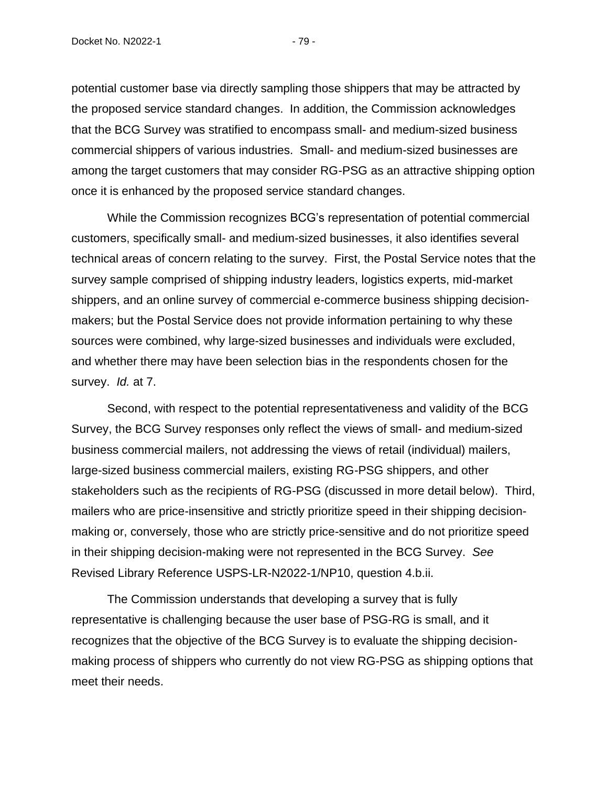potential customer base via directly sampling those shippers that may be attracted by the proposed service standard changes. In addition, the Commission acknowledges that the BCG Survey was stratified to encompass small- and medium-sized business commercial shippers of various industries. Small- and medium-sized businesses are among the target customers that may consider RG-PSG as an attractive shipping option once it is enhanced by the proposed service standard changes.

While the Commission recognizes BCG's representation of potential commercial customers, specifically small- and medium-sized businesses, it also identifies several technical areas of concern relating to the survey. First, the Postal Service notes that the survey sample comprised of shipping industry leaders, logistics experts, mid-market shippers, and an online survey of commercial e-commerce business shipping decisionmakers; but the Postal Service does not provide information pertaining to why these sources were combined, why large-sized businesses and individuals were excluded, and whether there may have been selection bias in the respondents chosen for the survey. *Id.* at 7.

Second, with respect to the potential representativeness and validity of the BCG Survey, the BCG Survey responses only reflect the views of small- and medium-sized business commercial mailers, not addressing the views of retail (individual) mailers, large-sized business commercial mailers, existing RG-PSG shippers, and other stakeholders such as the recipients of RG-PSG (discussed in more detail below). Third, mailers who are price-insensitive and strictly prioritize speed in their shipping decisionmaking or, conversely, those who are strictly price-sensitive and do not prioritize speed in their shipping decision-making were not represented in the BCG Survey. *See*  Revised Library Reference USPS-LR-N2022-1/NP10, question 4.b.ii.

The Commission understands that developing a survey that is fully representative is challenging because the user base of PSG-RG is small, and it recognizes that the objective of the BCG Survey is to evaluate the shipping decisionmaking process of shippers who currently do not view RG-PSG as shipping options that meet their needs.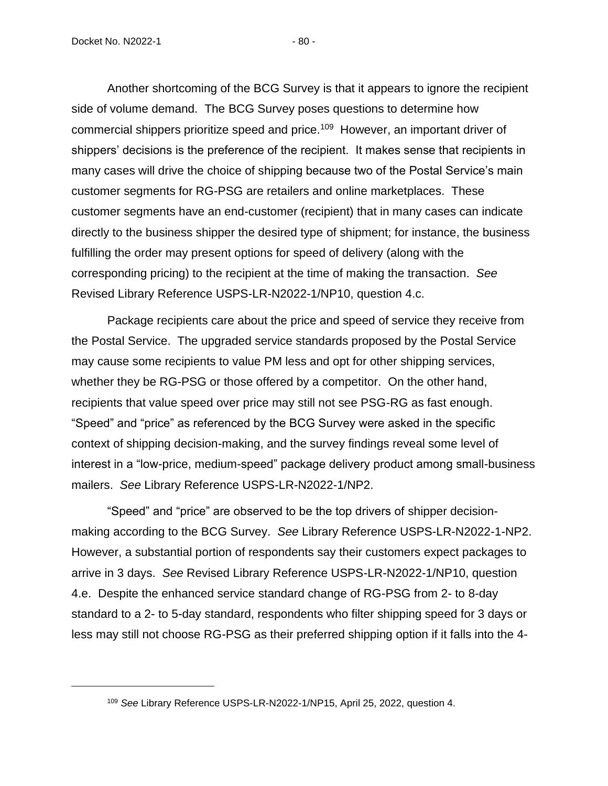Another shortcoming of the BCG Survey is that it appears to ignore the recipient side of volume demand. The BCG Survey poses questions to determine how commercial shippers prioritize speed and price.<sup>109</sup> However, an important driver of shippers' decisions is the preference of the recipient. It makes sense that recipients in many cases will drive the choice of shipping because two of the Postal Service's main customer segments for RG-PSG are retailers and online marketplaces. These customer segments have an end-customer (recipient) that in many cases can indicate directly to the business shipper the desired type of shipment; for instance, the business fulfilling the order may present options for speed of delivery (along with the corresponding pricing) to the recipient at the time of making the transaction. *See* Revised Library Reference USPS-LR-N2022-1/NP10, question 4.c.

Package recipients care about the price and speed of service they receive from the Postal Service. The upgraded service standards proposed by the Postal Service may cause some recipients to value PM less and opt for other shipping services, whether they be RG-PSG or those offered by a competitor. On the other hand, recipients that value speed over price may still not see PSG-RG as fast enough. "Speed" and "price" as referenced by the BCG Survey were asked in the specific context of shipping decision-making, and the survey findings reveal some level of interest in a "low-price, medium-speed" package delivery product among small-business mailers. *See* Library Reference USPS-LR-N2022-1/NP2.

"Speed" and "price" are observed to be the top drivers of shipper decisionmaking according to the BCG Survey. *See* Library Reference USPS-LR-N2022-1-NP2. However, a substantial portion of respondents say their customers expect packages to arrive in 3 days. *See* Revised Library Reference USPS-LR-N2022-1/NP10, question 4.e. Despite the enhanced service standard change of RG-PSG from 2- to 8-day standard to a 2- to 5-day standard, respondents who filter shipping speed for 3 days or less may still not choose RG-PSG as their preferred shipping option if it falls into the 4-

<sup>109</sup> *See* Library Reference USPS-LR-N2022-1/NP15, April 25, 2022, question 4.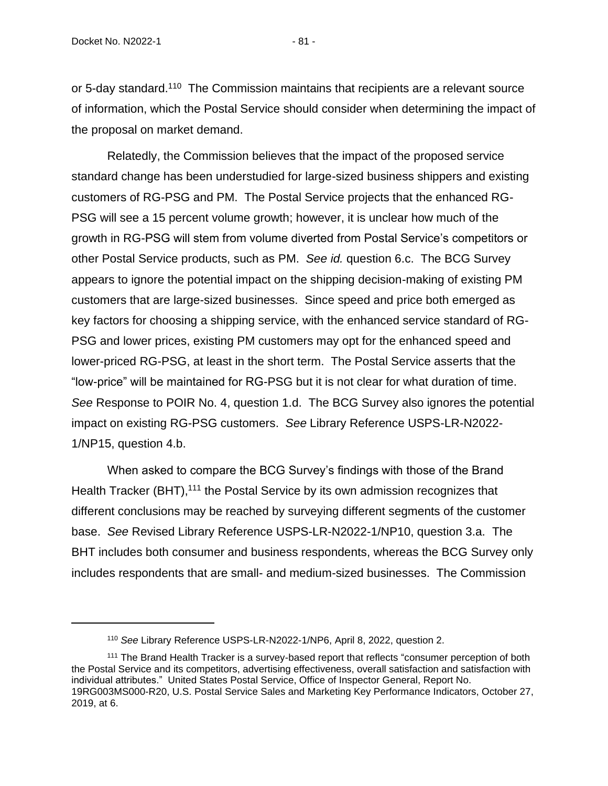or 5-day standard.<sup>110</sup> The Commission maintains that recipients are a relevant source of information, which the Postal Service should consider when determining the impact of the proposal on market demand.

Relatedly, the Commission believes that the impact of the proposed service standard change has been understudied for large-sized business shippers and existing customers of RG-PSG and PM. The Postal Service projects that the enhanced RG-PSG will see a 15 percent volume growth; however, it is unclear how much of the growth in RG-PSG will stem from volume diverted from Postal Service's competitors or other Postal Service products, such as PM. *See id.* question 6.c. The BCG Survey appears to ignore the potential impact on the shipping decision-making of existing PM customers that are large-sized businesses. Since speed and price both emerged as key factors for choosing a shipping service, with the enhanced service standard of RG-PSG and lower prices, existing PM customers may opt for the enhanced speed and lower-priced RG-PSG, at least in the short term. The Postal Service asserts that the "low-price" will be maintained for RG-PSG but it is not clear for what duration of time. *See* Response to POIR No. 4, question 1.d. The BCG Survey also ignores the potential impact on existing RG-PSG customers. *See* Library Reference USPS-LR-N2022- 1/NP15, question 4.b.

When asked to compare the BCG Survey's findings with those of the Brand Health Tracker (BHT),<sup>111</sup> the Postal Service by its own admission recognizes that different conclusions may be reached by surveying different segments of the customer base. *See* Revised Library Reference USPS-LR-N2022-1/NP10, question 3.a. The BHT includes both consumer and business respondents, whereas the BCG Survey only includes respondents that are small- and medium-sized businesses. The Commission

<sup>110</sup> *See* Library Reference USPS-LR-N2022-1/NP6, April 8, 2022, question 2.

<sup>111</sup> The Brand Health Tracker is a survey-based report that reflects "consumer perception of both the Postal Service and its competitors, advertising effectiveness, overall satisfaction and satisfaction with individual attributes." United States Postal Service, Office of Inspector General, Report No. 19RG003MS000-R20, U.S. Postal Service Sales and Marketing Key Performance Indicators, October 27, 2019, at 6.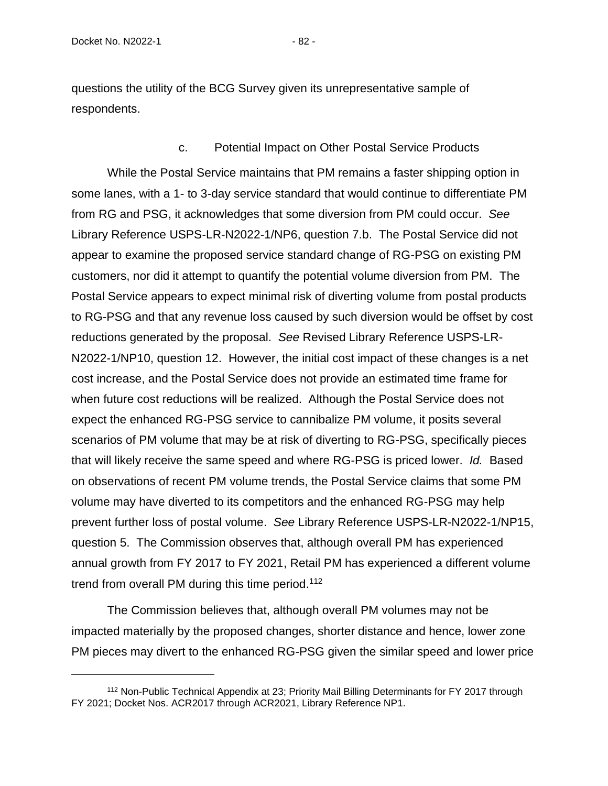questions the utility of the BCG Survey given its unrepresentative sample of respondents.

### c. Potential Impact on Other Postal Service Products

While the Postal Service maintains that PM remains a faster shipping option in some lanes, with a 1- to 3-day service standard that would continue to differentiate PM from RG and PSG, it acknowledges that some diversion from PM could occur. *See* Library Reference USPS-LR-N2022-1/NP6, question 7.b. The Postal Service did not appear to examine the proposed service standard change of RG-PSG on existing PM customers, nor did it attempt to quantify the potential volume diversion from PM. The Postal Service appears to expect minimal risk of diverting volume from postal products to RG-PSG and that any revenue loss caused by such diversion would be offset by cost reductions generated by the proposal. *See* Revised Library Reference USPS-LR-N2022-1/NP10, question 12. However, the initial cost impact of these changes is a net cost increase, and the Postal Service does not provide an estimated time frame for when future cost reductions will be realized. Although the Postal Service does not expect the enhanced RG-PSG service to cannibalize PM volume, it posits several scenarios of PM volume that may be at risk of diverting to RG-PSG, specifically pieces that will likely receive the same speed and where RG-PSG is priced lower. *Id.* Based on observations of recent PM volume trends, the Postal Service claims that some PM volume may have diverted to its competitors and the enhanced RG-PSG may help prevent further loss of postal volume. *See* Library Reference USPS-LR-N2022-1/NP15, question 5. The Commission observes that, although overall PM has experienced annual growth from FY 2017 to FY 2021, Retail PM has experienced a different volume trend from overall PM during this time period.<sup>112</sup>

The Commission believes that, although overall PM volumes may not be impacted materially by the proposed changes, shorter distance and hence, lower zone PM pieces may divert to the enhanced RG-PSG given the similar speed and lower price

<sup>112</sup> Non-Public Technical Appendix at 23; Priority Mail Billing Determinants for FY 2017 through FY 2021; Docket Nos. ACR2017 through ACR2021, Library Reference NP1.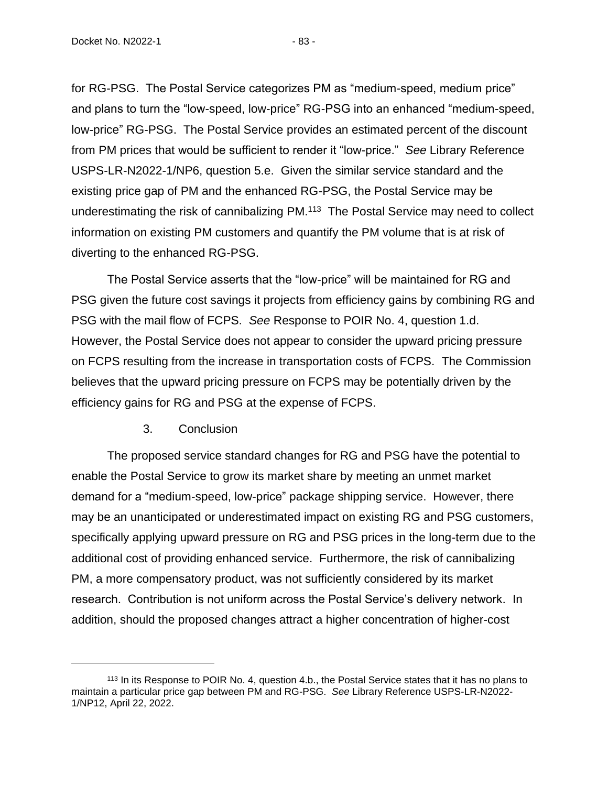Docket No. N2022-1 - 83 -

for RG-PSG. The Postal Service categorizes PM as "medium-speed, medium price" and plans to turn the "low-speed, low-price" RG-PSG into an enhanced "medium-speed, low-price" RG-PSG. The Postal Service provides an estimated percent of the discount from PM prices that would be sufficient to render it "low-price." *See* Library Reference USPS-LR-N2022-1/NP6, question 5.e. Given the similar service standard and the existing price gap of PM and the enhanced RG-PSG, the Postal Service may be underestimating the risk of cannibalizing PM.<sup>113</sup> The Postal Service may need to collect information on existing PM customers and quantify the PM volume that is at risk of diverting to the enhanced RG-PSG.

The Postal Service asserts that the "low-price" will be maintained for RG and PSG given the future cost savings it projects from efficiency gains by combining RG and PSG with the mail flow of FCPS. *See* Response to POIR No. 4, question 1.d. However, the Postal Service does not appear to consider the upward pricing pressure on FCPS resulting from the increase in transportation costs of FCPS. The Commission believes that the upward pricing pressure on FCPS may be potentially driven by the efficiency gains for RG and PSG at the expense of FCPS.

## 3. Conclusion

The proposed service standard changes for RG and PSG have the potential to enable the Postal Service to grow its market share by meeting an unmet market demand for a "medium-speed, low-price" package shipping service. However, there may be an unanticipated or underestimated impact on existing RG and PSG customers, specifically applying upward pressure on RG and PSG prices in the long-term due to the additional cost of providing enhanced service. Furthermore, the risk of cannibalizing PM, a more compensatory product, was not sufficiently considered by its market research. Contribution is not uniform across the Postal Service's delivery network. In addition, should the proposed changes attract a higher concentration of higher-cost

<sup>&</sup>lt;sup>113</sup> In its Response to POIR No. 4, question 4.b., the Postal Service states that it has no plans to maintain a particular price gap between PM and RG-PSG. *See* Library Reference USPS-LR-N2022- 1/NP12, April 22, 2022.